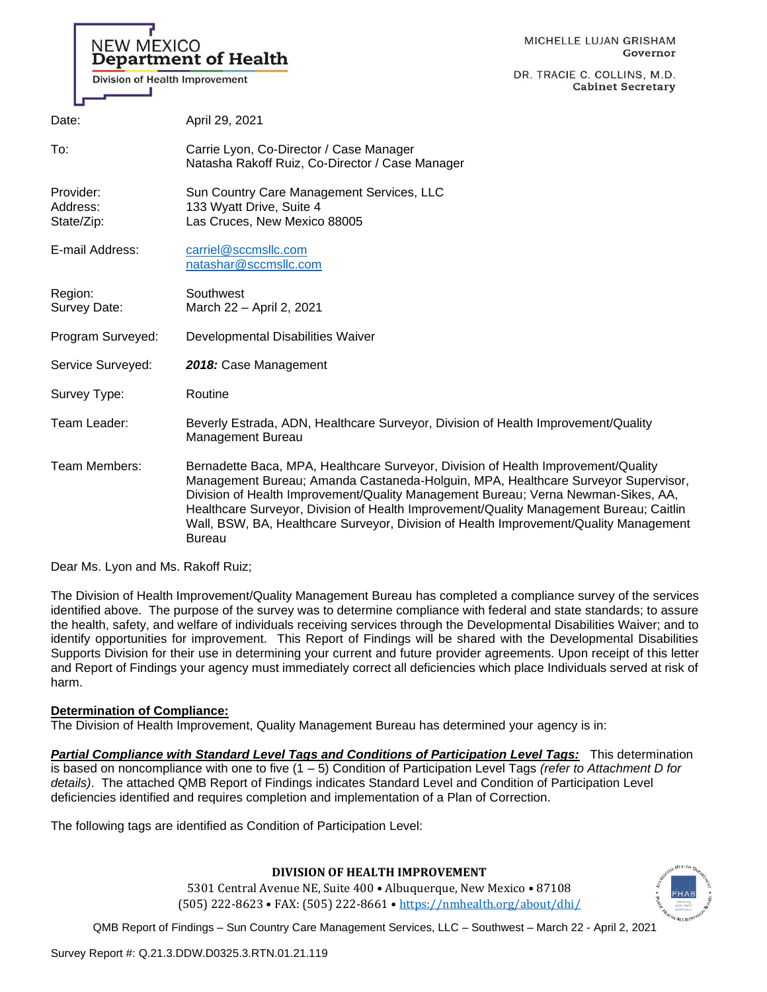# **NEW MEXICO Department of Health**

**Division of Health Improvement** 

DR. TRACIE C. COLLINS, M.D. **Cabinet Secretary** 

| Date:                               | April 29, 2021                                                                                                                                                                                                                                                                                                                                                                                                                                           |
|-------------------------------------|----------------------------------------------------------------------------------------------------------------------------------------------------------------------------------------------------------------------------------------------------------------------------------------------------------------------------------------------------------------------------------------------------------------------------------------------------------|
| To:                                 | Carrie Lyon, Co-Director / Case Manager<br>Natasha Rakoff Ruiz, Co-Director / Case Manager                                                                                                                                                                                                                                                                                                                                                               |
| Provider:<br>Address:<br>State/Zip: | Sun Country Care Management Services, LLC<br>133 Wyatt Drive, Suite 4<br>Las Cruces, New Mexico 88005                                                                                                                                                                                                                                                                                                                                                    |
| E-mail Address:                     | carriel@sccmsllc.com<br>natashar@sccmsllc.com                                                                                                                                                                                                                                                                                                                                                                                                            |
| Region:<br>Survey Date:             | Southwest<br>March 22 - April 2, 2021                                                                                                                                                                                                                                                                                                                                                                                                                    |
| Program Surveyed:                   | Developmental Disabilities Waiver                                                                                                                                                                                                                                                                                                                                                                                                                        |
| Service Surveyed:                   | 2018: Case Management                                                                                                                                                                                                                                                                                                                                                                                                                                    |
| Survey Type:                        | Routine                                                                                                                                                                                                                                                                                                                                                                                                                                                  |
| Team Leader:                        | Beverly Estrada, ADN, Healthcare Surveyor, Division of Health Improvement/Quality<br><b>Management Bureau</b>                                                                                                                                                                                                                                                                                                                                            |
| Team Members:                       | Bernadette Baca, MPA, Healthcare Surveyor, Division of Health Improvement/Quality<br>Management Bureau; Amanda Castaneda-Holguin, MPA, Healthcare Surveyor Supervisor,<br>Division of Health Improvement/Quality Management Bureau; Verna Newman-Sikes, AA,<br>Healthcare Surveyor, Division of Health Improvement/Quality Management Bureau; Caitlin<br>Wall, BSW, BA, Healthcare Surveyor, Division of Health Improvement/Quality Management<br>Bureau |

Dear Ms. Lyon and Ms. Rakoff Ruiz;

The Division of Health Improvement/Quality Management Bureau has completed a compliance survey of the services identified above. The purpose of the survey was to determine compliance with federal and state standards; to assure the health, safety, and welfare of individuals receiving services through the Developmental Disabilities Waiver; and to identify opportunities for improvement. This Report of Findings will be shared with the Developmental Disabilities Supports Division for their use in determining your current and future provider agreements. Upon receipt of this letter and Report of Findings your agency must immediately correct all deficiencies which place Individuals served at risk of harm.

# **Determination of Compliance:**

The Division of Health Improvement, Quality Management Bureau has determined your agency is in:

*Partial Compliance with Standard Level Tags and Conditions of Participation Level Tags:* This determination is based on noncompliance with one to five (1 – 5) Condition of Participation Level Tags *(refer to Attachment D for details)*. The attached QMB Report of Findings indicates Standard Level and Condition of Participation Level deficiencies identified and requires completion and implementation of a Plan of Correction.

The following tags are identified as Condition of Participation Level:

# **DIVISION OF HEALTH IMPROVEMENT**

5301 Central Avenue NE, Suite 400 • Albuquerque, New Mexico • 87108 (505) 222-8623 • FAX: (505) 222-8661 • <https://nmhealth.org/about/dhi/>

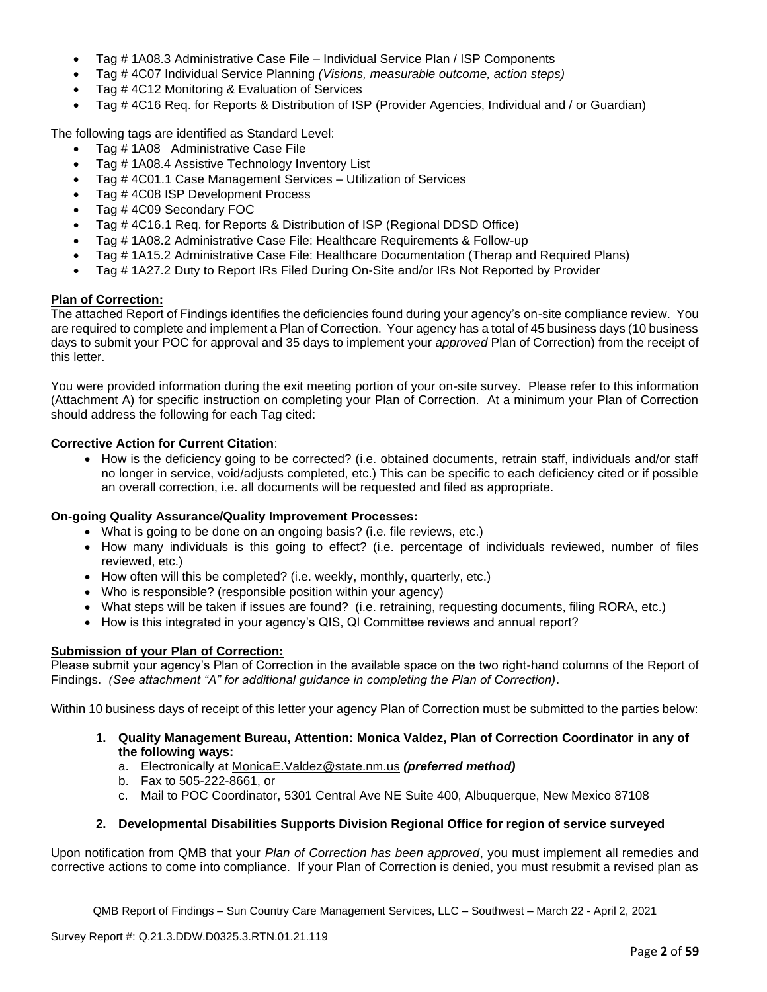- Tag # 1A08.3 Administrative Case File Individual Service Plan / ISP Components
- Tag # 4C07 Individual Service Planning *(Visions, measurable outcome, action steps)*
- Tag #4C12 Monitoring & Evaluation of Services
- Tag # 4C16 Req. for Reports & Distribution of ISP (Provider Agencies, Individual and / or Guardian)

The following tags are identified as Standard Level:

- Tag # 1A08 Administrative Case File
- Tag # 1A08.4 Assistive Technology Inventory List
- Tag # 4C01.1 Case Management Services Utilization of Services
- Tag # 4C08 ISP Development Process
- Tag # 4C09 Secondary FOC
- Tag # 4C16.1 Req. for Reports & Distribution of ISP (Regional DDSD Office)
- Tag # 1A08.2 Administrative Case File: Healthcare Requirements & Follow-up
- Tag # 1A15.2 Administrative Case File: Healthcare Documentation (Therap and Required Plans)
- Tag # 1A27.2 Duty to Report IRs Filed During On-Site and/or IRs Not Reported by Provider

# **Plan of Correction:**

The attached Report of Findings identifies the deficiencies found during your agency's on-site compliance review. You are required to complete and implement a Plan of Correction. Your agency has a total of 45 business days (10 business days to submit your POC for approval and 35 days to implement your *approved* Plan of Correction) from the receipt of this letter.

You were provided information during the exit meeting portion of your on-site survey. Please refer to this information (Attachment A) for specific instruction on completing your Plan of Correction. At a minimum your Plan of Correction should address the following for each Tag cited:

# **Corrective Action for Current Citation**:

• How is the deficiency going to be corrected? (i.e. obtained documents, retrain staff, individuals and/or staff no longer in service, void/adjusts completed, etc.) This can be specific to each deficiency cited or if possible an overall correction, i.e. all documents will be requested and filed as appropriate.

#### **On-going Quality Assurance/Quality Improvement Processes:**

- What is going to be done on an ongoing basis? (i.e. file reviews, etc.)
- How many individuals is this going to effect? (i.e. percentage of individuals reviewed, number of files reviewed, etc.)
- How often will this be completed? (i.e. weekly, monthly, quarterly, etc.)
- Who is responsible? (responsible position within your agency)
- What steps will be taken if issues are found? (i.e. retraining, requesting documents, filing RORA, etc.)
- How is this integrated in your agency's QIS, QI Committee reviews and annual report?

### **Submission of your Plan of Correction:**

Please submit your agency's Plan of Correction in the available space on the two right-hand columns of the Report of Findings. *(See attachment "A" for additional guidance in completing the Plan of Correction)*.

Within 10 business days of receipt of this letter your agency Plan of Correction must be submitted to the parties below:

- **1. Quality Management Bureau, Attention: Monica Valdez, Plan of Correction Coordinator in any of the following ways:**
	- a. Electronically at [MonicaE.Valdez@state.nm.us](mailto:MonicaE.Valdez@state.nm.us) *(preferred method)*
	- b. Fax to 505-222-8661, or
	- c. Mail to POC Coordinator, 5301 Central Ave NE Suite 400, Albuquerque, New Mexico 87108

# **2. Developmental Disabilities Supports Division Regional Office for region of service surveyed**

Upon notification from QMB that your *Plan of Correction has been approved*, you must implement all remedies and corrective actions to come into compliance. If your Plan of Correction is denied, you must resubmit a revised plan as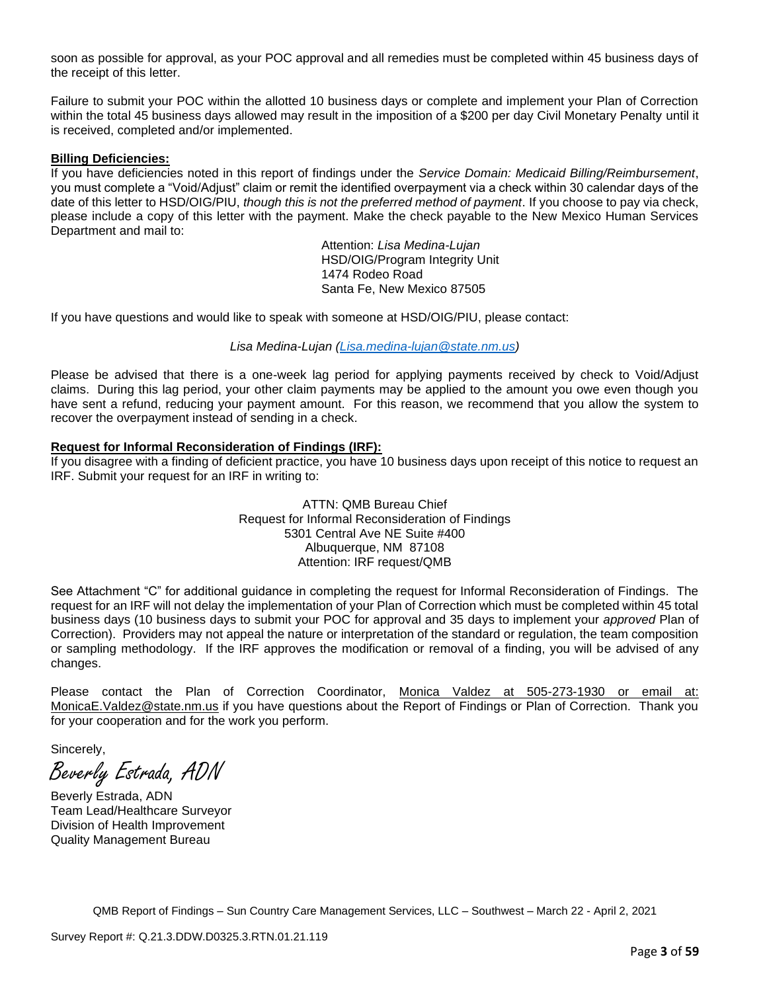soon as possible for approval, as your POC approval and all remedies must be completed within 45 business days of the receipt of this letter.

Failure to submit your POC within the allotted 10 business days or complete and implement your Plan of Correction within the total 45 business days allowed may result in the imposition of a \$200 per day Civil Monetary Penalty until it is received, completed and/or implemented.

#### **Billing Deficiencies:**

If you have deficiencies noted in this report of findings under the *Service Domain: Medicaid Billing/Reimbursement*, you must complete a "Void/Adjust" claim or remit the identified overpayment via a check within 30 calendar days of the date of this letter to HSD/OIG/PIU, *though this is not the preferred method of payment*. If you choose to pay via check, please include a copy of this letter with the payment. Make the check payable to the New Mexico Human Services Department and mail to:

> Attention: *Lisa Medina-Lujan* HSD/OIG/Program Integrity Unit 1474 Rodeo Road Santa Fe, New Mexico 87505

If you have questions and would like to speak with someone at HSD/OIG/PIU, please contact:

*Lisa Medina-Lujan [\(Lisa.medina-lujan@state.nm.us\)](mailto:Lisa.medina-lujan@state.nm.us)*

Please be advised that there is a one-week lag period for applying payments received by check to Void/Adjust claims. During this lag period, your other claim payments may be applied to the amount you owe even though you have sent a refund, reducing your payment amount. For this reason, we recommend that you allow the system to recover the overpayment instead of sending in a check.

#### **Request for Informal Reconsideration of Findings (IRF):**

If you disagree with a finding of deficient practice, you have 10 business days upon receipt of this notice to request an IRF. Submit your request for an IRF in writing to:

> ATTN: QMB Bureau Chief Request for Informal Reconsideration of Findings 5301 Central Ave NE Suite #400 Albuquerque, NM 87108 Attention: IRF request/QMB

See Attachment "C" for additional guidance in completing the request for Informal Reconsideration of Findings. The request for an IRF will not delay the implementation of your Plan of Correction which must be completed within 45 total business days (10 business days to submit your POC for approval and 35 days to implement your *approved* Plan of Correction). Providers may not appeal the nature or interpretation of the standard or regulation, the team composition or sampling methodology. If the IRF approves the modification or removal of a finding, you will be advised of any changes.

Please contact the Plan of Correction Coordinator, Monica Valdez at 505-273-1930 or email at: [MonicaE.Valdez@state.nm.us](mailto:MonicaE.Valdez@state.nm.us) if you have questions about the Report of Findings or Plan of Correction. Thank you for your cooperation and for the work you perform.

Sincerely,

Beverly Estrada, ADN

Beverly Estrada, ADN Team Lead/Healthcare Surveyor Division of Health Improvement Quality Management Bureau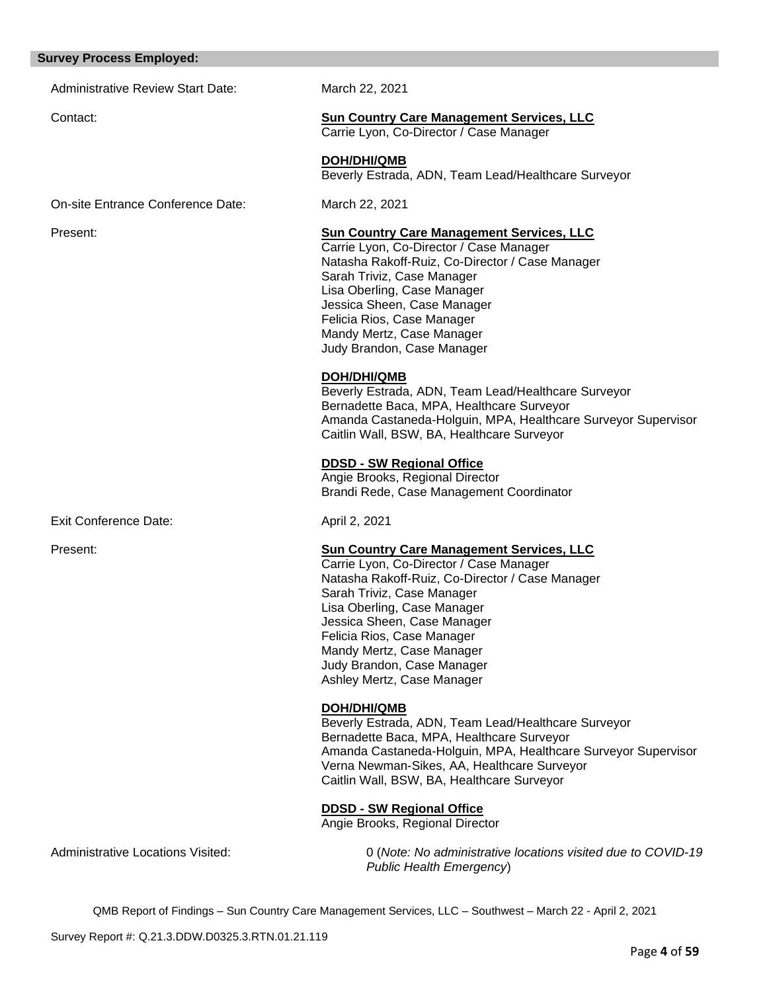#### **Survey Process Employed:**

Administrative Review Start Date: March 22, 2021

#### Contact: **Sun Country Care Management Services, LLC**

Carrie Lyon, Co-Director / Case Manager

**DOH/DHI/QMB** Beverly Estrada, ADN, Team Lead/Healthcare Surveyor

On-site Entrance Conference Date: March 22, 2021

Exit Conference Date: April 2, 2021

#### Present: **Sun Country Care Management Services, LLC**

Carrie Lyon, Co-Director / Case Manager Natasha Rakoff-Ruiz, Co-Director / Case Manager Sarah Triviz, Case Manager Lisa Oberling, Case Manager Jessica Sheen, Case Manager Felicia Rios, Case Manager Mandy Mertz, Case Manager Judy Brandon, Case Manager

#### **DOH/DHI/QMB**

Beverly Estrada, ADN, Team Lead/Healthcare Surveyor Bernadette Baca, MPA, Healthcare Surveyor Amanda Castaneda-Holguin, MPA, Healthcare Surveyor Supervisor Caitlin Wall, BSW, BA, Healthcare Surveyor

### **DDSD - SW Regional Office**

Angie Brooks, Regional Director Brandi Rede, Case Management Coordinator

#### Present: **Sun Country Care Management Services, LLC**

Carrie Lyon, Co-Director / Case Manager Natasha Rakoff-Ruiz, Co-Director / Case Manager Sarah Triviz, Case Manager Lisa Oberling, Case Manager Jessica Sheen, Case Manager Felicia Rios, Case Manager Mandy Mertz, Case Manager Judy Brandon, Case Manager Ashley Mertz, Case Manager

#### **DOH/DHI/QMB**

Beverly Estrada, ADN, Team Lead/Healthcare Surveyor Bernadette Baca, MPA, Healthcare Surveyor Amanda Castaneda-Holguin, MPA, Healthcare Surveyor Supervisor Verna Newman-Sikes, AA, Healthcare Surveyor Caitlin Wall, BSW, BA, Healthcare Surveyor

# **DDSD - SW Regional Office**

Angie Brooks, Regional Director

Administrative Locations Visited: 0 (*Note: No administrative locations visited due to COVID-19 Public Health Emergency*)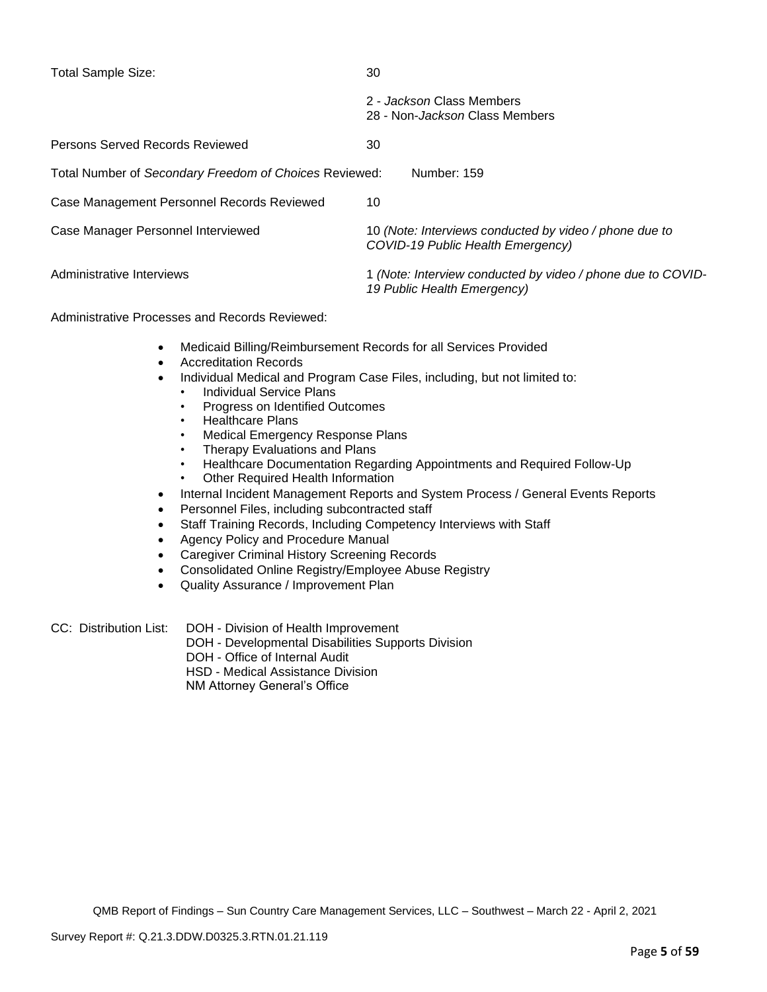| <b>Total Sample Size:</b>                              | 30                                                                                          |
|--------------------------------------------------------|---------------------------------------------------------------------------------------------|
|                                                        | 2 - Jackson Class Members<br>28 - Non- <i>Jackson</i> Class Members                         |
| Persons Served Records Reviewed                        | 30                                                                                          |
| Total Number of Secondary Freedom of Choices Reviewed: | Number: 159                                                                                 |
| Case Management Personnel Records Reviewed             | 10                                                                                          |
| Case Manager Personnel Interviewed                     | 10 (Note: Interviews conducted by video / phone due to<br>COVID-19 Public Health Emergency) |
| Administrative Interviews                              | 1 (Note: Interview conducted by video / phone due to COVID-<br>19 Public Health Emergency)  |

Administrative Processes and Records Reviewed:

- Medicaid Billing/Reimbursement Records for all Services Provided
- Accreditation Records
- Individual Medical and Program Case Files, including, but not limited to:
	- Individual Service Plans
	- Progress on Identified Outcomes
	- Healthcare Plans
	- Medical Emergency Response Plans
	- Therapy Evaluations and Plans
	- Healthcare Documentation Regarding Appointments and Required Follow-Up
	- Other Required Health Information
- Internal Incident Management Reports and System Process / General Events Reports
- Personnel Files, including subcontracted staff
- Staff Training Records, Including Competency Interviews with Staff
- Agency Policy and Procedure Manual
- Caregiver Criminal History Screening Records
- Consolidated Online Registry/Employee Abuse Registry
- Quality Assurance / Improvement Plan

CC: Distribution List: DOH - Division of Health Improvement

- DOH Developmental Disabilities Supports Division
- DOH Office of Internal Audit
- HSD Medical Assistance Division

NM Attorney General's Office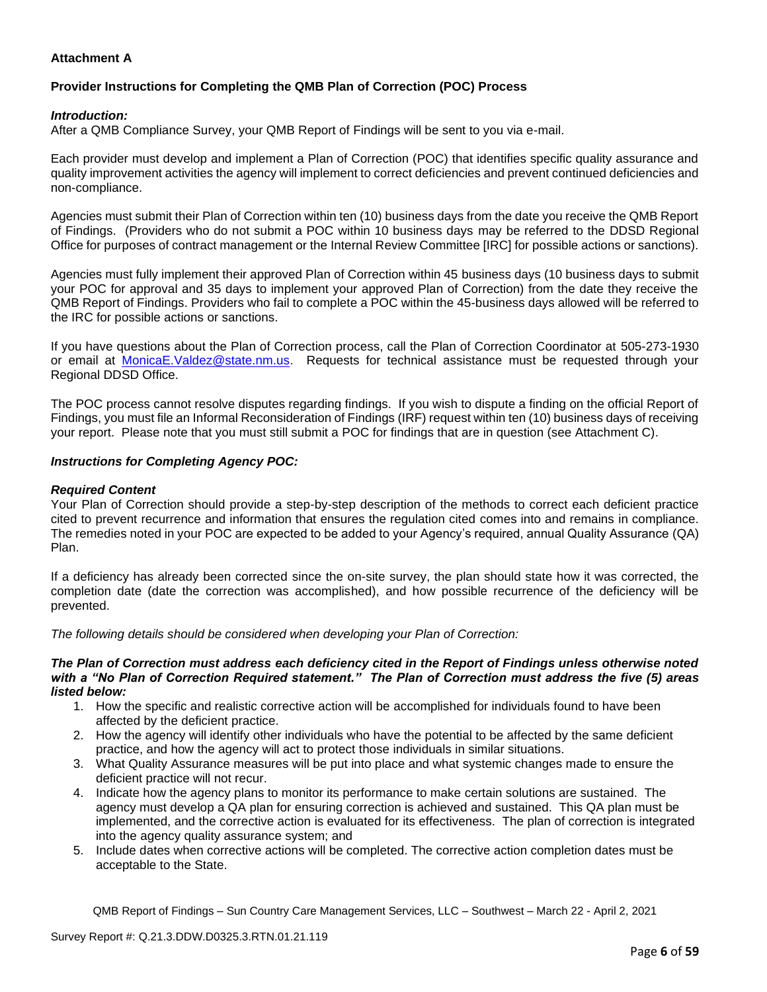# **Attachment A**

# **Provider Instructions for Completing the QMB Plan of Correction (POC) Process**

#### *Introduction:*

After a QMB Compliance Survey, your QMB Report of Findings will be sent to you via e-mail.

Each provider must develop and implement a Plan of Correction (POC) that identifies specific quality assurance and quality improvement activities the agency will implement to correct deficiencies and prevent continued deficiencies and non-compliance.

Agencies must submit their Plan of Correction within ten (10) business days from the date you receive the QMB Report of Findings. (Providers who do not submit a POC within 10 business days may be referred to the DDSD Regional Office for purposes of contract management or the Internal Review Committee [IRC] for possible actions or sanctions).

Agencies must fully implement their approved Plan of Correction within 45 business days (10 business days to submit your POC for approval and 35 days to implement your approved Plan of Correction) from the date they receive the QMB Report of Findings. Providers who fail to complete a POC within the 45-business days allowed will be referred to the IRC for possible actions or sanctions.

If you have questions about the Plan of Correction process, call the Plan of Correction Coordinator at 505-273-1930 or email at [MonicaE.Valdez@state.nm.us.](mailto:MonicaE.Valdez@state.nm.us) Requests for technical assistance must be requested through your Regional DDSD Office.

The POC process cannot resolve disputes regarding findings. If you wish to dispute a finding on the official Report of Findings, you must file an Informal Reconsideration of Findings (IRF) request within ten (10) business days of receiving your report. Please note that you must still submit a POC for findings that are in question (see Attachment C).

#### *Instructions for Completing Agency POC:*

#### *Required Content*

Your Plan of Correction should provide a step-by-step description of the methods to correct each deficient practice cited to prevent recurrence and information that ensures the regulation cited comes into and remains in compliance. The remedies noted in your POC are expected to be added to your Agency's required, annual Quality Assurance (QA) Plan.

If a deficiency has already been corrected since the on-site survey, the plan should state how it was corrected, the completion date (date the correction was accomplished), and how possible recurrence of the deficiency will be prevented.

*The following details should be considered when developing your Plan of Correction:*

#### *The Plan of Correction must address each deficiency cited in the Report of Findings unless otherwise noted with a "No Plan of Correction Required statement." The Plan of Correction must address the five (5) areas listed below:*

- 1. How the specific and realistic corrective action will be accomplished for individuals found to have been affected by the deficient practice.
- 2. How the agency will identify other individuals who have the potential to be affected by the same deficient practice, and how the agency will act to protect those individuals in similar situations.
- 3. What Quality Assurance measures will be put into place and what systemic changes made to ensure the deficient practice will not recur.
- 4. Indicate how the agency plans to monitor its performance to make certain solutions are sustained. The agency must develop a QA plan for ensuring correction is achieved and sustained. This QA plan must be implemented, and the corrective action is evaluated for its effectiveness. The plan of correction is integrated into the agency quality assurance system; and
- 5. Include dates when corrective actions will be completed. The corrective action completion dates must be acceptable to the State.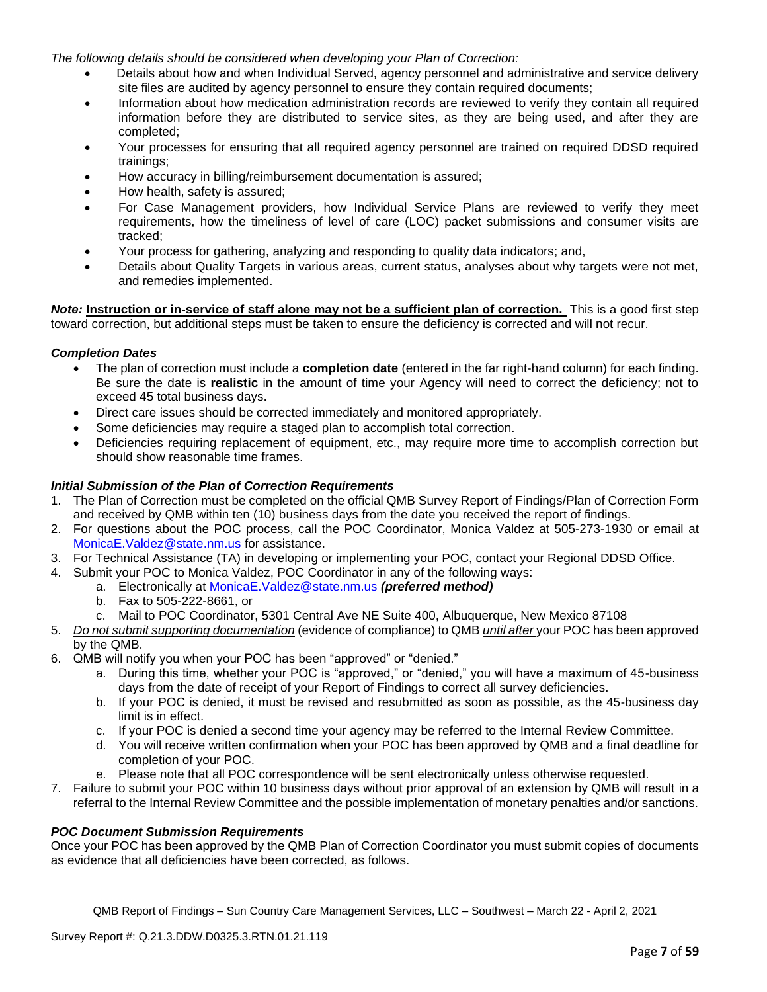*The following details should be considered when developing your Plan of Correction:*

- Details about how and when Individual Served, agency personnel and administrative and service delivery site files are audited by agency personnel to ensure they contain required documents;
- Information about how medication administration records are reviewed to verify they contain all required information before they are distributed to service sites, as they are being used, and after they are completed;
- Your processes for ensuring that all required agency personnel are trained on required DDSD required trainings;
- How accuracy in billing/reimbursement documentation is assured;
- How health, safety is assured;
- For Case Management providers, how Individual Service Plans are reviewed to verify they meet requirements, how the timeliness of level of care (LOC) packet submissions and consumer visits are tracked;
- Your process for gathering, analyzing and responding to quality data indicators; and,
- Details about Quality Targets in various areas, current status, analyses about why targets were not met, and remedies implemented.

*Note:* **Instruction or in-service of staff alone may not be a sufficient plan of correction.** This is a good first step toward correction, but additional steps must be taken to ensure the deficiency is corrected and will not recur.

#### *Completion Dates*

- The plan of correction must include a **completion date** (entered in the far right-hand column) for each finding. Be sure the date is **realistic** in the amount of time your Agency will need to correct the deficiency; not to exceed 45 total business days.
- Direct care issues should be corrected immediately and monitored appropriately.
- Some deficiencies may require a staged plan to accomplish total correction.
- Deficiencies requiring replacement of equipment, etc., may require more time to accomplish correction but should show reasonable time frames.

### *Initial Submission of the Plan of Correction Requirements*

- 1. The Plan of Correction must be completed on the official QMB Survey Report of Findings/Plan of Correction Form and received by QMB within ten (10) business days from the date you received the report of findings.
- 2. For questions about the POC process, call the POC Coordinator, Monica Valdez at 505-273-1930 or email at [MonicaE.Valdez@state.nm.us](mailto:MonicaE.Valdez@state.nm.us) for assistance.
- 3. For Technical Assistance (TA) in developing or implementing your POC, contact your Regional DDSD Office.
- 4. Submit your POC to Monica Valdez, POC Coordinator in any of the following ways:
	- a. Electronically at [MonicaE.Valdez@state.nm.us](mailto:MonicaE.Valdez@state.nm.us) *(preferred method)*
	- b. Fax to 505-222-8661, or
	- c. Mail to POC Coordinator, 5301 Central Ave NE Suite 400, Albuquerque, New Mexico 87108
- 5. *Do not submit supporting documentation* (evidence of compliance) to QMB *until after* your POC has been approved by the QMB.
- 6. QMB will notify you when your POC has been "approved" or "denied."
	- a. During this time, whether your POC is "approved," or "denied," you will have a maximum of 45-business days from the date of receipt of your Report of Findings to correct all survey deficiencies.
	- b. If your POC is denied, it must be revised and resubmitted as soon as possible, as the 45-business day limit is in effect.
	- c. If your POC is denied a second time your agency may be referred to the Internal Review Committee.
	- d. You will receive written confirmation when your POC has been approved by QMB and a final deadline for completion of your POC.
	- e. Please note that all POC correspondence will be sent electronically unless otherwise requested.
- 7. Failure to submit your POC within 10 business days without prior approval of an extension by QMB will result in a referral to the Internal Review Committee and the possible implementation of monetary penalties and/or sanctions.

#### *POC Document Submission Requirements*

Once your POC has been approved by the QMB Plan of Correction Coordinator you must submit copies of documents as evidence that all deficiencies have been corrected, as follows.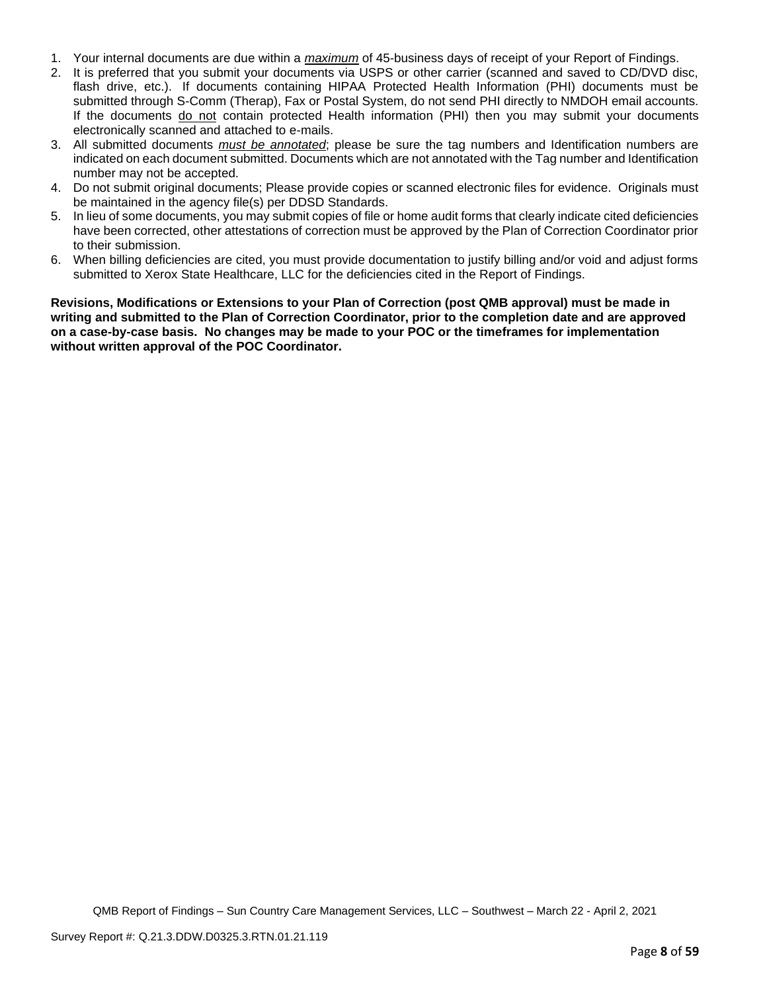- 1. Your internal documents are due within a *maximum* of 45-business days of receipt of your Report of Findings.
- 2. It is preferred that you submit your documents via USPS or other carrier (scanned and saved to CD/DVD disc, flash drive, etc.). If documents containing HIPAA Protected Health Information (PHI) documents must be submitted through S-Comm (Therap), Fax or Postal System, do not send PHI directly to NMDOH email accounts. If the documents do not contain protected Health information (PHI) then you may submit your documents electronically scanned and attached to e-mails.
- 3. All submitted documents *must be annotated*; please be sure the tag numbers and Identification numbers are indicated on each document submitted. Documents which are not annotated with the Tag number and Identification number may not be accepted.
- 4. Do not submit original documents; Please provide copies or scanned electronic files for evidence. Originals must be maintained in the agency file(s) per DDSD Standards.
- 5. In lieu of some documents, you may submit copies of file or home audit forms that clearly indicate cited deficiencies have been corrected, other attestations of correction must be approved by the Plan of Correction Coordinator prior to their submission.
- 6. When billing deficiencies are cited, you must provide documentation to justify billing and/or void and adjust forms submitted to Xerox State Healthcare, LLC for the deficiencies cited in the Report of Findings.

**Revisions, Modifications or Extensions to your Plan of Correction (post QMB approval) must be made in writing and submitted to the Plan of Correction Coordinator, prior to the completion date and are approved on a case-by-case basis. No changes may be made to your POC or the timeframes for implementation without written approval of the POC Coordinator.**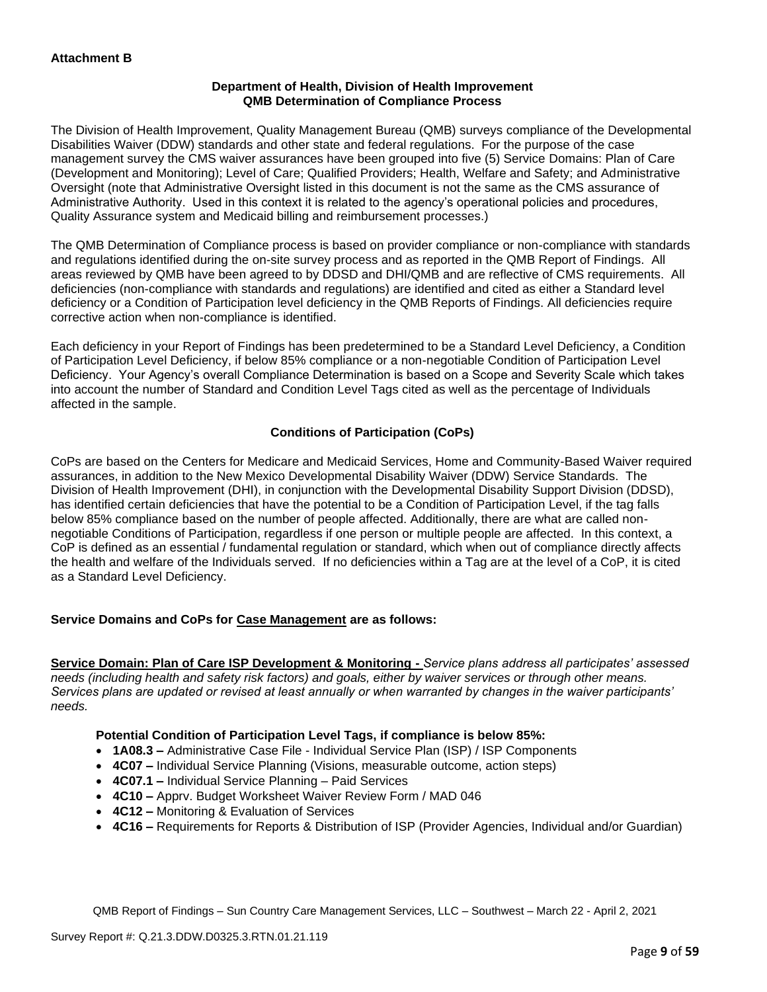### **Department of Health, Division of Health Improvement QMB Determination of Compliance Process**

The Division of Health Improvement, Quality Management Bureau (QMB) surveys compliance of the Developmental Disabilities Waiver (DDW) standards and other state and federal regulations. For the purpose of the case management survey the CMS waiver assurances have been grouped into five (5) Service Domains: Plan of Care (Development and Monitoring); Level of Care; Qualified Providers; Health, Welfare and Safety; and Administrative Oversight (note that Administrative Oversight listed in this document is not the same as the CMS assurance of Administrative Authority. Used in this context it is related to the agency's operational policies and procedures, Quality Assurance system and Medicaid billing and reimbursement processes.)

The QMB Determination of Compliance process is based on provider compliance or non-compliance with standards and regulations identified during the on-site survey process and as reported in the QMB Report of Findings. All areas reviewed by QMB have been agreed to by DDSD and DHI/QMB and are reflective of CMS requirements. All deficiencies (non-compliance with standards and regulations) are identified and cited as either a Standard level deficiency or a Condition of Participation level deficiency in the QMB Reports of Findings. All deficiencies require corrective action when non-compliance is identified.

Each deficiency in your Report of Findings has been predetermined to be a Standard Level Deficiency, a Condition of Participation Level Deficiency, if below 85% compliance or a non-negotiable Condition of Participation Level Deficiency. Your Agency's overall Compliance Determination is based on a Scope and Severity Scale which takes into account the number of Standard and Condition Level Tags cited as well as the percentage of Individuals affected in the sample.

# **Conditions of Participation (CoPs)**

CoPs are based on the Centers for Medicare and Medicaid Services, Home and Community-Based Waiver required assurances, in addition to the New Mexico Developmental Disability Waiver (DDW) Service Standards. The Division of Health Improvement (DHI), in conjunction with the Developmental Disability Support Division (DDSD), has identified certain deficiencies that have the potential to be a Condition of Participation Level, if the tag falls below 85% compliance based on the number of people affected. Additionally, there are what are called nonnegotiable Conditions of Participation, regardless if one person or multiple people are affected. In this context, a CoP is defined as an essential / fundamental regulation or standard, which when out of compliance directly affects the health and welfare of the Individuals served. If no deficiencies within a Tag are at the level of a CoP, it is cited as a Standard Level Deficiency.

# **Service Domains and CoPs for Case Management are as follows:**

**Service Domain: Plan of Care ISP Development & Monitoring -** *Service plans address all participates' assessed needs (including health and safety risk factors) and goals, either by waiver services or through other means. Services plans are updated or revised at least annually or when warranted by changes in the waiver participants' needs.*

# **Potential Condition of Participation Level Tags, if compliance is below 85%:**

- **1A08.3 –** Administrative Case File Individual Service Plan (ISP) / ISP Components
- **4C07 –** Individual Service Planning (Visions, measurable outcome, action steps)
- **4C07.1 –** Individual Service Planning Paid Services
- **4C10 –** Apprv. Budget Worksheet Waiver Review Form / MAD 046
- **4C12 –** Monitoring & Evaluation of Services
- **4C16 –** Requirements for Reports & Distribution of ISP (Provider Agencies, Individual and/or Guardian)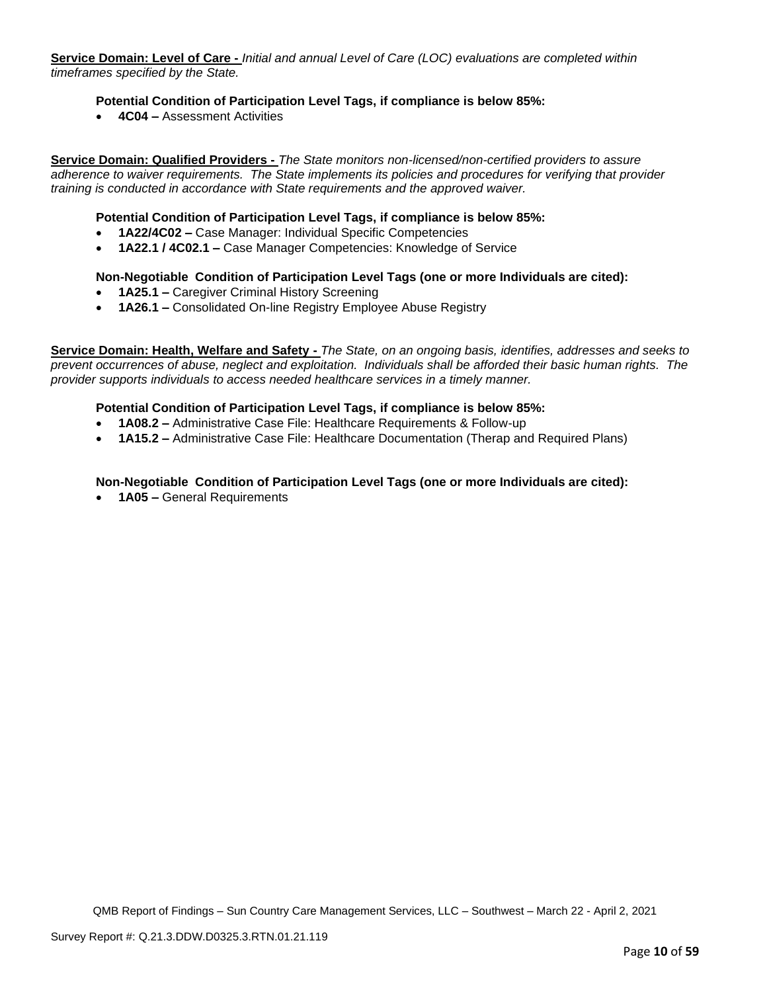**Service Domain: Level of Care -** *Initial and annual Level of Care (LOC) evaluations are completed within timeframes specified by the State.*

#### **Potential Condition of Participation Level Tags, if compliance is below 85%:**

• **4C04 –** Assessment Activities

**Service Domain: Qualified Providers -** *The State monitors non-licensed/non-certified providers to assure adherence to waiver requirements. The State implements its policies and procedures for verifying that provider training is conducted in accordance with State requirements and the approved waiver.*

#### **Potential Condition of Participation Level Tags, if compliance is below 85%:**

- **1A22/4C02 –** Case Manager: Individual Specific Competencies
- **1A22.1 / 4C02.1 –** Case Manager Competencies: Knowledge of Service

#### **Non-Negotiable Condition of Participation Level Tags (one or more Individuals are cited):**

- **1A25.1 –** Caregiver Criminal History Screening
- **1A26.1 –** Consolidated On-line Registry Employee Abuse Registry

**Service Domain: Health, Welfare and Safety -** *The State, on an ongoing basis, identifies, addresses and seeks to prevent occurrences of abuse, neglect and exploitation. Individuals shall be afforded their basic human rights. The provider supports individuals to access needed healthcare services in a timely manner.*

#### **Potential Condition of Participation Level Tags, if compliance is below 85%:**

- **1A08.2 –** Administrative Case File: Healthcare Requirements & Follow-up
- **1A15.2 –** Administrative Case File: Healthcare Documentation (Therap and Required Plans)

### **Non-Negotiable Condition of Participation Level Tags (one or more Individuals are cited):**

• **1A05 –** General Requirements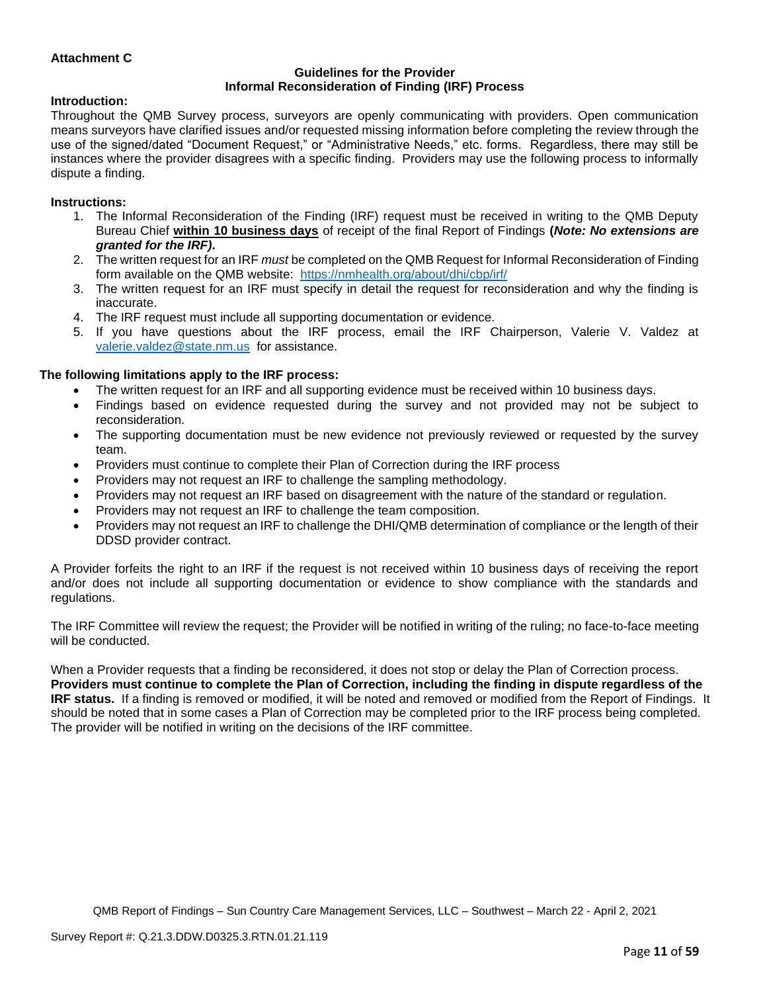### **Attachment C**

#### **Guidelines for the Provider Informal Reconsideration of Finding (IRF) Process**

#### **Introduction:**

Throughout the QMB Survey process, surveyors are openly communicating with providers. Open communication means surveyors have clarified issues and/or requested missing information before completing the review through the use of the signed/dated "Document Request," or "Administrative Needs," etc. forms. Regardless, there may still be instances where the provider disagrees with a specific finding. Providers may use the following process to informally dispute a finding.

#### **Instructions:**

- 1. The Informal Reconsideration of the Finding (IRF) request must be received in writing to the QMB Deputy Bureau Chief **within 10 business days** of receipt of the final Report of Findings **(***Note: No extensions are granted for the IRF)***.**
- 2. The written request for an IRF *must* be completed on the QMB Request for Informal Reconsideration of Finding form available on the QMB website: <https://nmhealth.org/about/dhi/cbp/irf/>
- 3. The written request for an IRF must specify in detail the request for reconsideration and why the finding is inaccurate.
- 4. The IRF request must include all supporting documentation or evidence.
- 5. If you have questions about the IRF process, email the IRF Chairperson, Valerie V. Valdez at [valerie.valdez@state.nm.us](mailto:valerie.valdez@state.nm.us) for assistance.

#### **The following limitations apply to the IRF process:**

- The written request for an IRF and all supporting evidence must be received within 10 business days.
- Findings based on evidence requested during the survey and not provided may not be subject to reconsideration.
- The supporting documentation must be new evidence not previously reviewed or requested by the survey team.
- Providers must continue to complete their Plan of Correction during the IRF process
- Providers may not request an IRF to challenge the sampling methodology.
- Providers may not request an IRF based on disagreement with the nature of the standard or regulation.
- Providers may not request an IRF to challenge the team composition.
- Providers may not request an IRF to challenge the DHI/QMB determination of compliance or the length of their DDSD provider contract.

A Provider forfeits the right to an IRF if the request is not received within 10 business days of receiving the report and/or does not include all supporting documentation or evidence to show compliance with the standards and regulations.

The IRF Committee will review the request; the Provider will be notified in writing of the ruling; no face-to-face meeting will be conducted.

When a Provider requests that a finding be reconsidered, it does not stop or delay the Plan of Correction process. **Providers must continue to complete the Plan of Correction, including the finding in dispute regardless of the IRF status.** If a finding is removed or modified, it will be noted and removed or modified from the Report of Findings. It should be noted that in some cases a Plan of Correction may be completed prior to the IRF process being completed. The provider will be notified in writing on the decisions of the IRF committee.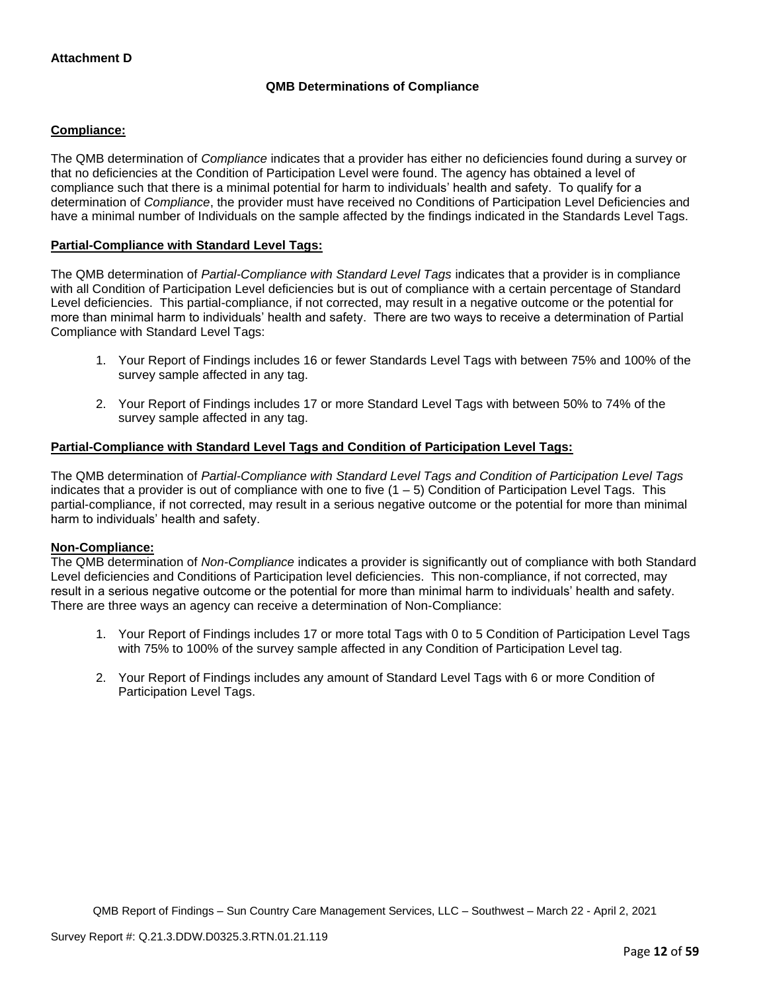# **QMB Determinations of Compliance**

### **Compliance:**

The QMB determination of *Compliance* indicates that a provider has either no deficiencies found during a survey or that no deficiencies at the Condition of Participation Level were found. The agency has obtained a level of compliance such that there is a minimal potential for harm to individuals' health and safety. To qualify for a determination of *Compliance*, the provider must have received no Conditions of Participation Level Deficiencies and have a minimal number of Individuals on the sample affected by the findings indicated in the Standards Level Tags.

### **Partial-Compliance with Standard Level Tags:**

The QMB determination of *Partial-Compliance with Standard Level Tags* indicates that a provider is in compliance with all Condition of Participation Level deficiencies but is out of compliance with a certain percentage of Standard Level deficiencies. This partial-compliance, if not corrected, may result in a negative outcome or the potential for more than minimal harm to individuals' health and safety. There are two ways to receive a determination of Partial Compliance with Standard Level Tags:

- 1. Your Report of Findings includes 16 or fewer Standards Level Tags with between 75% and 100% of the survey sample affected in any tag.
- 2. Your Report of Findings includes 17 or more Standard Level Tags with between 50% to 74% of the survey sample affected in any tag.

## **Partial-Compliance with Standard Level Tags and Condition of Participation Level Tags:**

The QMB determination of *Partial-Compliance with Standard Level Tags and Condition of Participation Level Tags*  indicates that a provider is out of compliance with one to five  $(1 - 5)$  Condition of Participation Level Tags. This partial-compliance, if not corrected, may result in a serious negative outcome or the potential for more than minimal harm to individuals' health and safety.

#### **Non-Compliance:**

The QMB determination of *Non-Compliance* indicates a provider is significantly out of compliance with both Standard Level deficiencies and Conditions of Participation level deficiencies. This non-compliance, if not corrected, may result in a serious negative outcome or the potential for more than minimal harm to individuals' health and safety. There are three ways an agency can receive a determination of Non-Compliance:

- 1. Your Report of Findings includes 17 or more total Tags with 0 to 5 Condition of Participation Level Tags with 75% to 100% of the survey sample affected in any Condition of Participation Level tag.
- 2. Your Report of Findings includes any amount of Standard Level Tags with 6 or more Condition of Participation Level Tags.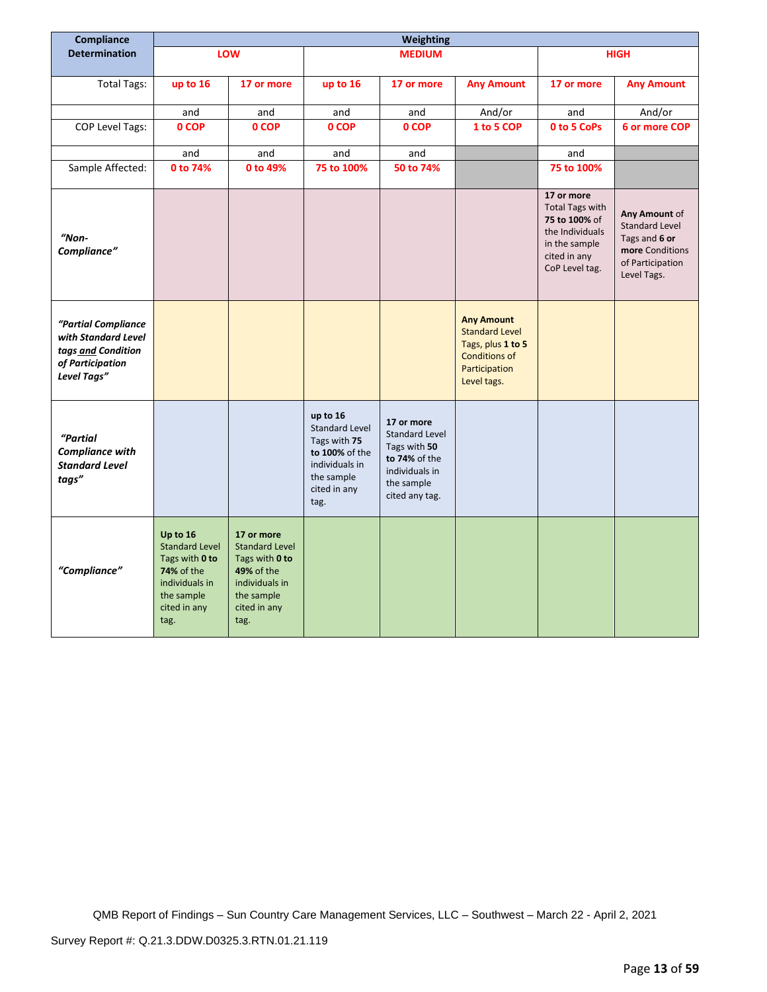| Compliance                                                                                          |                                                                                                                           |                                                                                                                                    |                                                                                                                             | Weighting                                                                                                              |                                                                                                                         |                                                                                                                             |                                                                                                               |
|-----------------------------------------------------------------------------------------------------|---------------------------------------------------------------------------------------------------------------------------|------------------------------------------------------------------------------------------------------------------------------------|-----------------------------------------------------------------------------------------------------------------------------|------------------------------------------------------------------------------------------------------------------------|-------------------------------------------------------------------------------------------------------------------------|-----------------------------------------------------------------------------------------------------------------------------|---------------------------------------------------------------------------------------------------------------|
| <b>Determination</b>                                                                                |                                                                                                                           | LOW                                                                                                                                |                                                                                                                             | <b>MEDIUM</b>                                                                                                          |                                                                                                                         | <b>HIGH</b>                                                                                                                 |                                                                                                               |
|                                                                                                     |                                                                                                                           |                                                                                                                                    |                                                                                                                             |                                                                                                                        |                                                                                                                         |                                                                                                                             |                                                                                                               |
| <b>Total Tags:</b>                                                                                  | up to 16                                                                                                                  | 17 or more                                                                                                                         | up to 16                                                                                                                    | 17 or more                                                                                                             | <b>Any Amount</b>                                                                                                       | 17 or more                                                                                                                  | <b>Any Amount</b>                                                                                             |
|                                                                                                     | and                                                                                                                       | and                                                                                                                                | and                                                                                                                         | and                                                                                                                    | And/or                                                                                                                  | and                                                                                                                         | And/or                                                                                                        |
| <b>COP Level Tags:</b>                                                                              | 0 COP                                                                                                                     | 0 COP                                                                                                                              | 0 COP                                                                                                                       | 0 COP                                                                                                                  | 1 to 5 COP                                                                                                              | 0 to 5 CoPs                                                                                                                 | 6 or more COP                                                                                                 |
|                                                                                                     | and                                                                                                                       | and                                                                                                                                | and                                                                                                                         | and                                                                                                                    |                                                                                                                         | and                                                                                                                         |                                                                                                               |
| Sample Affected:                                                                                    | 0 to 74%                                                                                                                  | 0 to 49%                                                                                                                           | 75 to 100%                                                                                                                  | 50 to 74%                                                                                                              |                                                                                                                         | 75 to 100%                                                                                                                  |                                                                                                               |
| "Non-<br>Compliance"                                                                                |                                                                                                                           |                                                                                                                                    |                                                                                                                             |                                                                                                                        |                                                                                                                         | 17 or more<br><b>Total Tags with</b><br>75 to 100% of<br>the Individuals<br>in the sample<br>cited in any<br>CoP Level tag. | Any Amount of<br><b>Standard Level</b><br>Tags and 6 or<br>more Conditions<br>of Participation<br>Level Tags. |
| "Partial Compliance<br>with Standard Level<br>tags and Condition<br>of Participation<br>Level Tags" |                                                                                                                           |                                                                                                                                    |                                                                                                                             |                                                                                                                        | <b>Any Amount</b><br><b>Standard Level</b><br>Tags, plus 1 to 5<br><b>Conditions of</b><br>Participation<br>Level tags. |                                                                                                                             |                                                                                                               |
| "Partial<br><b>Compliance with</b><br><b>Standard Level</b><br>tags"                                |                                                                                                                           |                                                                                                                                    | up to 16<br><b>Standard Level</b><br>Tags with 75<br>to 100% of the<br>individuals in<br>the sample<br>cited in any<br>tag. | 17 or more<br><b>Standard Level</b><br>Tags with 50<br>to 74% of the<br>individuals in<br>the sample<br>cited any tag. |                                                                                                                         |                                                                                                                             |                                                                                                               |
| "Compliance"                                                                                        | Up to 16<br><b>Standard Level</b><br>Tags with 0 to<br>74% of the<br>individuals in<br>the sample<br>cited in any<br>tag. | 17 or more<br><b>Standard Level</b><br>Tags with 0 to<br><b>49% of the</b><br>individuals in<br>the sample<br>cited in any<br>tag. |                                                                                                                             |                                                                                                                        |                                                                                                                         |                                                                                                                             |                                                                                                               |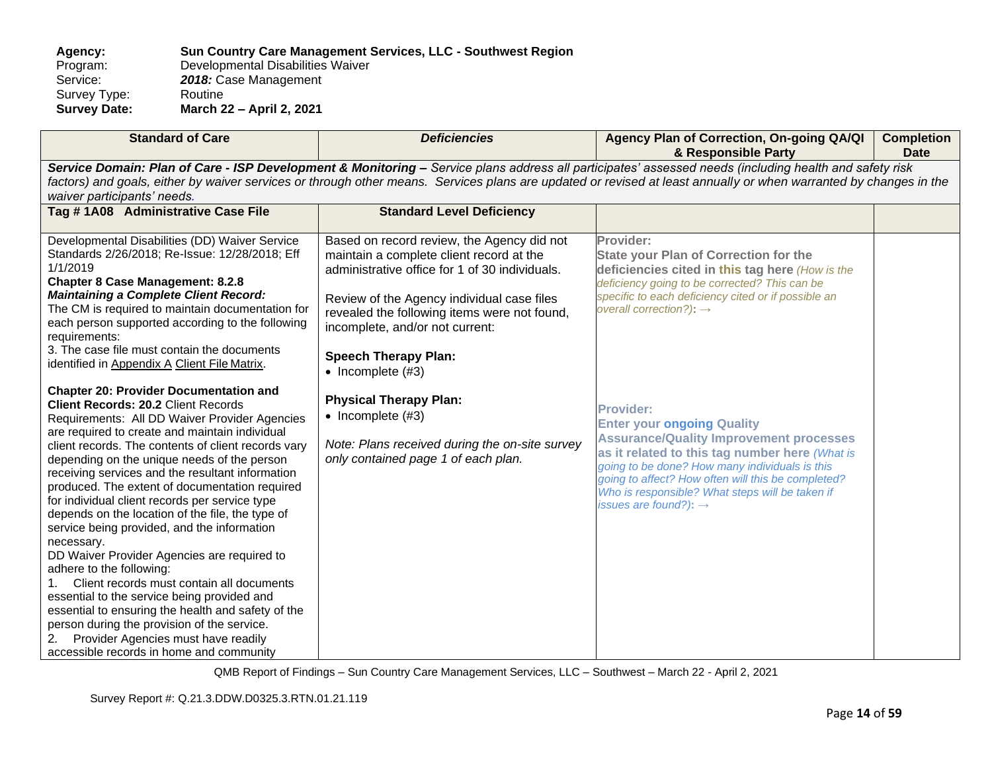**Agency: Sun Country Care Management Services, LLC - Southwest Region** Program: Developmental Disabilities Waiver<br>Service: 2018: Case Management 2018: Case Management<br>Routine Survey Type:<br>Survey Date: **Survey Date: March 22 – April 2, 2021**

| <b>Standard of Care</b>                                                                                                                                                                                                                                                                                                                                                                                                                                                                                                                                                                                                                                                                                                                                                                                                                             | <b>Deficiencies</b>                                                                                                                                                                                                                                                                                                                                                    | Agency Plan of Correction, On-going QA/QI<br>& Responsible Party                                                                                                                                                                                                                                                                                          | <b>Completion</b><br><b>Date</b> |  |  |  |
|-----------------------------------------------------------------------------------------------------------------------------------------------------------------------------------------------------------------------------------------------------------------------------------------------------------------------------------------------------------------------------------------------------------------------------------------------------------------------------------------------------------------------------------------------------------------------------------------------------------------------------------------------------------------------------------------------------------------------------------------------------------------------------------------------------------------------------------------------------|------------------------------------------------------------------------------------------------------------------------------------------------------------------------------------------------------------------------------------------------------------------------------------------------------------------------------------------------------------------------|-----------------------------------------------------------------------------------------------------------------------------------------------------------------------------------------------------------------------------------------------------------------------------------------------------------------------------------------------------------|----------------------------------|--|--|--|
| Service Domain: Plan of Care - ISP Development & Monitoring - Service plans address all participates' assessed needs (including health and safety risk<br>factors) and goals, either by waiver services or through other means. Services plans are updated or revised at least annually or when warranted by changes in the<br>waiver participants' needs.                                                                                                                                                                                                                                                                                                                                                                                                                                                                                          |                                                                                                                                                                                                                                                                                                                                                                        |                                                                                                                                                                                                                                                                                                                                                           |                                  |  |  |  |
| Tag #1A08 Administrative Case File                                                                                                                                                                                                                                                                                                                                                                                                                                                                                                                                                                                                                                                                                                                                                                                                                  | <b>Standard Level Deficiency</b>                                                                                                                                                                                                                                                                                                                                       |                                                                                                                                                                                                                                                                                                                                                           |                                  |  |  |  |
| Developmental Disabilities (DD) Waiver Service<br>Standards 2/26/2018; Re-Issue: 12/28/2018; Eff<br>1/1/2019<br><b>Chapter 8 Case Management: 8.2.8</b><br><b>Maintaining a Complete Client Record:</b><br>The CM is required to maintain documentation for<br>each person supported according to the following<br>requirements:<br>3. The case file must contain the documents<br>identified in Appendix A Client File Matrix.<br><b>Chapter 20: Provider Documentation and</b><br><b>Client Records: 20.2 Client Records</b>                                                                                                                                                                                                                                                                                                                      | Based on record review, the Agency did not<br>maintain a complete client record at the<br>administrative office for 1 of 30 individuals.<br>Review of the Agency individual case files<br>revealed the following items were not found,<br>incomplete, and/or not current:<br><b>Speech Therapy Plan:</b><br>$\bullet$ Incomplete (#3)<br><b>Physical Therapy Plan:</b> | Provider:<br><b>State your Plan of Correction for the</b><br>deficiencies cited in this tag here (How is the<br>deficiency going to be corrected? This can be<br>specific to each deficiency cited or if possible an<br>overall correction?): $\rightarrow$                                                                                               |                                  |  |  |  |
| Requirements: All DD Waiver Provider Agencies<br>are required to create and maintain individual<br>client records. The contents of client records vary<br>depending on the unique needs of the person<br>receiving services and the resultant information<br>produced. The extent of documentation required<br>for individual client records per service type<br>depends on the location of the file, the type of<br>service being provided, and the information<br>necessary.<br>DD Waiver Provider Agencies are required to<br>adhere to the following:<br>Client records must contain all documents<br>essential to the service being provided and<br>essential to ensuring the health and safety of the<br>person during the provision of the service.<br>Provider Agencies must have readily<br>2.<br>accessible records in home and community | $\bullet$ Incomplete (#3)<br>Note: Plans received during the on-site survey<br>only contained page 1 of each plan.                                                                                                                                                                                                                                                     | <b>Provider:</b><br><b>Enter your ongoing Quality</b><br><b>Assurance/Quality Improvement processes</b><br>as it related to this tag number here (What is<br>going to be done? How many individuals is this<br>going to affect? How often will this be completed?<br>Who is responsible? What steps will be taken if<br>issues are found?): $\rightarrow$ |                                  |  |  |  |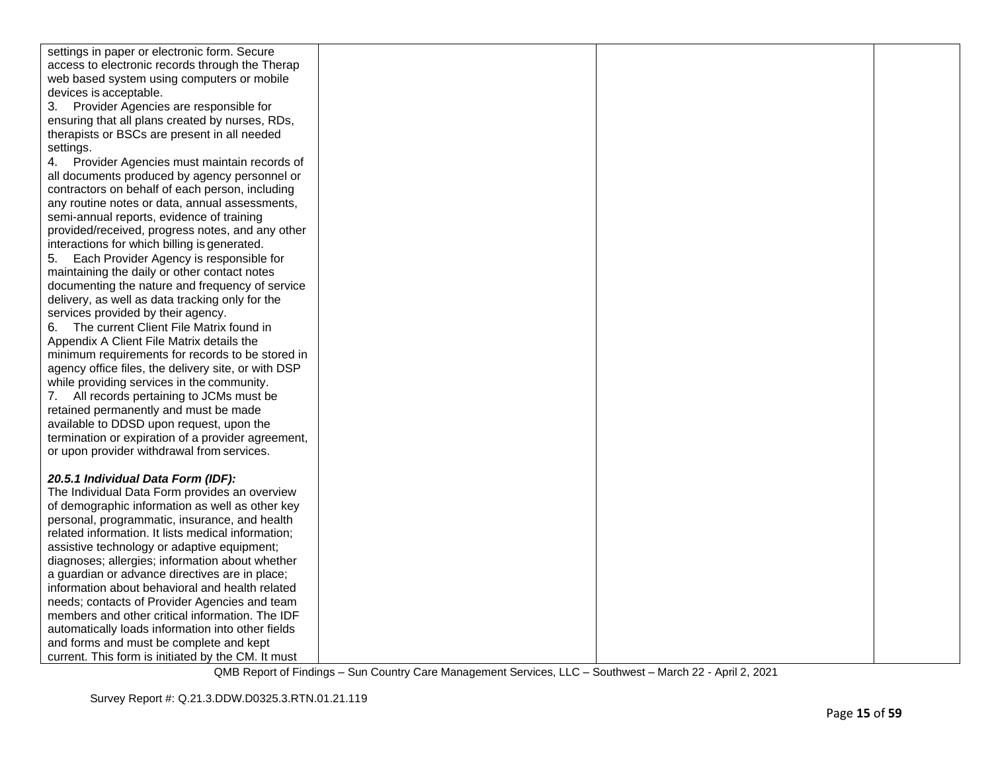| settings in paper or electronic form. Secure        |  |  |
|-----------------------------------------------------|--|--|
| access to electronic records through the Therap     |  |  |
| web based system using computers or mobile          |  |  |
| devices is acceptable.                              |  |  |
| 3. Provider Agencies are responsible for            |  |  |
| ensuring that all plans created by nurses, RDs,     |  |  |
| therapists or BSCs are present in all needed        |  |  |
| settings.                                           |  |  |
| 4.<br>Provider Agencies must maintain records of    |  |  |
| all documents produced by agency personnel or       |  |  |
| contractors on behalf of each person, including     |  |  |
| any routine notes or data, annual assessments,      |  |  |
| semi-annual reports, evidence of training           |  |  |
| provided/received, progress notes, and any other    |  |  |
| interactions for which billing is generated.        |  |  |
| 5.<br>Each Provider Agency is responsible for       |  |  |
| maintaining the daily or other contact notes        |  |  |
| documenting the nature and frequency of service     |  |  |
| delivery, as well as data tracking only for the     |  |  |
| services provided by their agency.                  |  |  |
| 6. The current Client File Matrix found in          |  |  |
| Appendix A Client File Matrix details the           |  |  |
| minimum requirements for records to be stored in    |  |  |
| agency office files, the delivery site, or with DSP |  |  |
| while providing services in the community.          |  |  |
| 7. All records pertaining to JCMs must be           |  |  |
| retained permanently and must be made               |  |  |
| available to DDSD upon request, upon the            |  |  |
| termination or expiration of a provider agreement,  |  |  |
| or upon provider withdrawal from services.          |  |  |
|                                                     |  |  |
| 20.5.1 Individual Data Form (IDF):                  |  |  |
| The Individual Data Form provides an overview       |  |  |
| of demographic information as well as other key     |  |  |
| personal, programmatic, insurance, and health       |  |  |
| related information. It lists medical information;  |  |  |
| assistive technology or adaptive equipment;         |  |  |
| diagnoses; allergies; information about whether     |  |  |
| a guardian or advance directives are in place;      |  |  |
| information about behavioral and health related     |  |  |
| needs; contacts of Provider Agencies and team       |  |  |
| members and other critical information. The IDF     |  |  |
| automatically loads information into other fields   |  |  |
| and forms and must be complete and kept             |  |  |
| current. This form is initiated by the CM. It must  |  |  |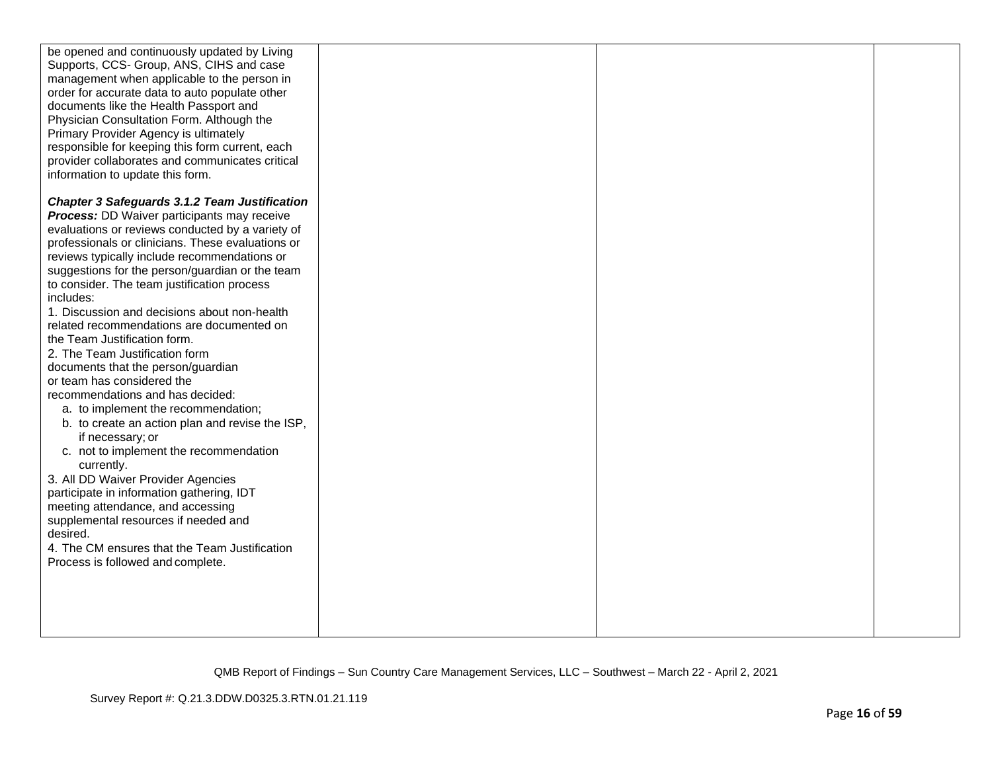| be opened and continuously updated by Living         |  |  |
|------------------------------------------------------|--|--|
| Supports, CCS- Group, ANS, CIHS and case             |  |  |
| management when applicable to the person in          |  |  |
| order for accurate data to auto populate other       |  |  |
| documents like the Health Passport and               |  |  |
| Physician Consultation Form. Although the            |  |  |
| Primary Provider Agency is ultimately                |  |  |
| responsible for keeping this form current, each      |  |  |
| provider collaborates and communicates critical      |  |  |
| information to update this form.                     |  |  |
|                                                      |  |  |
| <b>Chapter 3 Safeguards 3.1.2 Team Justification</b> |  |  |
| <b>Process:</b> DD Waiver participants may receive   |  |  |
| evaluations or reviews conducted by a variety of     |  |  |
| professionals or clinicians. These evaluations or    |  |  |
| reviews typically include recommendations or         |  |  |
| suggestions for the person/guardian or the team      |  |  |
| to consider. The team justification process          |  |  |
| includes:                                            |  |  |
| 1. Discussion and decisions about non-health         |  |  |
| related recommendations are documented on            |  |  |
| the Team Justification form.                         |  |  |
| 2. The Team Justification form                       |  |  |
| documents that the person/guardian                   |  |  |
| or team has considered the                           |  |  |
| recommendations and has decided:                     |  |  |
| a. to implement the recommendation;                  |  |  |
| b. to create an action plan and revise the ISP,      |  |  |
| if necessary; or                                     |  |  |
| c. not to implement the recommendation               |  |  |
| currently.                                           |  |  |
| 3. All DD Waiver Provider Agencies                   |  |  |
| participate in information gathering, IDT            |  |  |
| meeting attendance, and accessing                    |  |  |
| supplemental resources if needed and                 |  |  |
| desired.                                             |  |  |
| 4. The CM ensures that the Team Justification        |  |  |
| Process is followed and complete.                    |  |  |
|                                                      |  |  |
|                                                      |  |  |
|                                                      |  |  |
|                                                      |  |  |
|                                                      |  |  |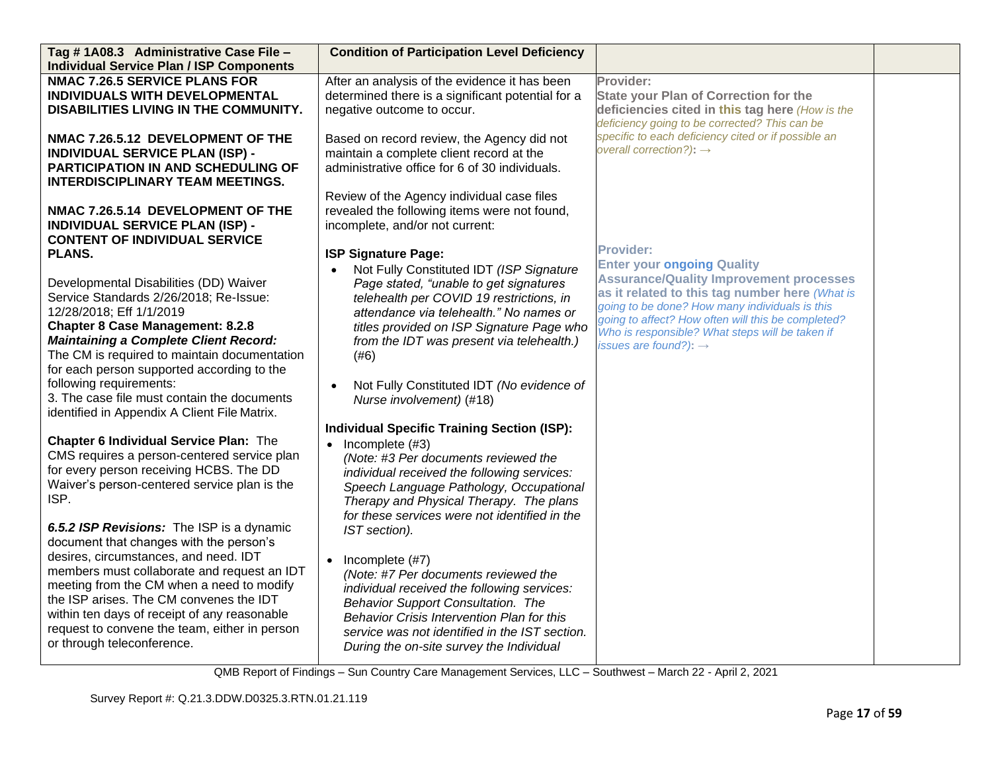| Tag #1A08.3 Administrative Case File -<br><b>Individual Service Plan / ISP Components</b> | <b>Condition of Participation Level Deficiency</b>    |                                                     |  |
|-------------------------------------------------------------------------------------------|-------------------------------------------------------|-----------------------------------------------------|--|
| <b>NMAC 7.26.5 SERVICE PLANS FOR</b>                                                      | After an analysis of the evidence it has been         | Provider:                                           |  |
| INDIVIDUALS WITH DEVELOPMENTAL                                                            |                                                       |                                                     |  |
|                                                                                           | determined there is a significant potential for a     | <b>State your Plan of Correction for the</b>        |  |
| DISABILITIES LIVING IN THE COMMUNITY.                                                     | negative outcome to occur.                            | deficiencies cited in this tag here (How is the     |  |
|                                                                                           |                                                       | deficiency going to be corrected? This can be       |  |
| NMAC 7.26.5.12 DEVELOPMENT OF THE                                                         | Based on record review, the Agency did not            | specific to each deficiency cited or if possible an |  |
| <b>INDIVIDUAL SERVICE PLAN (ISP) -</b>                                                    | maintain a complete client record at the              | overall correction?): $\rightarrow$                 |  |
| PARTICIPATION IN AND SCHEDULING OF                                                        | administrative office for 6 of 30 individuals.        |                                                     |  |
| <b>INTERDISCIPLINARY TEAM MEETINGS.</b>                                                   |                                                       |                                                     |  |
|                                                                                           | Review of the Agency individual case files            |                                                     |  |
| NMAC 7.26.5.14 DEVELOPMENT OF THE                                                         | revealed the following items were not found,          |                                                     |  |
| <b>INDIVIDUAL SERVICE PLAN (ISP) -</b>                                                    | incomplete, and/or not current:                       |                                                     |  |
| <b>CONTENT OF INDIVIDUAL SERVICE</b>                                                      |                                                       |                                                     |  |
| <b>PLANS.</b>                                                                             | <b>ISP Signature Page:</b>                            | <b>Provider:</b>                                    |  |
|                                                                                           |                                                       | <b>Enter your ongoing Quality</b>                   |  |
|                                                                                           | Not Fully Constituted IDT (ISP Signature<br>$\bullet$ | <b>Assurance/Quality Improvement processes</b>      |  |
| Developmental Disabilities (DD) Waiver                                                    | Page stated, "unable to get signatures                | as it related to this tag number here (What is      |  |
| Service Standards 2/26/2018; Re-Issue:                                                    | telehealth per COVID 19 restrictions, in              | going to be done? How many individuals is this      |  |
| 12/28/2018; Eff 1/1/2019                                                                  | attendance via telehealth." No names or               | going to affect? How often will this be completed?  |  |
| <b>Chapter 8 Case Management: 8.2.8</b>                                                   | titles provided on ISP Signature Page who             | Who is responsible? What steps will be taken if     |  |
| <b>Maintaining a Complete Client Record:</b>                                              | from the IDT was present via telehealth.)             | issues are found?): $\rightarrow$                   |  |
| The CM is required to maintain documentation                                              | (#6)                                                  |                                                     |  |
| for each person supported according to the                                                |                                                       |                                                     |  |
| following requirements:                                                                   | Not Fully Constituted IDT (No evidence of             |                                                     |  |
| 3. The case file must contain the documents                                               | Nurse involvement) (#18)                              |                                                     |  |
| identified in Appendix A Client File Matrix.                                              |                                                       |                                                     |  |
|                                                                                           | <b>Individual Specific Training Section (ISP):</b>    |                                                     |  |
| <b>Chapter 6 Individual Service Plan: The</b>                                             | Incomplete (#3)<br>$\bullet$                          |                                                     |  |
| CMS requires a person-centered service plan                                               |                                                       |                                                     |  |
| for every person receiving HCBS. The DD                                                   | (Note: #3 Per documents reviewed the                  |                                                     |  |
| Waiver's person-centered service plan is the                                              | individual received the following services:           |                                                     |  |
| ISP.                                                                                      | Speech Language Pathology, Occupational               |                                                     |  |
|                                                                                           | Therapy and Physical Therapy. The plans               |                                                     |  |
|                                                                                           | for these services were not identified in the         |                                                     |  |
| 6.5.2 ISP Revisions: The ISP is a dynamic                                                 | IST section).                                         |                                                     |  |
| document that changes with the person's                                                   |                                                       |                                                     |  |
| desires, circumstances, and need. IDT                                                     | Incomplete (#7)<br>$\bullet$                          |                                                     |  |
| members must collaborate and request an IDT                                               | (Note: #7 Per documents reviewed the                  |                                                     |  |
| meeting from the CM when a need to modify                                                 | individual received the following services:           |                                                     |  |
| the ISP arises. The CM convenes the IDT                                                   | Behavior Support Consultation. The                    |                                                     |  |
| within ten days of receipt of any reasonable                                              | Behavior Crisis Intervention Plan for this            |                                                     |  |
| request to convene the team, either in person                                             | service was not identified in the IST section.        |                                                     |  |
| or through teleconference.                                                                | During the on-site survey the Individual              |                                                     |  |
|                                                                                           |                                                       |                                                     |  |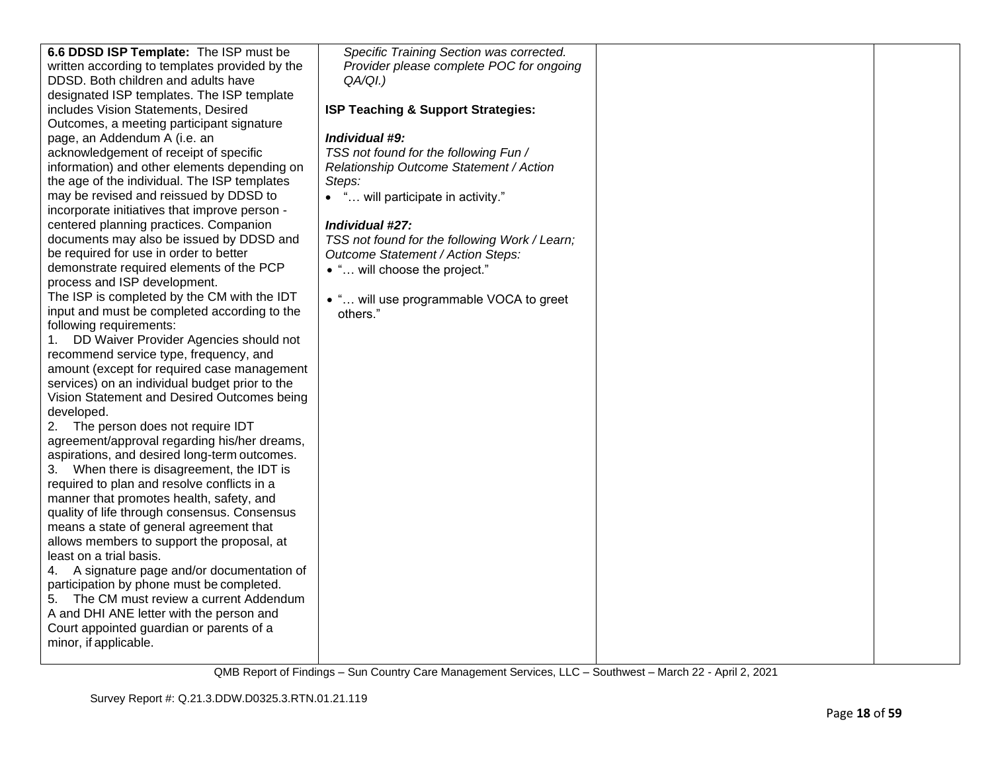| 6.6 DDSD ISP Template: The ISP must be                                                   | Specific Training Section was corrected.      |  |
|------------------------------------------------------------------------------------------|-----------------------------------------------|--|
| written according to templates provided by the                                           | Provider please complete POC for ongoing      |  |
| DDSD. Both children and adults have                                                      | $QA/QI.$ )                                    |  |
| designated ISP templates. The ISP template                                               |                                               |  |
| includes Vision Statements, Desired                                                      | ISP Teaching & Support Strategies:            |  |
| Outcomes, a meeting participant signature                                                |                                               |  |
| page, an Addendum A (i.e. an                                                             | Individual #9:                                |  |
| acknowledgement of receipt of specific                                                   | TSS not found for the following Fun /         |  |
| information) and other elements depending on                                             | Relationship Outcome Statement / Action       |  |
| the age of the individual. The ISP templates                                             | Steps:                                        |  |
| may be revised and reissued by DDSD to                                                   | • " will participate in activity."            |  |
| incorporate initiatives that improve person -                                            |                                               |  |
| centered planning practices. Companion                                                   | Individual #27:                               |  |
| documents may also be issued by DDSD and                                                 | TSS not found for the following Work / Learn; |  |
| be required for use in order to better                                                   | Outcome Statement / Action Steps:             |  |
| demonstrate required elements of the PCP                                                 | • " will choose the project."                 |  |
| process and ISP development.                                                             |                                               |  |
| The ISP is completed by the CM with the IDT                                              | • " will use programmable VOCA to greet       |  |
| input and must be completed according to the                                             | others."                                      |  |
| following requirements:                                                                  |                                               |  |
| DD Waiver Provider Agencies should not<br>1.                                             |                                               |  |
| recommend service type, frequency, and                                                   |                                               |  |
| amount (except for required case management                                              |                                               |  |
| services) on an individual budget prior to the                                           |                                               |  |
| Vision Statement and Desired Outcomes being                                              |                                               |  |
| developed.                                                                               |                                               |  |
| The person does not require IDT<br>2.                                                    |                                               |  |
| agreement/approval regarding his/her dreams,                                             |                                               |  |
| aspirations, and desired long-term outcomes.                                             |                                               |  |
| 3. When there is disagreement, the IDT is<br>required to plan and resolve conflicts in a |                                               |  |
| manner that promotes health, safety, and                                                 |                                               |  |
| quality of life through consensus. Consensus                                             |                                               |  |
| means a state of general agreement that                                                  |                                               |  |
| allows members to support the proposal, at                                               |                                               |  |
| least on a trial basis.                                                                  |                                               |  |
| 4. A signature page and/or documentation of                                              |                                               |  |
| participation by phone must be completed.                                                |                                               |  |
| 5. The CM must review a current Addendum                                                 |                                               |  |
| A and DHI ANE letter with the person and                                                 |                                               |  |
| Court appointed guardian or parents of a                                                 |                                               |  |
| minor, if applicable.                                                                    |                                               |  |
|                                                                                          |                                               |  |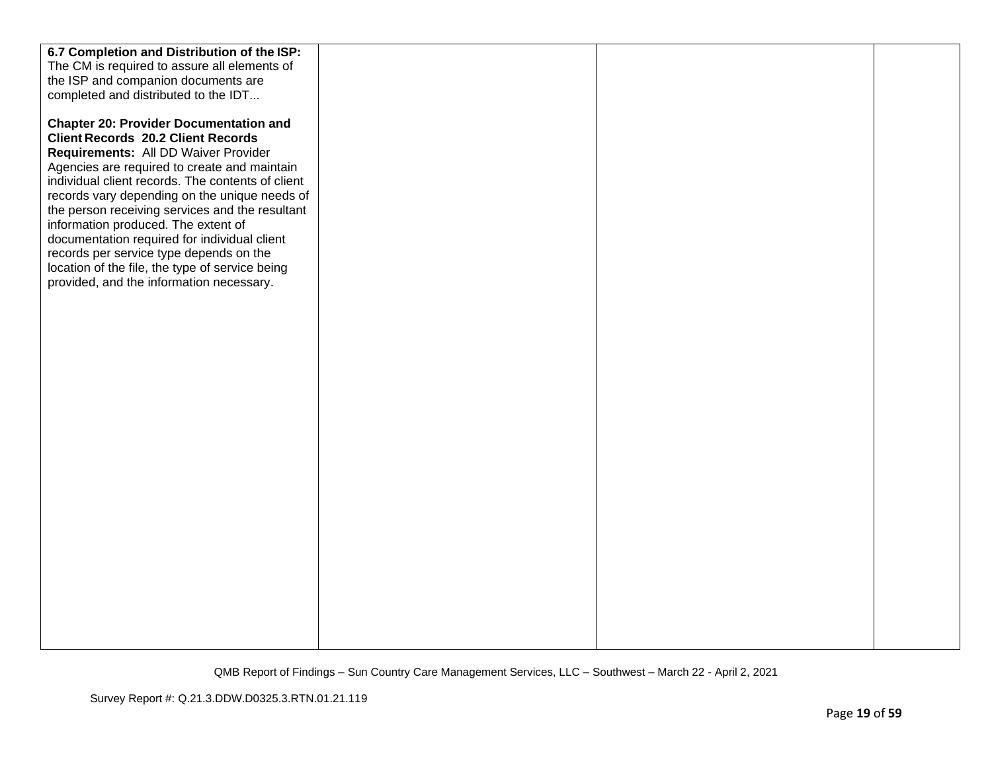| The CM is required to assure all elements of<br>the ISP and companion documents are<br>completed and distributed to the IDT<br><b>Chapter 20: Provider Documentation and</b><br><b>Client Records 20.2 Client Records</b><br>Requirements: All DD Waiver Provider<br>Agencies are required to create and maintain |
|-------------------------------------------------------------------------------------------------------------------------------------------------------------------------------------------------------------------------------------------------------------------------------------------------------------------|
|                                                                                                                                                                                                                                                                                                                   |
|                                                                                                                                                                                                                                                                                                                   |
|                                                                                                                                                                                                                                                                                                                   |
|                                                                                                                                                                                                                                                                                                                   |
|                                                                                                                                                                                                                                                                                                                   |
|                                                                                                                                                                                                                                                                                                                   |
|                                                                                                                                                                                                                                                                                                                   |
|                                                                                                                                                                                                                                                                                                                   |
| individual client records. The contents of client                                                                                                                                                                                                                                                                 |
| records vary depending on the unique needs of                                                                                                                                                                                                                                                                     |
| the person receiving services and the resultant                                                                                                                                                                                                                                                                   |
| information produced. The extent of                                                                                                                                                                                                                                                                               |
| documentation required for individual client                                                                                                                                                                                                                                                                      |
| records per service type depends on the                                                                                                                                                                                                                                                                           |
| location of the file, the type of service being                                                                                                                                                                                                                                                                   |
| provided, and the information necessary.                                                                                                                                                                                                                                                                          |
|                                                                                                                                                                                                                                                                                                                   |
|                                                                                                                                                                                                                                                                                                                   |
|                                                                                                                                                                                                                                                                                                                   |
|                                                                                                                                                                                                                                                                                                                   |
|                                                                                                                                                                                                                                                                                                                   |
|                                                                                                                                                                                                                                                                                                                   |
|                                                                                                                                                                                                                                                                                                                   |
|                                                                                                                                                                                                                                                                                                                   |
|                                                                                                                                                                                                                                                                                                                   |
|                                                                                                                                                                                                                                                                                                                   |
|                                                                                                                                                                                                                                                                                                                   |
|                                                                                                                                                                                                                                                                                                                   |
|                                                                                                                                                                                                                                                                                                                   |
|                                                                                                                                                                                                                                                                                                                   |
|                                                                                                                                                                                                                                                                                                                   |
|                                                                                                                                                                                                                                                                                                                   |
|                                                                                                                                                                                                                                                                                                                   |
|                                                                                                                                                                                                                                                                                                                   |
|                                                                                                                                                                                                                                                                                                                   |
|                                                                                                                                                                                                                                                                                                                   |
|                                                                                                                                                                                                                                                                                                                   |
|                                                                                                                                                                                                                                                                                                                   |
|                                                                                                                                                                                                                                                                                                                   |
|                                                                                                                                                                                                                                                                                                                   |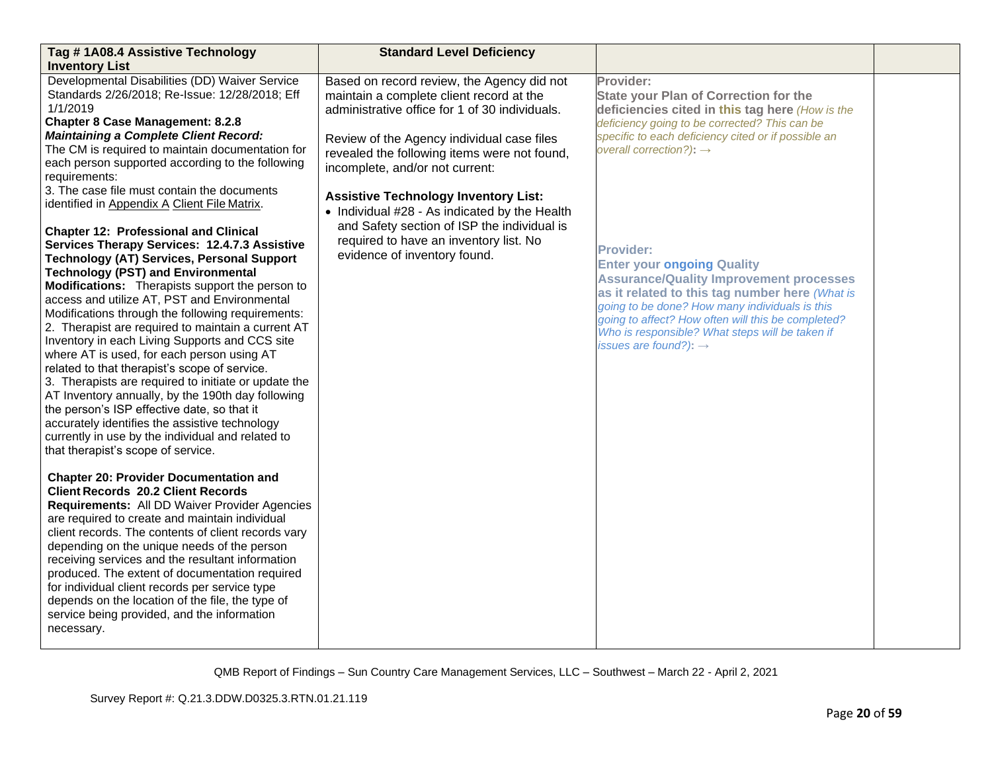| Tag #1A08.4 Assistive Technology                                                                                                                                                                                                                                                                                                                                                                                                                                                                                                                                                                                                                                                                                                                                                                                                                                                                                                                                       | <b>Standard Level Deficiency</b>                                                                                                                                                                                                                                          |                                                                                                                                                                                                                                                                                                                                                           |  |
|------------------------------------------------------------------------------------------------------------------------------------------------------------------------------------------------------------------------------------------------------------------------------------------------------------------------------------------------------------------------------------------------------------------------------------------------------------------------------------------------------------------------------------------------------------------------------------------------------------------------------------------------------------------------------------------------------------------------------------------------------------------------------------------------------------------------------------------------------------------------------------------------------------------------------------------------------------------------|---------------------------------------------------------------------------------------------------------------------------------------------------------------------------------------------------------------------------------------------------------------------------|-----------------------------------------------------------------------------------------------------------------------------------------------------------------------------------------------------------------------------------------------------------------------------------------------------------------------------------------------------------|--|
| <b>Inventory List</b>                                                                                                                                                                                                                                                                                                                                                                                                                                                                                                                                                                                                                                                                                                                                                                                                                                                                                                                                                  |                                                                                                                                                                                                                                                                           |                                                                                                                                                                                                                                                                                                                                                           |  |
| Developmental Disabilities (DD) Waiver Service<br>Standards 2/26/2018; Re-Issue: 12/28/2018; Eff<br>1/1/2019<br><b>Chapter 8 Case Management: 8.2.8</b><br><b>Maintaining a Complete Client Record:</b><br>The CM is required to maintain documentation for<br>each person supported according to the following<br>requirements:                                                                                                                                                                                                                                                                                                                                                                                                                                                                                                                                                                                                                                       | Based on record review, the Agency did not<br>maintain a complete client record at the<br>administrative office for 1 of 30 individuals.<br>Review of the Agency individual case files<br>revealed the following items were not found,<br>incomplete, and/or not current: | Provider:<br><b>State your Plan of Correction for the</b><br>deficiencies cited in this tag here (How is the<br>deficiency going to be corrected? This can be<br>specific to each deficiency cited or if possible an<br>overall correction?): $\rightarrow$                                                                                               |  |
| 3. The case file must contain the documents<br>identified in Appendix A Client File Matrix.<br><b>Chapter 12: Professional and Clinical</b><br>Services Therapy Services: 12.4.7.3 Assistive<br><b>Technology (AT) Services, Personal Support</b><br><b>Technology (PST) and Environmental</b><br>Modifications: Therapists support the person to<br>access and utilize AT, PST and Environmental<br>Modifications through the following requirements:<br>2. Therapist are required to maintain a current AT<br>Inventory in each Living Supports and CCS site<br>where AT is used, for each person using AT<br>related to that therapist's scope of service.<br>3. Therapists are required to initiate or update the<br>AT Inventory annually, by the 190th day following<br>the person's ISP effective date, so that it<br>accurately identifies the assistive technology<br>currently in use by the individual and related to<br>that therapist's scope of service. | <b>Assistive Technology Inventory List:</b><br>• Individual #28 - As indicated by the Health<br>and Safety section of ISP the individual is<br>required to have an inventory list. No<br>evidence of inventory found.                                                     | <b>Provider:</b><br><b>Enter your ongoing Quality</b><br><b>Assurance/Quality Improvement processes</b><br>as it related to this tag number here (What is<br>going to be done? How many individuals is this<br>going to affect? How often will this be completed?<br>Who is responsible? What steps will be taken if<br>issues are found?): $\rightarrow$ |  |
| <b>Chapter 20: Provider Documentation and</b><br><b>Client Records 20.2 Client Records</b><br>Requirements: All DD Waiver Provider Agencies<br>are required to create and maintain individual<br>client records. The contents of client records vary<br>depending on the unique needs of the person<br>receiving services and the resultant information<br>produced. The extent of documentation required<br>for individual client records per service type<br>depends on the location of the file, the type of<br>service being provided, and the information<br>necessary.                                                                                                                                                                                                                                                                                                                                                                                           |                                                                                                                                                                                                                                                                           |                                                                                                                                                                                                                                                                                                                                                           |  |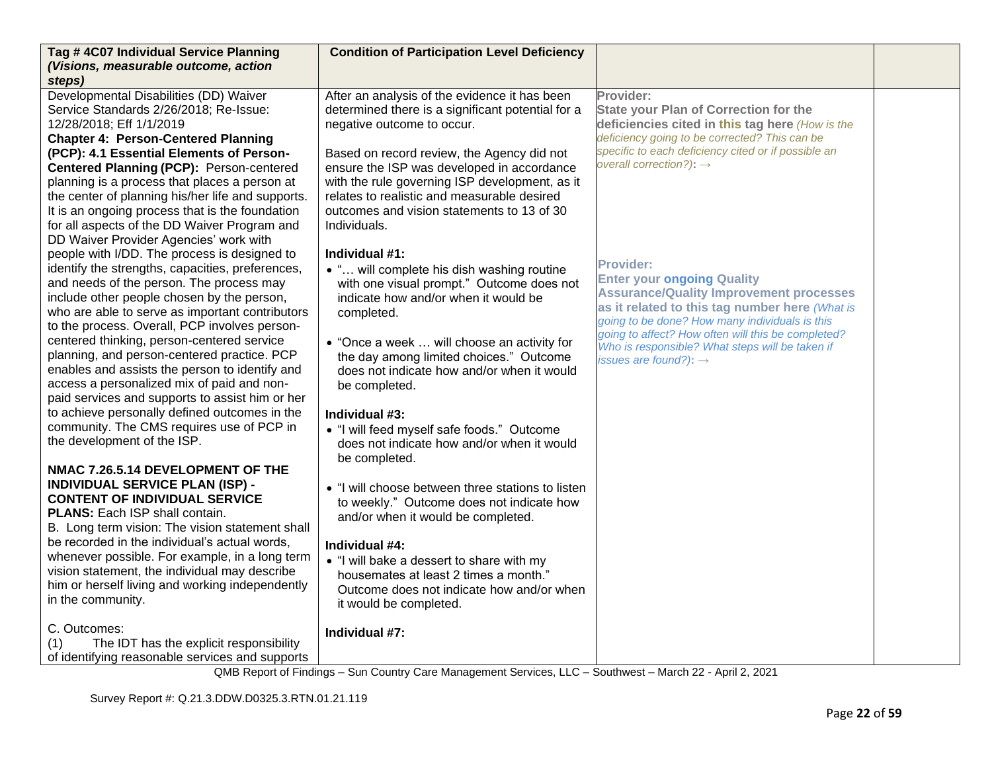| Tag #4C07 Individual Service Planning<br>(Visions, measurable outcome, action                                                                                                                                                                                                                  | <b>Condition of Participation Level Deficiency</b>                                                                                                                                                        |                                                                                                                                                                                                                                                                   |  |
|------------------------------------------------------------------------------------------------------------------------------------------------------------------------------------------------------------------------------------------------------------------------------------------------|-----------------------------------------------------------------------------------------------------------------------------------------------------------------------------------------------------------|-------------------------------------------------------------------------------------------------------------------------------------------------------------------------------------------------------------------------------------------------------------------|--|
| steps)                                                                                                                                                                                                                                                                                         |                                                                                                                                                                                                           |                                                                                                                                                                                                                                                                   |  |
| Developmental Disabilities (DD) Waiver<br>Service Standards 2/26/2018; Re-Issue:<br>12/28/2018; Eff 1/1/2019<br><b>Chapter 4: Person-Centered Planning</b><br>(PCP): 4.1 Essential Elements of Person-                                                                                         | After an analysis of the evidence it has been<br>determined there is a significant potential for a<br>negative outcome to occur.<br>Based on record review, the Agency did not                            | Provider:<br><b>State your Plan of Correction for the</b><br>deficiencies cited in this tag here (How is the<br>deficiency going to be corrected? This can be<br>specific to each deficiency cited or if possible an                                              |  |
| Centered Planning (PCP): Person-centered<br>planning is a process that places a person at<br>the center of planning his/her life and supports.<br>It is an ongoing process that is the foundation<br>for all aspects of the DD Waiver Program and<br>DD Waiver Provider Agencies' work with    | ensure the ISP was developed in accordance<br>with the rule governing ISP development, as it<br>relates to realistic and measurable desired<br>outcomes and vision statements to 13 of 30<br>Individuals. | overall correction?): $\rightarrow$                                                                                                                                                                                                                               |  |
| people with I/DD. The process is designed to<br>identify the strengths, capacities, preferences,<br>and needs of the person. The process may<br>include other people chosen by the person,<br>who are able to serve as important contributors<br>to the process. Overall, PCP involves person- | Individual #1:<br>. " will complete his dish washing routine<br>with one visual prompt." Outcome does not<br>indicate how and/or when it would be<br>completed.                                           | <b>Provider:</b><br><b>Enter your ongoing Quality</b><br><b>Assurance/Quality Improvement processes</b><br>as it related to this tag number here (What is<br>going to be done? How many individuals is this<br>going to affect? How often will this be completed? |  |
| centered thinking, person-centered service<br>planning, and person-centered practice. PCP<br>enables and assists the person to identify and<br>access a personalized mix of paid and non-<br>paid services and supports to assist him or her<br>to achieve personally defined outcomes in the  | • "Once a week  will choose an activity for<br>the day among limited choices." Outcome<br>does not indicate how and/or when it would<br>be completed.<br>Individual #3:                                   | Who is responsible? What steps will be taken if<br>issues are found?): $\rightarrow$                                                                                                                                                                              |  |
| community. The CMS requires use of PCP in<br>the development of the ISP.                                                                                                                                                                                                                       | • "I will feed myself safe foods." Outcome<br>does not indicate how and/or when it would<br>be completed.                                                                                                 |                                                                                                                                                                                                                                                                   |  |
| NMAC 7.26.5.14 DEVELOPMENT OF THE<br><b>INDIVIDUAL SERVICE PLAN (ISP) -</b><br><b>CONTENT OF INDIVIDUAL SERVICE</b><br>PLANS: Each ISP shall contain.<br>B. Long term vision: The vision statement shall                                                                                       | • "I will choose between three stations to listen<br>to weekly." Outcome does not indicate how<br>and/or when it would be completed.                                                                      |                                                                                                                                                                                                                                                                   |  |
| be recorded in the individual's actual words,<br>whenever possible. For example, in a long term<br>vision statement, the individual may describe<br>him or herself living and working independently<br>in the community.                                                                       | Individual #4:<br>• "I will bake a dessert to share with my<br>housemates at least 2 times a month."<br>Outcome does not indicate how and/or when<br>it would be completed.                               |                                                                                                                                                                                                                                                                   |  |
| C. Outcomes:<br>The IDT has the explicit responsibility<br>(1)<br>of identifying reasonable services and supports                                                                                                                                                                              | Individual #7:                                                                                                                                                                                            |                                                                                                                                                                                                                                                                   |  |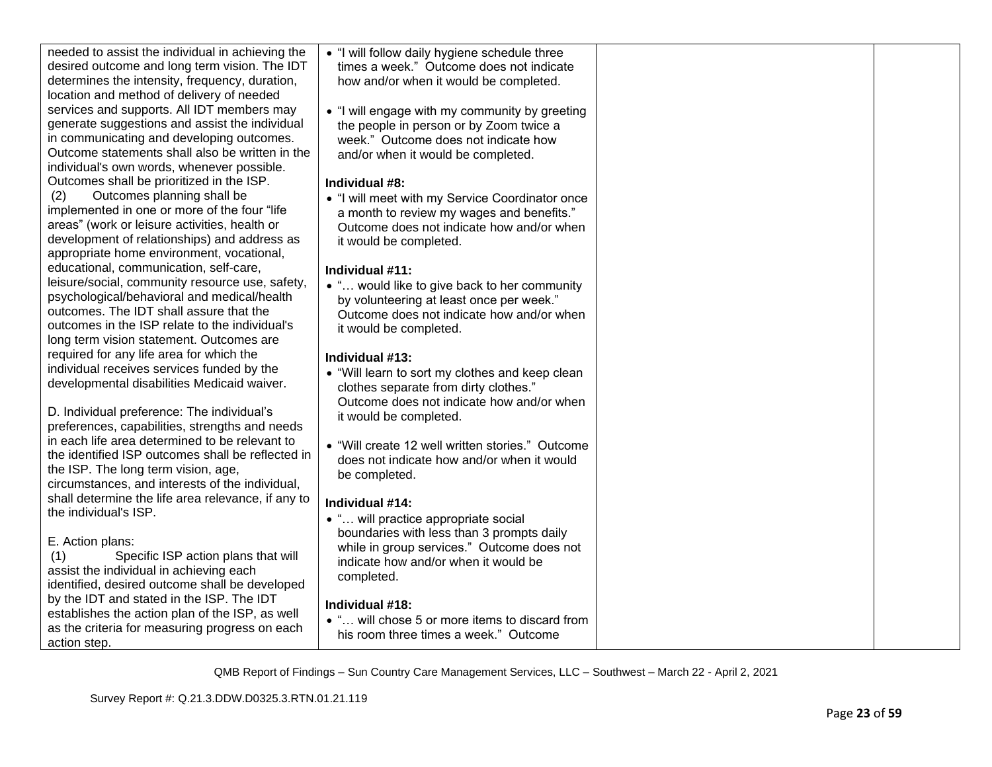| needed to assist the individual in achieving the                                                | . "I will follow daily hygiene schedule three    |  |
|-------------------------------------------------------------------------------------------------|--------------------------------------------------|--|
| desired outcome and long term vision. The IDT<br>determines the intensity, frequency, duration, | times a week." Outcome does not indicate         |  |
| location and method of delivery of needed                                                       | how and/or when it would be completed.           |  |
| services and supports. All IDT members may                                                      | . "I will engage with my community by greeting   |  |
| generate suggestions and assist the individual                                                  | the people in person or by Zoom twice a          |  |
| in communicating and developing outcomes.                                                       | week." Outcome does not indicate how             |  |
| Outcome statements shall also be written in the                                                 | and/or when it would be completed.               |  |
| individual's own words, whenever possible.                                                      |                                                  |  |
| Outcomes shall be prioritized in the ISP.                                                       | Individual #8:                                   |  |
| Outcomes planning shall be<br>(2)                                                               | . "I will meet with my Service Coordinator once  |  |
| implemented in one or more of the four "life                                                    | a month to review my wages and benefits."        |  |
| areas" (work or leisure activities, health or                                                   | Outcome does not indicate how and/or when        |  |
| development of relationships) and address as                                                    | it would be completed.                           |  |
| appropriate home environment, vocational,                                                       |                                                  |  |
| educational, communication, self-care,                                                          | Individual #11:                                  |  |
| leisure/social, community resource use, safety,                                                 | • " would like to give back to her community     |  |
| psychological/behavioral and medical/health                                                     | by volunteering at least once per week."         |  |
| outcomes. The IDT shall assure that the                                                         | Outcome does not indicate how and/or when        |  |
| outcomes in the ISP relate to the individual's                                                  | it would be completed.                           |  |
| long term vision statement. Outcomes are                                                        |                                                  |  |
| required for any life area for which the                                                        | Individual #13:                                  |  |
| individual receives services funded by the                                                      | • "Will learn to sort my clothes and keep clean  |  |
| developmental disabilities Medicaid waiver.                                                     | clothes separate from dirty clothes."            |  |
|                                                                                                 | Outcome does not indicate how and/or when        |  |
| D. Individual preference: The individual's                                                      | it would be completed.                           |  |
| preferences, capabilities, strengths and needs                                                  |                                                  |  |
| in each life area determined to be relevant to                                                  | • "Will create 12 well written stories." Outcome |  |
| the identified ISP outcomes shall be reflected in                                               | does not indicate how and/or when it would       |  |
| the ISP. The long term vision, age,                                                             | be completed.                                    |  |
| circumstances, and interests of the individual,                                                 |                                                  |  |
| shall determine the life area relevance, if any to                                              | Individual #14:                                  |  |
| the individual's ISP.                                                                           | • " will practice appropriate social             |  |
|                                                                                                 | boundaries with less than 3 prompts daily        |  |
| E. Action plans:                                                                                | while in group services." Outcome does not       |  |
| Specific ISP action plans that will<br>(1)                                                      | indicate how and/or when it would be             |  |
| assist the individual in achieving each                                                         | completed.                                       |  |
| identified, desired outcome shall be developed                                                  |                                                  |  |
| by the IDT and stated in the ISP. The IDT                                                       | Individual #18:                                  |  |
| establishes the action plan of the ISP, as well                                                 | • " will chose 5 or more items to discard from   |  |
| as the criteria for measuring progress on each                                                  | his room three times a week." Outcome            |  |
| action step.                                                                                    |                                                  |  |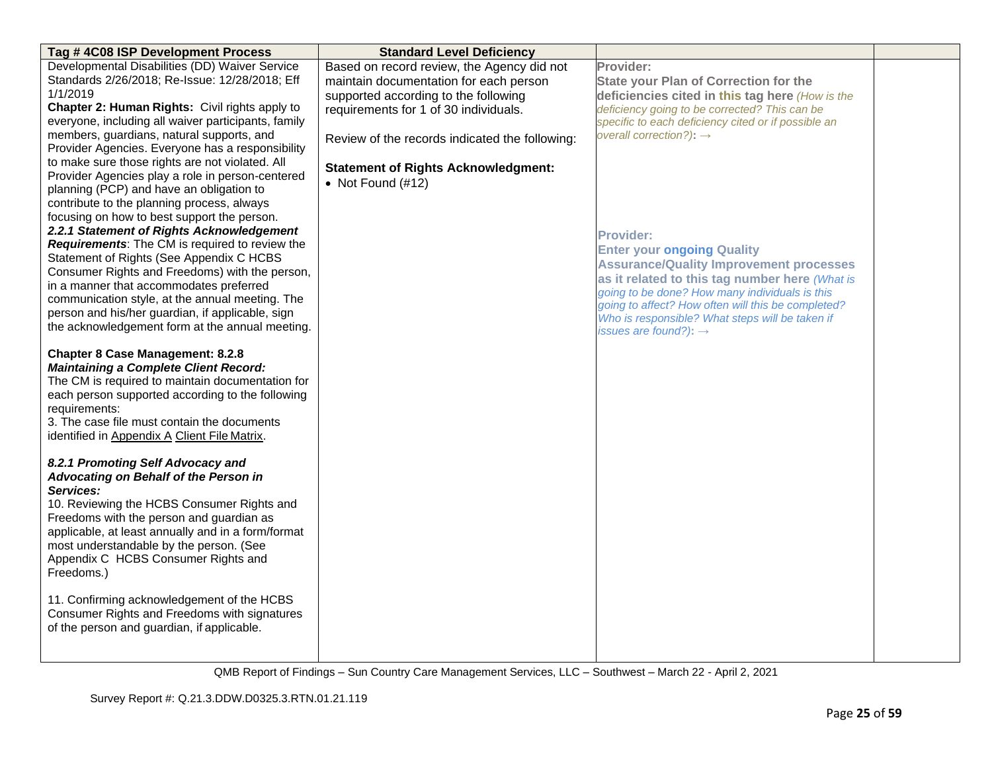| Tag #4C08 ISP Development Process                                                                                                                                                                                                                                                                               | <b>Standard Level Deficiency</b>               |                                                     |  |
|-----------------------------------------------------------------------------------------------------------------------------------------------------------------------------------------------------------------------------------------------------------------------------------------------------------------|------------------------------------------------|-----------------------------------------------------|--|
| Developmental Disabilities (DD) Waiver Service                                                                                                                                                                                                                                                                  | Based on record review, the Agency did not     | <b>Provider:</b>                                    |  |
| Standards 2/26/2018; Re-Issue: 12/28/2018; Eff                                                                                                                                                                                                                                                                  | maintain documentation for each person         | <b>State your Plan of Correction for the</b>        |  |
| 1/1/2019                                                                                                                                                                                                                                                                                                        | supported according to the following           | deficiencies cited in this tag here (How is the     |  |
| Chapter 2: Human Rights: Civil rights apply to                                                                                                                                                                                                                                                                  | requirements for 1 of 30 individuals.          | deficiency going to be corrected? This can be       |  |
| everyone, including all waiver participants, family                                                                                                                                                                                                                                                             |                                                | specific to each deficiency cited or if possible an |  |
| members, guardians, natural supports, and<br>Provider Agencies. Everyone has a responsibility                                                                                                                                                                                                                   | Review of the records indicated the following: | overall correction?): $\rightarrow$                 |  |
| to make sure those rights are not violated. All                                                                                                                                                                                                                                                                 | <b>Statement of Rights Acknowledgment:</b>     |                                                     |  |
| Provider Agencies play a role in person-centered                                                                                                                                                                                                                                                                | • Not Found $(\#12)$                           |                                                     |  |
| planning (PCP) and have an obligation to                                                                                                                                                                                                                                                                        |                                                |                                                     |  |
| contribute to the planning process, always                                                                                                                                                                                                                                                                      |                                                |                                                     |  |
| focusing on how to best support the person.                                                                                                                                                                                                                                                                     |                                                |                                                     |  |
| 2.2.1 Statement of Rights Acknowledgement                                                                                                                                                                                                                                                                       |                                                | <b>Provider:</b>                                    |  |
| Requirements: The CM is required to review the                                                                                                                                                                                                                                                                  |                                                | <b>Enter your ongoing Quality</b>                   |  |
| Statement of Rights (See Appendix C HCBS                                                                                                                                                                                                                                                                        |                                                | <b>Assurance/Quality Improvement processes</b>      |  |
| Consumer Rights and Freedoms) with the person,                                                                                                                                                                                                                                                                  |                                                | as it related to this tag number here (What is      |  |
| in a manner that accommodates preferred<br>communication style, at the annual meeting. The                                                                                                                                                                                                                      |                                                | going to be done? How many individuals is this      |  |
| person and his/her guardian, if applicable, sign                                                                                                                                                                                                                                                                |                                                | going to affect? How often will this be completed?  |  |
| the acknowledgement form at the annual meeting.                                                                                                                                                                                                                                                                 |                                                | Who is responsible? What steps will be taken if     |  |
|                                                                                                                                                                                                                                                                                                                 |                                                | issues are found?): $\rightarrow$                   |  |
| <b>Chapter 8 Case Management: 8.2.8</b><br><b>Maintaining a Complete Client Record:</b><br>The CM is required to maintain documentation for<br>each person supported according to the following<br>requirements:<br>3. The case file must contain the documents<br>identified in Appendix A Client File Matrix. |                                                |                                                     |  |
| 8.2.1 Promoting Self Advocacy and<br>Advocating on Behalf of the Person in                                                                                                                                                                                                                                      |                                                |                                                     |  |
| Services:<br>10. Reviewing the HCBS Consumer Rights and<br>Freedoms with the person and guardian as<br>applicable, at least annually and in a form/format<br>most understandable by the person. (See<br>Appendix C HCBS Consumer Rights and<br>Freedoms.)                                                       |                                                |                                                     |  |
| 11. Confirming acknowledgement of the HCBS<br>Consumer Rights and Freedoms with signatures<br>of the person and guardian, if applicable.                                                                                                                                                                        |                                                |                                                     |  |
|                                                                                                                                                                                                                                                                                                                 |                                                |                                                     |  |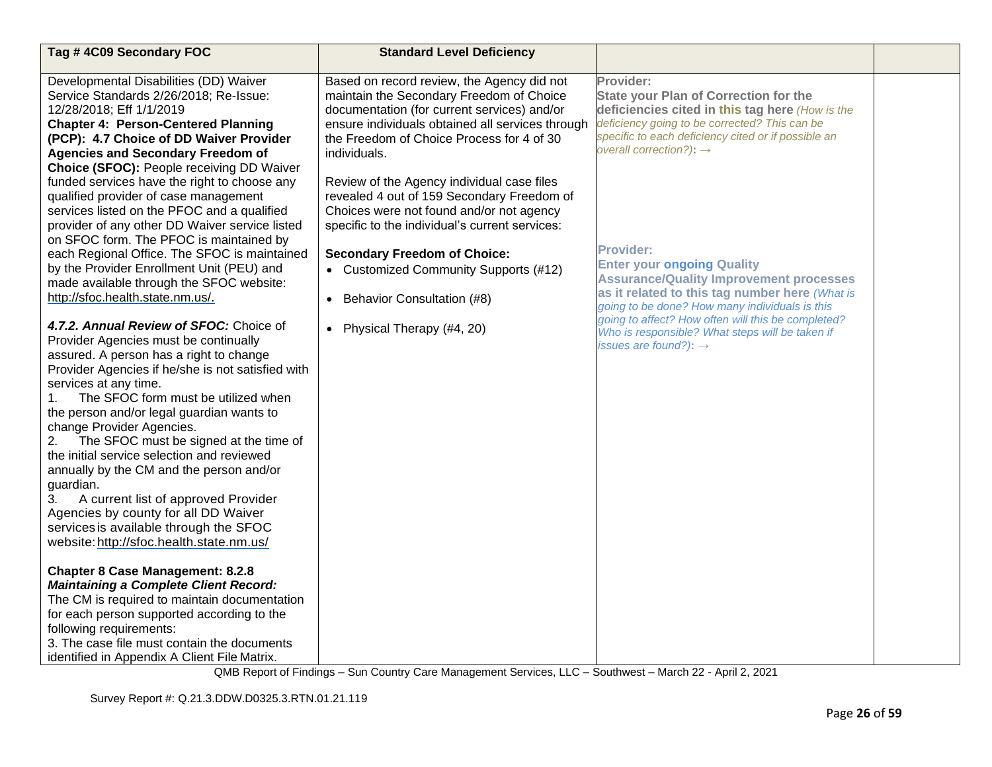| Tag #4C09 Secondary FOC                                                                                                                                                                                                                                                                                                                                                                                                                                                                       | <b>Standard Level Deficiency</b>                                                                                                                                                                                                                                                                              |                                                                                                                                                                                                                                                                                                                                                           |  |
|-----------------------------------------------------------------------------------------------------------------------------------------------------------------------------------------------------------------------------------------------------------------------------------------------------------------------------------------------------------------------------------------------------------------------------------------------------------------------------------------------|---------------------------------------------------------------------------------------------------------------------------------------------------------------------------------------------------------------------------------------------------------------------------------------------------------------|-----------------------------------------------------------------------------------------------------------------------------------------------------------------------------------------------------------------------------------------------------------------------------------------------------------------------------------------------------------|--|
| Developmental Disabilities (DD) Waiver<br>Service Standards 2/26/2018; Re-Issue:<br>12/28/2018; Eff 1/1/2019<br><b>Chapter 4: Person-Centered Planning</b><br>(PCP): 4.7 Choice of DD Waiver Provider<br><b>Agencies and Secondary Freedom of</b><br>Choice (SFOC): People receiving DD Waiver<br>funded services have the right to choose any                                                                                                                                                | Based on record review, the Agency did not<br>maintain the Secondary Freedom of Choice<br>documentation (for current services) and/or<br>ensure individuals obtained all services through<br>the Freedom of Choice Process for 4 of 30<br>individuals.<br>Review of the Agency individual case files          | Provider:<br><b>State your Plan of Correction for the</b><br>deficiencies cited in this tag here (How is the<br>deficiency going to be corrected? This can be<br>specific to each deficiency cited or if possible an<br>overall correction?): $\rightarrow$                                                                                               |  |
| qualified provider of case management<br>services listed on the PFOC and a qualified<br>provider of any other DD Waiver service listed<br>on SFOC form. The PFOC is maintained by<br>each Regional Office. The SFOC is maintained<br>by the Provider Enrollment Unit (PEU) and<br>made available through the SFOC website:<br>http://sfoc.health.state.nm.us/.<br>4.7.2. Annual Review of SFOC: Choice of<br>Provider Agencies must be continually<br>assured. A person has a right to change | revealed 4 out of 159 Secondary Freedom of<br>Choices were not found and/or not agency<br>specific to the individual's current services:<br><b>Secondary Freedom of Choice:</b><br>• Customized Community Supports (#12)<br>Behavior Consultation (#8)<br>$\bullet$<br>Physical Therapy (#4, 20)<br>$\bullet$ | <b>Provider:</b><br><b>Enter your ongoing Quality</b><br><b>Assurance/Quality Improvement processes</b><br>as it related to this tag number here (What is<br>going to be done? How many individuals is this<br>going to affect? How often will this be completed?<br>Who is responsible? What steps will be taken if<br>issues are found?): $\rightarrow$ |  |
| Provider Agencies if he/she is not satisfied with<br>services at any time.<br>The SFOC form must be utilized when<br>1.<br>the person and/or legal guardian wants to<br>change Provider Agencies.<br>The SFOC must be signed at the time of<br>2.<br>the initial service selection and reviewed<br>annually by the CM and the person and/or<br>guardian.<br>3.<br>A current list of approved Provider<br>Agencies by county for all DD Waiver<br>services is available through the SFOC       |                                                                                                                                                                                                                                                                                                               |                                                                                                                                                                                                                                                                                                                                                           |  |
| website: http://sfoc.health.state.nm.us/<br><b>Chapter 8 Case Management: 8.2.8</b><br><b>Maintaining a Complete Client Record:</b><br>The CM is required to maintain documentation<br>for each person supported according to the<br>following requirements:<br>3. The case file must contain the documents<br>identified in Appendix A Client File Matrix.                                                                                                                                   |                                                                                                                                                                                                                                                                                                               |                                                                                                                                                                                                                                                                                                                                                           |  |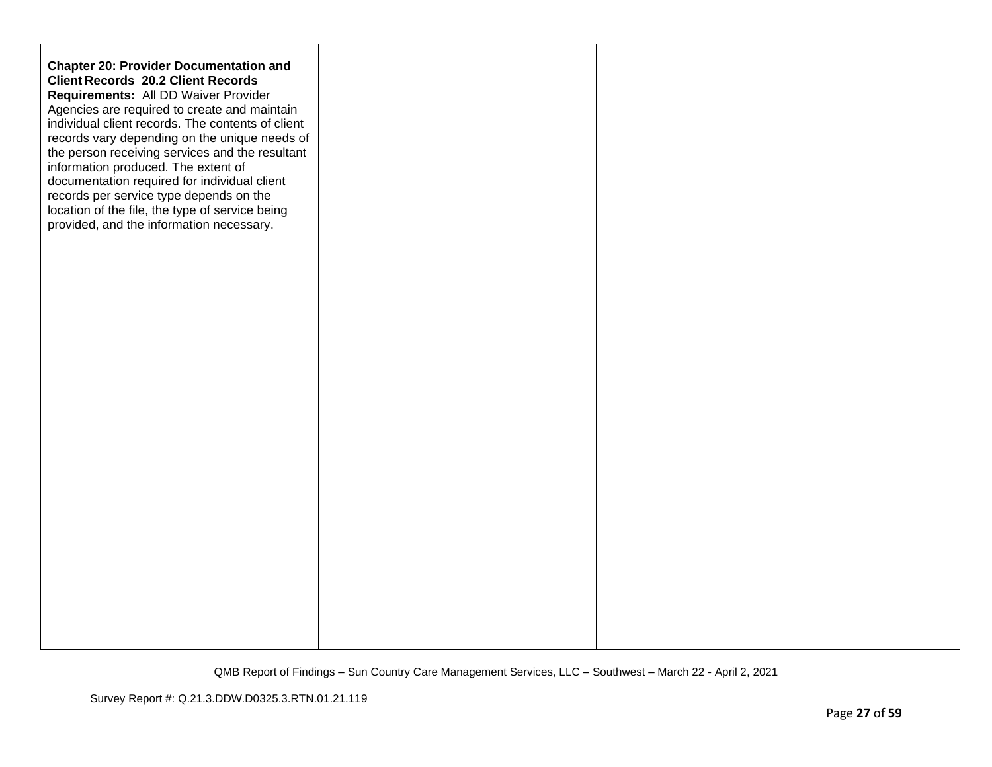| <b>Chapter 20: Provider Documentation and</b><br><b>Client Records 20.2 Client Records</b><br>Requirements: All DD Waiver Provider<br>Agencies are required to create and maintain<br>individual client records. The contents of client<br>records vary depending on the unique needs of<br>the person receiving services and the resultant<br>information produced. The extent of<br>documentation required for individual client<br>records per service type depends on the<br>location of the file, the type of service being<br>provided, and the information necessary. |  |  |
|------------------------------------------------------------------------------------------------------------------------------------------------------------------------------------------------------------------------------------------------------------------------------------------------------------------------------------------------------------------------------------------------------------------------------------------------------------------------------------------------------------------------------------------------------------------------------|--|--|
|                                                                                                                                                                                                                                                                                                                                                                                                                                                                                                                                                                              |  |  |
|                                                                                                                                                                                                                                                                                                                                                                                                                                                                                                                                                                              |  |  |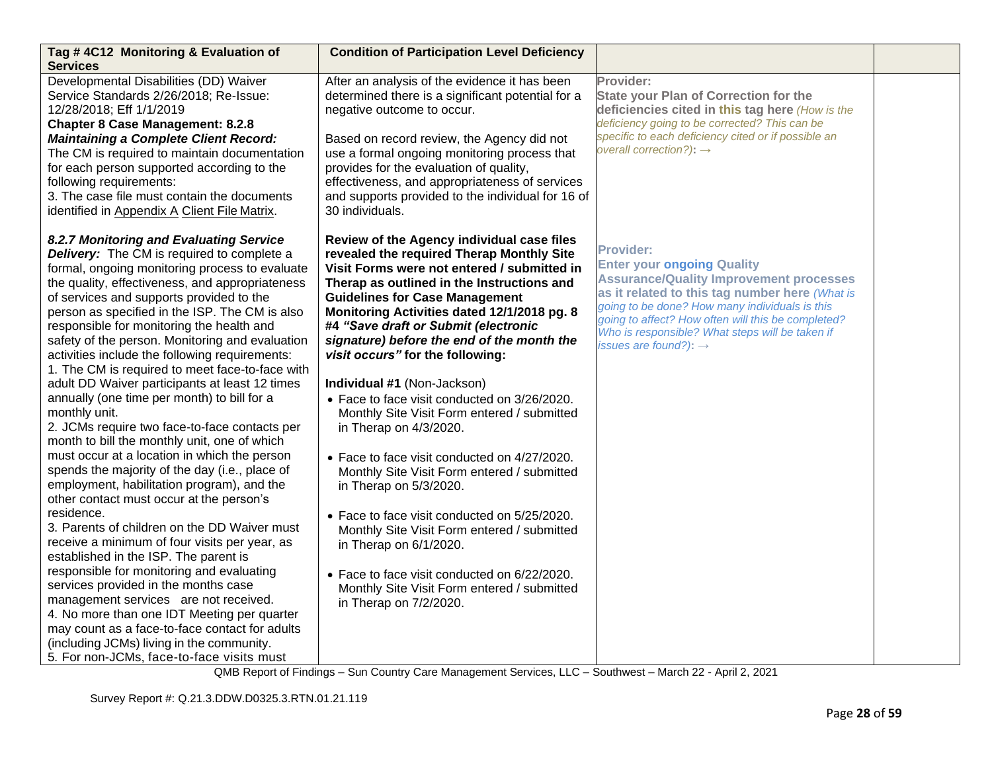| Tag #4C12 Monitoring & Evaluation of<br><b>Services</b>                                                                                                                                                                                                                                                                                                                                                                                                                                                                                                                                                                                                                                                                                                                                                                                                                                                                                                                                                                                                                                                                                                                                                                                                                                                                                                                                              | <b>Condition of Participation Level Deficiency</b>                                                                                                                                                                                                                                                                                                                                                                                                                                                                                                                                                                                                                                                                                                                                                                                                                                                                                        |                                                                                                                                                                                                                                                                                                                                                           |  |
|------------------------------------------------------------------------------------------------------------------------------------------------------------------------------------------------------------------------------------------------------------------------------------------------------------------------------------------------------------------------------------------------------------------------------------------------------------------------------------------------------------------------------------------------------------------------------------------------------------------------------------------------------------------------------------------------------------------------------------------------------------------------------------------------------------------------------------------------------------------------------------------------------------------------------------------------------------------------------------------------------------------------------------------------------------------------------------------------------------------------------------------------------------------------------------------------------------------------------------------------------------------------------------------------------------------------------------------------------------------------------------------------------|-------------------------------------------------------------------------------------------------------------------------------------------------------------------------------------------------------------------------------------------------------------------------------------------------------------------------------------------------------------------------------------------------------------------------------------------------------------------------------------------------------------------------------------------------------------------------------------------------------------------------------------------------------------------------------------------------------------------------------------------------------------------------------------------------------------------------------------------------------------------------------------------------------------------------------------------|-----------------------------------------------------------------------------------------------------------------------------------------------------------------------------------------------------------------------------------------------------------------------------------------------------------------------------------------------------------|--|
| Developmental Disabilities (DD) Waiver<br>Service Standards 2/26/2018; Re-Issue:<br>12/28/2018; Eff 1/1/2019<br><b>Chapter 8 Case Management: 8.2.8</b><br><b>Maintaining a Complete Client Record:</b><br>The CM is required to maintain documentation<br>for each person supported according to the<br>following requirements:<br>3. The case file must contain the documents<br>identified in Appendix A Client File Matrix.                                                                                                                                                                                                                                                                                                                                                                                                                                                                                                                                                                                                                                                                                                                                                                                                                                                                                                                                                                      | After an analysis of the evidence it has been<br>determined there is a significant potential for a<br>negative outcome to occur.<br>Based on record review, the Agency did not<br>use a formal ongoing monitoring process that<br>provides for the evaluation of quality,<br>effectiveness, and appropriateness of services<br>and supports provided to the individual for 16 of<br>30 individuals.                                                                                                                                                                                                                                                                                                                                                                                                                                                                                                                                       | Provider:<br><b>State your Plan of Correction for the</b><br>deficiencies cited in this tag here (How is the<br>deficiency going to be corrected? This can be<br>specific to each deficiency cited or if possible an<br>overall correction?): $\rightarrow$                                                                                               |  |
| 8.2.7 Monitoring and Evaluating Service<br><b>Delivery:</b> The CM is required to complete a<br>formal, ongoing monitoring process to evaluate<br>the quality, effectiveness, and appropriateness<br>of services and supports provided to the<br>person as specified in the ISP. The CM is also<br>responsible for monitoring the health and<br>safety of the person. Monitoring and evaluation<br>activities include the following requirements:<br>1. The CM is required to meet face-to-face with<br>adult DD Waiver participants at least 12 times<br>annually (one time per month) to bill for a<br>monthly unit.<br>2. JCMs require two face-to-face contacts per<br>month to bill the monthly unit, one of which<br>must occur at a location in which the person<br>spends the majority of the day (i.e., place of<br>employment, habilitation program), and the<br>other contact must occur at the person's<br>residence.<br>3. Parents of children on the DD Waiver must<br>receive a minimum of four visits per year, as<br>established in the ISP. The parent is<br>responsible for monitoring and evaluating<br>services provided in the months case<br>management services are not received.<br>4. No more than one IDT Meeting per quarter<br>may count as a face-to-face contact for adults<br>(including JCMs) living in the community.<br>5. For non-JCMs, face-to-face visits must | Review of the Agency individual case files<br>revealed the required Therap Monthly Site<br>Visit Forms were not entered / submitted in<br>Therap as outlined in the Instructions and<br><b>Guidelines for Case Management</b><br>Monitoring Activities dated 12/1/2018 pg. 8<br>#4 "Save draft or Submit (electronic<br>signature) before the end of the month the<br>visit occurs" for the following:<br>Individual #1 (Non-Jackson)<br>• Face to face visit conducted on 3/26/2020.<br>Monthly Site Visit Form entered / submitted<br>in Therap on 4/3/2020.<br>• Face to face visit conducted on 4/27/2020.<br>Monthly Site Visit Form entered / submitted<br>in Therap on 5/3/2020.<br>• Face to face visit conducted on 5/25/2020.<br>Monthly Site Visit Form entered / submitted<br>in Therap on 6/1/2020.<br>• Face to face visit conducted on 6/22/2020.<br>Monthly Site Visit Form entered / submitted<br>in Therap on 7/2/2020. | <b>Provider:</b><br><b>Enter your ongoing Quality</b><br><b>Assurance/Quality Improvement processes</b><br>as it related to this tag number here (What is<br>going to be done? How many individuals is this<br>going to affect? How often will this be completed?<br>Who is responsible? What steps will be taken if<br>issues are found?): $\rightarrow$ |  |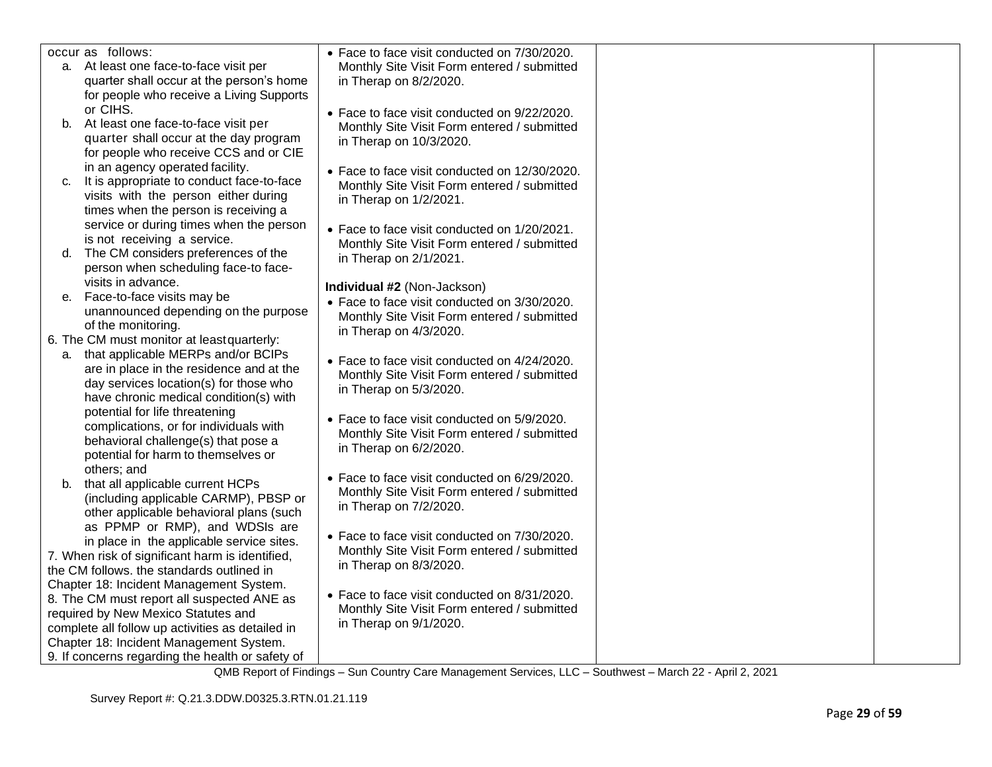|    | occur as follows:                                                         | • Face to face visit conducted on 7/30/2020.  |  |
|----|---------------------------------------------------------------------------|-----------------------------------------------|--|
|    | a. At least one face-to-face visit per                                    | Monthly Site Visit Form entered / submitted   |  |
|    | quarter shall occur at the person's home                                  | in Therap on 8/2/2020.                        |  |
|    | for people who receive a Living Supports                                  |                                               |  |
|    | or CIHS.                                                                  | • Face to face visit conducted on 9/22/2020.  |  |
|    | b. At least one face-to-face visit per                                    | Monthly Site Visit Form entered / submitted   |  |
|    | quarter shall occur at the day program                                    | in Therap on 10/3/2020.                       |  |
|    | for people who receive CCS and or CIE                                     |                                               |  |
|    | in an agency operated facility.                                           | • Face to face visit conducted on 12/30/2020. |  |
| C. | It is appropriate to conduct face-to-face                                 | Monthly Site Visit Form entered / submitted   |  |
|    | visits with the person either during                                      | in Therap on 1/2/2021.                        |  |
|    | times when the person is receiving a                                      |                                               |  |
|    | service or during times when the person                                   | • Face to face visit conducted on 1/20/2021.  |  |
|    | is not receiving a service.                                               | Monthly Site Visit Form entered / submitted   |  |
| d. | The CM considers preferences of the                                       | in Therap on 2/1/2021.                        |  |
|    | person when scheduling face-to face-                                      |                                               |  |
|    | visits in advance.                                                        | Individual #2 (Non-Jackson)                   |  |
| е. | Face-to-face visits may be                                                | • Face to face visit conducted on 3/30/2020.  |  |
|    | unannounced depending on the purpose                                      | Monthly Site Visit Form entered / submitted   |  |
|    | of the monitoring.                                                        | in Therap on 4/3/2020.                        |  |
|    | 6. The CM must monitor at least quarterly:                                |                                               |  |
| а. | that applicable MERPs and/or BCIPs                                        | • Face to face visit conducted on 4/24/2020.  |  |
|    | are in place in the residence and at the                                  | Monthly Site Visit Form entered / submitted   |  |
|    | day services location(s) for those who                                    | in Therap on 5/3/2020.                        |  |
|    | have chronic medical condition(s) with                                    |                                               |  |
|    | potential for life threatening                                            | • Face to face visit conducted on 5/9/2020.   |  |
|    | complications, or for individuals with                                    | Monthly Site Visit Form entered / submitted   |  |
|    | behavioral challenge(s) that pose a                                       | in Therap on 6/2/2020.                        |  |
|    | potential for harm to themselves or                                       |                                               |  |
|    | others; and                                                               | • Face to face visit conducted on 6/29/2020.  |  |
| b. | that all applicable current HCPs                                          | Monthly Site Visit Form entered / submitted   |  |
|    | (including applicable CARMP), PBSP or                                     | in Therap on 7/2/2020.                        |  |
|    | other applicable behavioral plans (such<br>as PPMP or RMP), and WDSIs are |                                               |  |
|    | in place in the applicable service sites.                                 | • Face to face visit conducted on 7/30/2020.  |  |
|    | 7. When risk of significant harm is identified,                           | Monthly Site Visit Form entered / submitted   |  |
|    | the CM follows. the standards outlined in                                 | in Therap on 8/3/2020.                        |  |
|    | Chapter 18: Incident Management System.                                   |                                               |  |
|    | 8. The CM must report all suspected ANE as                                | • Face to face visit conducted on 8/31/2020.  |  |
|    | required by New Mexico Statutes and                                       | Monthly Site Visit Form entered / submitted   |  |
|    | complete all follow up activities as detailed in                          | in Therap on 9/1/2020.                        |  |
|    | Chapter 18: Incident Management System.                                   |                                               |  |
|    | 9. If concerns regarding the health or safety of                          |                                               |  |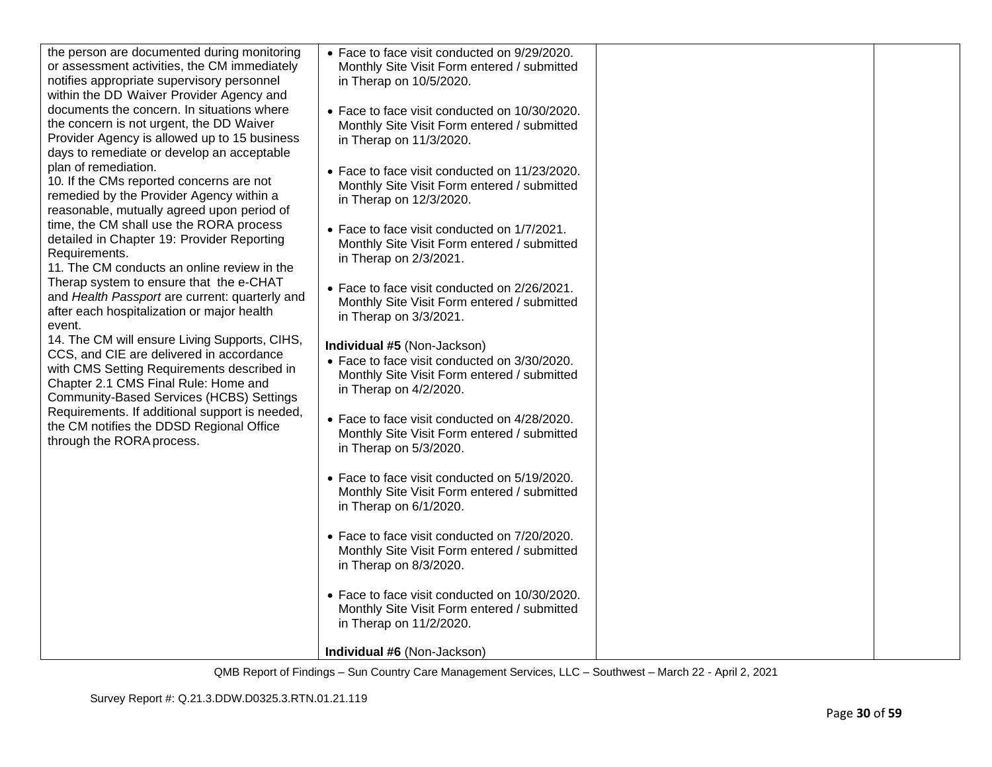| the person are documented during monitoring<br>or assessment activities, the CM immediately<br>notifies appropriate supervisory personnel<br>within the DD Waiver Provider Agency and<br>documents the concern. In situations where<br>the concern is not urgent, the DD Waiver<br>Provider Agency is allowed up to 15 business<br>days to remediate or develop an acceptable<br>plan of remediation.<br>10. If the CMs reported concerns are not<br>remedied by the Provider Agency within a<br>reasonable, mutually agreed upon period of<br>time, the CM shall use the RORA process<br>detailed in Chapter 19: Provider Reporting<br>Requirements.<br>11. The CM conducts an online review in the<br>Therap system to ensure that the e-CHAT<br>and Health Passport are current: quarterly and<br>after each hospitalization or major health<br>event.<br>14. The CM will ensure Living Supports, CIHS,<br>CCS, and CIE are delivered in accordance<br>with CMS Setting Requirements described in<br>Chapter 2.1 CMS Final Rule: Home and<br>Community-Based Services (HCBS) Settings<br>Requirements. If additional support is needed,<br>the CM notifies the DDSD Regional Office<br>through the RORA process. | • Face to face visit conducted on 9/29/2020.<br>Monthly Site Visit Form entered / submitted<br>in Therap on 10/5/2020.<br>• Face to face visit conducted on 10/30/2020.<br>Monthly Site Visit Form entered / submitted<br>in Therap on 11/3/2020.<br>• Face to face visit conducted on 11/23/2020.<br>Monthly Site Visit Form entered / submitted<br>in Therap on 12/3/2020.<br>• Face to face visit conducted on 1/7/2021.<br>Monthly Site Visit Form entered / submitted<br>in Therap on 2/3/2021.<br>• Face to face visit conducted on 2/26/2021.<br>Monthly Site Visit Form entered / submitted<br>in Therap on 3/3/2021.<br>Individual #5 (Non-Jackson)<br>• Face to face visit conducted on 3/30/2020.<br>Monthly Site Visit Form entered / submitted<br>in Therap on 4/2/2020.<br>• Face to face visit conducted on 4/28/2020.<br>Monthly Site Visit Form entered / submitted<br>in Therap on 5/3/2020.<br>• Face to face visit conducted on 5/19/2020.<br>Monthly Site Visit Form entered / submitted<br>in Therap on 6/1/2020.<br>• Face to face visit conducted on 7/20/2020.<br>Monthly Site Visit Form entered / submitted<br>in Therap on 8/3/2020.<br>• Face to face visit conducted on 10/30/2020.<br>Monthly Site Visit Form entered / submitted |  |
|---------------------------------------------------------------------------------------------------------------------------------------------------------------------------------------------------------------------------------------------------------------------------------------------------------------------------------------------------------------------------------------------------------------------------------------------------------------------------------------------------------------------------------------------------------------------------------------------------------------------------------------------------------------------------------------------------------------------------------------------------------------------------------------------------------------------------------------------------------------------------------------------------------------------------------------------------------------------------------------------------------------------------------------------------------------------------------------------------------------------------------------------------------------------------------------------------------------------|------------------------------------------------------------------------------------------------------------------------------------------------------------------------------------------------------------------------------------------------------------------------------------------------------------------------------------------------------------------------------------------------------------------------------------------------------------------------------------------------------------------------------------------------------------------------------------------------------------------------------------------------------------------------------------------------------------------------------------------------------------------------------------------------------------------------------------------------------------------------------------------------------------------------------------------------------------------------------------------------------------------------------------------------------------------------------------------------------------------------------------------------------------------------------------------------------------------------------------------------------------------|--|
|                                                                                                                                                                                                                                                                                                                                                                                                                                                                                                                                                                                                                                                                                                                                                                                                                                                                                                                                                                                                                                                                                                                                                                                                                     |                                                                                                                                                                                                                                                                                                                                                                                                                                                                                                                                                                                                                                                                                                                                                                                                                                                                                                                                                                                                                                                                                                                                                                                                                                                                  |  |
|                                                                                                                                                                                                                                                                                                                                                                                                                                                                                                                                                                                                                                                                                                                                                                                                                                                                                                                                                                                                                                                                                                                                                                                                                     | in Therap on 11/2/2020.                                                                                                                                                                                                                                                                                                                                                                                                                                                                                                                                                                                                                                                                                                                                                                                                                                                                                                                                                                                                                                                                                                                                                                                                                                          |  |
|                                                                                                                                                                                                                                                                                                                                                                                                                                                                                                                                                                                                                                                                                                                                                                                                                                                                                                                                                                                                                                                                                                                                                                                                                     | Individual #6 (Non-Jackson)                                                                                                                                                                                                                                                                                                                                                                                                                                                                                                                                                                                                                                                                                                                                                                                                                                                                                                                                                                                                                                                                                                                                                                                                                                      |  |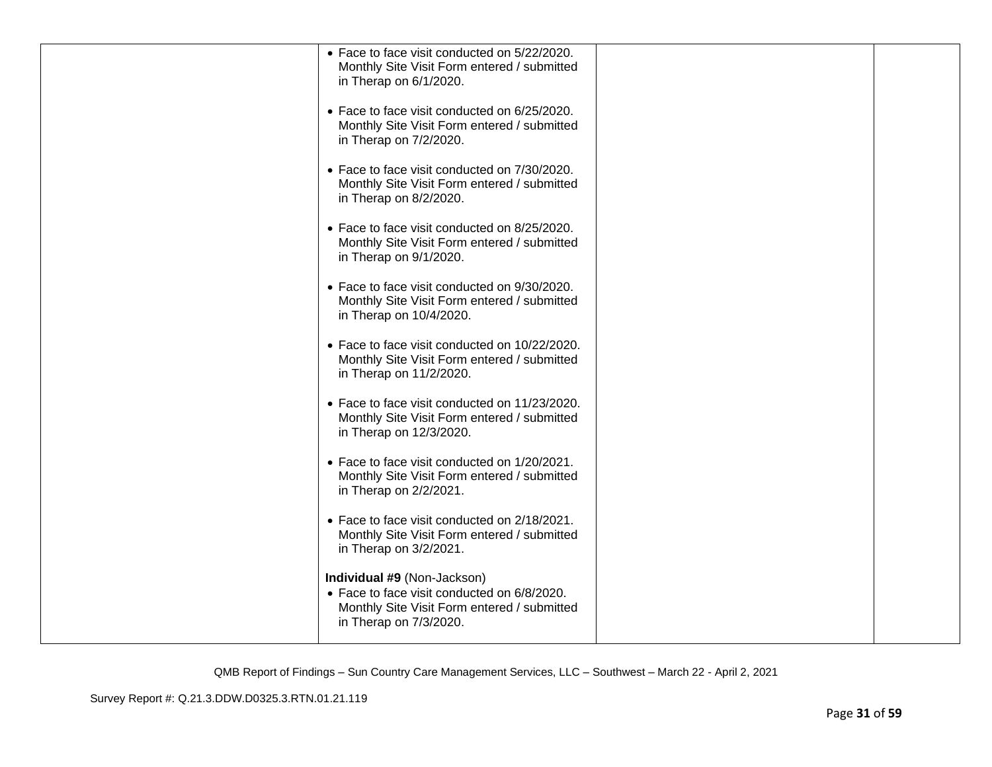| • Face to face visit conducted on 5/22/2020.<br>Monthly Site Visit Form entered / submitted<br>in Therap on 6/1/2020.                               |  |
|-----------------------------------------------------------------------------------------------------------------------------------------------------|--|
| • Face to face visit conducted on 6/25/2020.<br>Monthly Site Visit Form entered / submitted<br>in Therap on 7/2/2020.                               |  |
| • Face to face visit conducted on 7/30/2020.<br>Monthly Site Visit Form entered / submitted<br>in Therap on 8/2/2020.                               |  |
| • Face to face visit conducted on 8/25/2020.<br>Monthly Site Visit Form entered / submitted<br>in Therap on 9/1/2020.                               |  |
| • Face to face visit conducted on 9/30/2020.<br>Monthly Site Visit Form entered / submitted<br>in Therap on 10/4/2020.                              |  |
| • Face to face visit conducted on 10/22/2020.<br>Monthly Site Visit Form entered / submitted<br>in Therap on 11/2/2020.                             |  |
| • Face to face visit conducted on 11/23/2020.<br>Monthly Site Visit Form entered / submitted<br>in Therap on 12/3/2020.                             |  |
| • Face to face visit conducted on 1/20/2021.<br>Monthly Site Visit Form entered / submitted<br>in Therap on 2/2/2021.                               |  |
| • Face to face visit conducted on 2/18/2021.<br>Monthly Site Visit Form entered / submitted<br>in Therap on 3/2/2021.                               |  |
| Individual #9 (Non-Jackson)<br>• Face to face visit conducted on 6/8/2020.<br>Monthly Site Visit Form entered / submitted<br>in Therap on 7/3/2020. |  |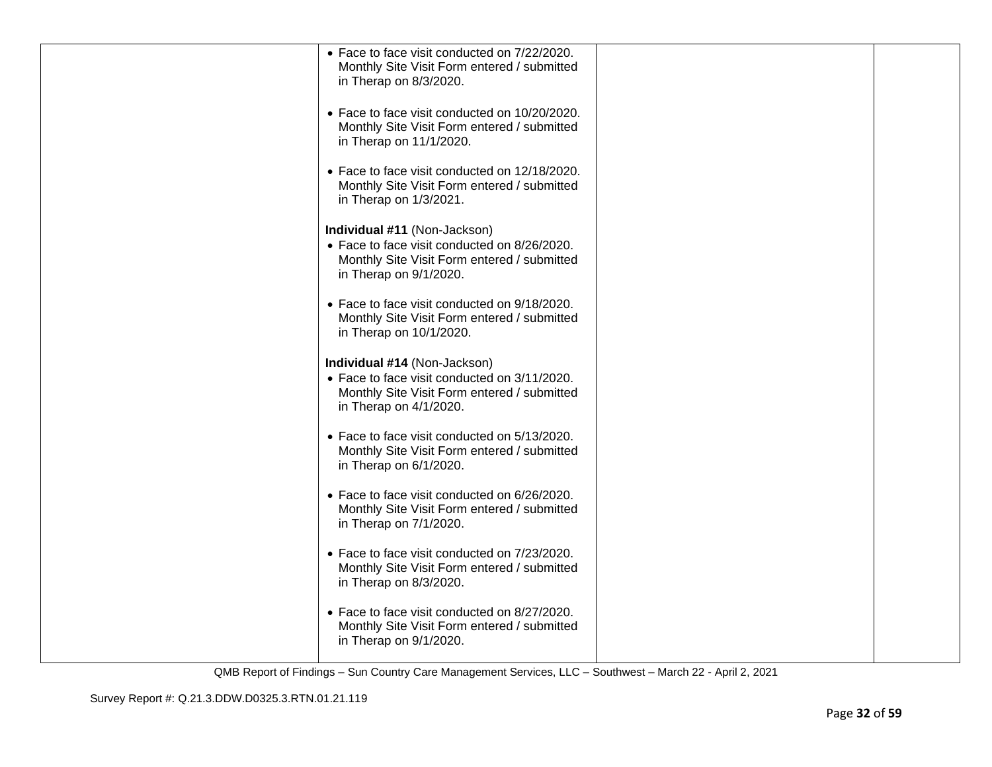| • Face to face visit conducted on 7/22/2020.<br>Monthly Site Visit Form entered / submitted                            |                                                                                                                       |  |
|------------------------------------------------------------------------------------------------------------------------|-----------------------------------------------------------------------------------------------------------------------|--|
| • Face to face visit conducted on 10/20/2020.                                                                          |                                                                                                                       |  |
| in Therap on 11/1/2020.                                                                                                |                                                                                                                       |  |
| • Face to face visit conducted on 12/18/2020.<br>Monthly Site Visit Form entered / submitted<br>in Therap on 1/3/2021. |                                                                                                                       |  |
| Individual #11 (Non-Jackson)                                                                                           |                                                                                                                       |  |
| Monthly Site Visit Form entered / submitted<br>in Therap on 9/1/2020.                                                  |                                                                                                                       |  |
| • Face to face visit conducted on 9/18/2020.<br>Monthly Site Visit Form entered / submitted<br>in Therap on 10/1/2020. |                                                                                                                       |  |
| Individual #14 (Non-Jackson)                                                                                           |                                                                                                                       |  |
| • Face to face visit conducted on 3/11/2020.<br>Monthly Site Visit Form entered / submitted<br>in Therap on 4/1/2020.  |                                                                                                                       |  |
| • Face to face visit conducted on 5/13/2020.<br>Monthly Site Visit Form entered / submitted<br>in Therap on 6/1/2020.  |                                                                                                                       |  |
| • Face to face visit conducted on 6/26/2020.<br>Monthly Site Visit Form entered / submitted<br>in Therap on 7/1/2020.  |                                                                                                                       |  |
| • Face to face visit conducted on 7/23/2020.<br>Monthly Site Visit Form entered / submitted<br>in Therap on 8/3/2020.  |                                                                                                                       |  |
| • Face to face visit conducted on 8/27/2020.<br>Monthly Site Visit Form entered / submitted<br>in Therap on 9/1/2020.  |                                                                                                                       |  |
|                                                                                                                        | in Therap on 8/3/2020.<br>Monthly Site Visit Form entered / submitted<br>• Face to face visit conducted on 8/26/2020. |  |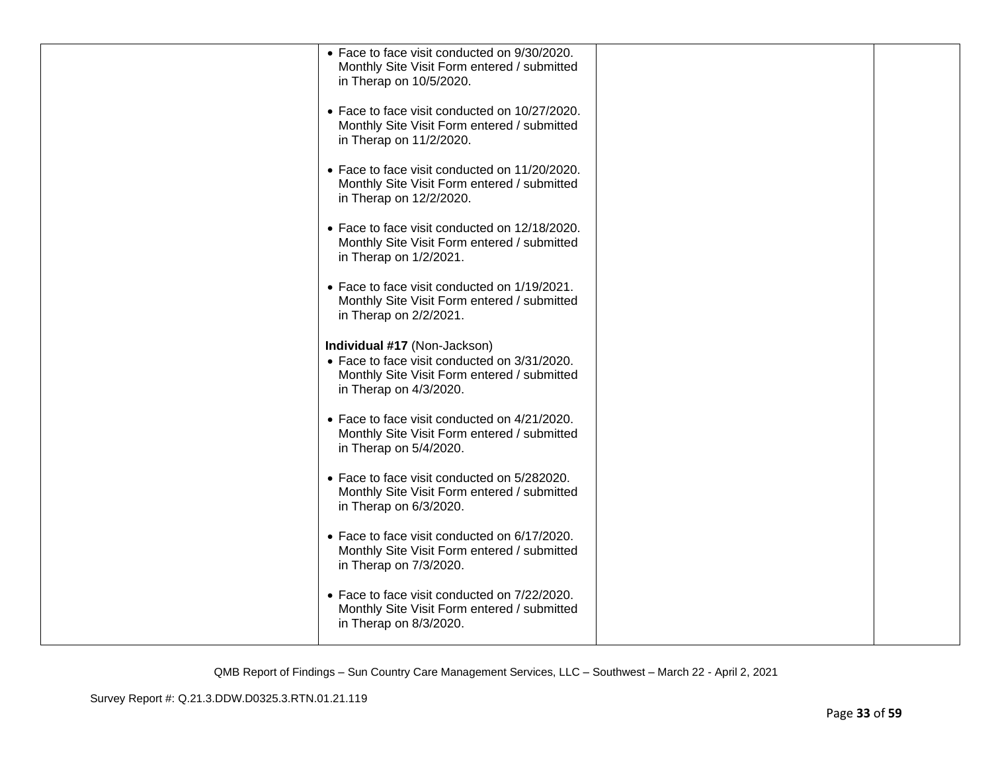| • Face to face visit conducted on 9/30/2020.<br>Monthly Site Visit Form entered / submitted<br>in Therap on 10/5/2020.                                |  |
|-------------------------------------------------------------------------------------------------------------------------------------------------------|--|
| • Face to face visit conducted on 10/27/2020.<br>Monthly Site Visit Form entered / submitted<br>in Therap on 11/2/2020.                               |  |
| • Face to face visit conducted on 11/20/2020.<br>Monthly Site Visit Form entered / submitted<br>in Therap on 12/2/2020.                               |  |
| • Face to face visit conducted on 12/18/2020.<br>Monthly Site Visit Form entered / submitted<br>in Therap on 1/2/2021.                                |  |
| • Face to face visit conducted on 1/19/2021.<br>Monthly Site Visit Form entered / submitted<br>in Therap on 2/2/2021.                                 |  |
| Individual #17 (Non-Jackson)<br>• Face to face visit conducted on 3/31/2020.<br>Monthly Site Visit Form entered / submitted<br>in Therap on 4/3/2020. |  |
| • Face to face visit conducted on 4/21/2020.<br>Monthly Site Visit Form entered / submitted<br>in Therap on 5/4/2020.                                 |  |
| • Face to face visit conducted on 5/282020.<br>Monthly Site Visit Form entered / submitted<br>in Therap on 6/3/2020.                                  |  |
| • Face to face visit conducted on 6/17/2020.<br>Monthly Site Visit Form entered / submitted<br>in Therap on 7/3/2020.                                 |  |
| • Face to face visit conducted on 7/22/2020.<br>Monthly Site Visit Form entered / submitted<br>in Therap on 8/3/2020.                                 |  |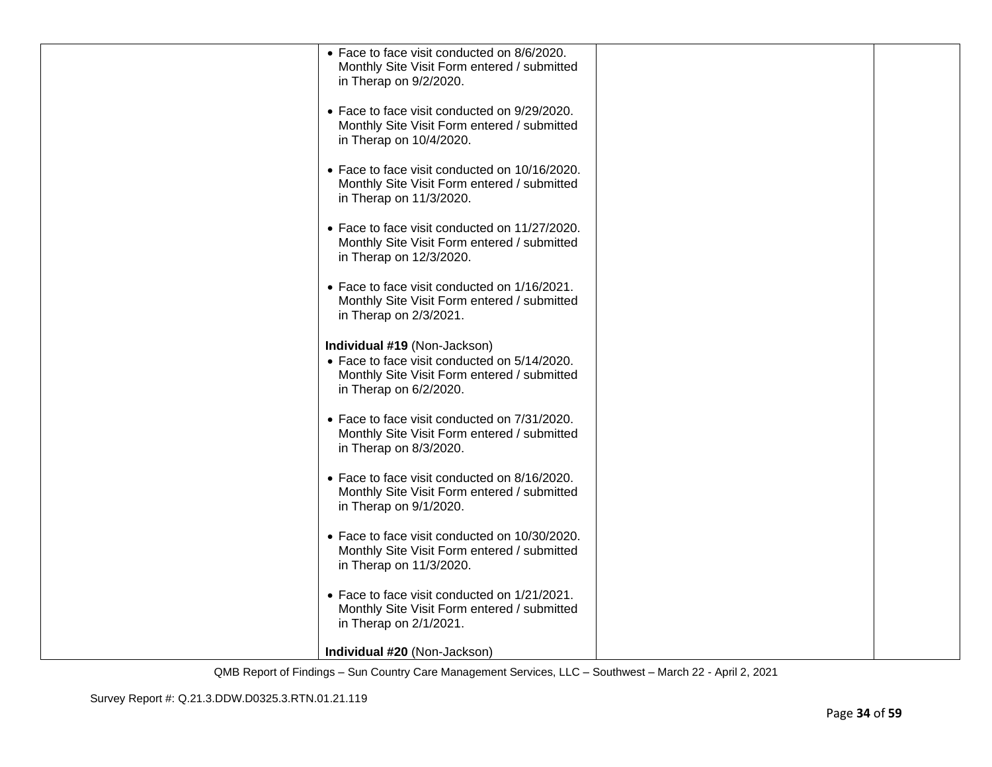| • Face to face visit conducted on 8/6/2020.<br>Monthly Site Visit Form entered / submitted<br>in Therap on 9/2/2020.                                  |  |
|-------------------------------------------------------------------------------------------------------------------------------------------------------|--|
| • Face to face visit conducted on 9/29/2020.<br>Monthly Site Visit Form entered / submitted<br>in Therap on 10/4/2020.                                |  |
| • Face to face visit conducted on 10/16/2020.<br>Monthly Site Visit Form entered / submitted<br>in Therap on 11/3/2020.                               |  |
| • Face to face visit conducted on 11/27/2020.<br>Monthly Site Visit Form entered / submitted<br>in Therap on 12/3/2020.                               |  |
| • Face to face visit conducted on 1/16/2021.<br>Monthly Site Visit Form entered / submitted<br>in Therap on 2/3/2021.                                 |  |
| Individual #19 (Non-Jackson)<br>• Face to face visit conducted on 5/14/2020.<br>Monthly Site Visit Form entered / submitted<br>in Therap on 6/2/2020. |  |
| • Face to face visit conducted on 7/31/2020.<br>Monthly Site Visit Form entered / submitted<br>in Therap on 8/3/2020.                                 |  |
| • Face to face visit conducted on 8/16/2020.<br>Monthly Site Visit Form entered / submitted<br>in Therap on 9/1/2020.                                 |  |
| • Face to face visit conducted on 10/30/2020.<br>Monthly Site Visit Form entered / submitted<br>in Therap on 11/3/2020.                               |  |
| • Face to face visit conducted on 1/21/2021.<br>Monthly Site Visit Form entered / submitted<br>in Therap on 2/1/2021.                                 |  |
| Individual #20 (Non-Jackson)                                                                                                                          |  |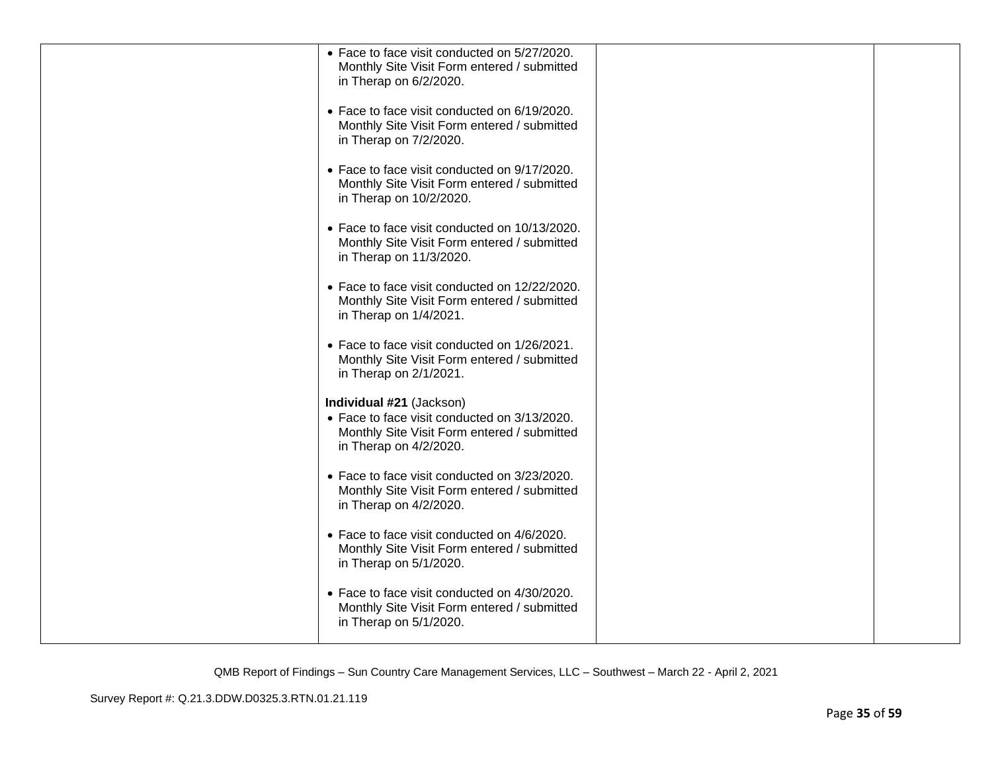| • Face to face visit conducted on 5/27/2020.<br>Monthly Site Visit Form entered / submitted<br>in Therap on 6/2/2020.                             |  |
|---------------------------------------------------------------------------------------------------------------------------------------------------|--|
| • Face to face visit conducted on 6/19/2020.<br>Monthly Site Visit Form entered / submitted<br>in Therap on 7/2/2020.                             |  |
| • Face to face visit conducted on 9/17/2020.<br>Monthly Site Visit Form entered / submitted<br>in Therap on 10/2/2020.                            |  |
| • Face to face visit conducted on 10/13/2020.<br>Monthly Site Visit Form entered / submitted<br>in Therap on 11/3/2020.                           |  |
| • Face to face visit conducted on 12/22/2020.<br>Monthly Site Visit Form entered / submitted<br>in Therap on 1/4/2021.                            |  |
| • Face to face visit conducted on 1/26/2021.<br>Monthly Site Visit Form entered / submitted<br>in Therap on 2/1/2021.                             |  |
| Individual #21 (Jackson)<br>• Face to face visit conducted on 3/13/2020.<br>Monthly Site Visit Form entered / submitted<br>in Therap on 4/2/2020. |  |
| • Face to face visit conducted on 3/23/2020.<br>Monthly Site Visit Form entered / submitted<br>in Therap on 4/2/2020.                             |  |
| • Face to face visit conducted on 4/6/2020.<br>Monthly Site Visit Form entered / submitted<br>in Therap on 5/1/2020.                              |  |
| • Face to face visit conducted on 4/30/2020.<br>Monthly Site Visit Form entered / submitted<br>in Therap on 5/1/2020.                             |  |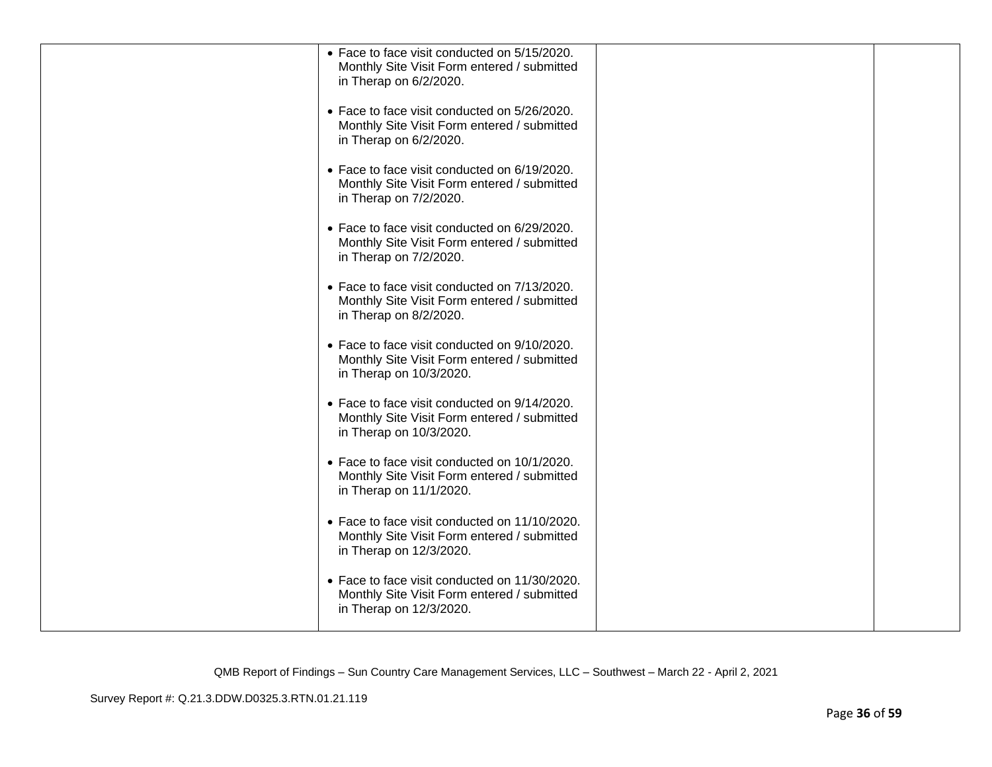| • Face to face visit conducted on 5/15/2020.<br>Monthly Site Visit Form entered / submitted<br>in Therap on 6/2/2020.   |  |
|-------------------------------------------------------------------------------------------------------------------------|--|
| • Face to face visit conducted on 5/26/2020.<br>Monthly Site Visit Form entered / submitted<br>in Therap on 6/2/2020.   |  |
| • Face to face visit conducted on 6/19/2020.<br>Monthly Site Visit Form entered / submitted<br>in Therap on 7/2/2020.   |  |
| • Face to face visit conducted on 6/29/2020.<br>Monthly Site Visit Form entered / submitted<br>in Therap on 7/2/2020.   |  |
| • Face to face visit conducted on 7/13/2020.<br>Monthly Site Visit Form entered / submitted<br>in Therap on 8/2/2020.   |  |
| • Face to face visit conducted on 9/10/2020.<br>Monthly Site Visit Form entered / submitted<br>in Therap on 10/3/2020.  |  |
| • Face to face visit conducted on 9/14/2020.<br>Monthly Site Visit Form entered / submitted<br>in Therap on 10/3/2020.  |  |
| • Face to face visit conducted on 10/1/2020.<br>Monthly Site Visit Form entered / submitted<br>in Therap on 11/1/2020.  |  |
| • Face to face visit conducted on 11/10/2020.<br>Monthly Site Visit Form entered / submitted<br>in Therap on 12/3/2020. |  |
| • Face to face visit conducted on 11/30/2020.<br>Monthly Site Visit Form entered / submitted<br>in Therap on 12/3/2020. |  |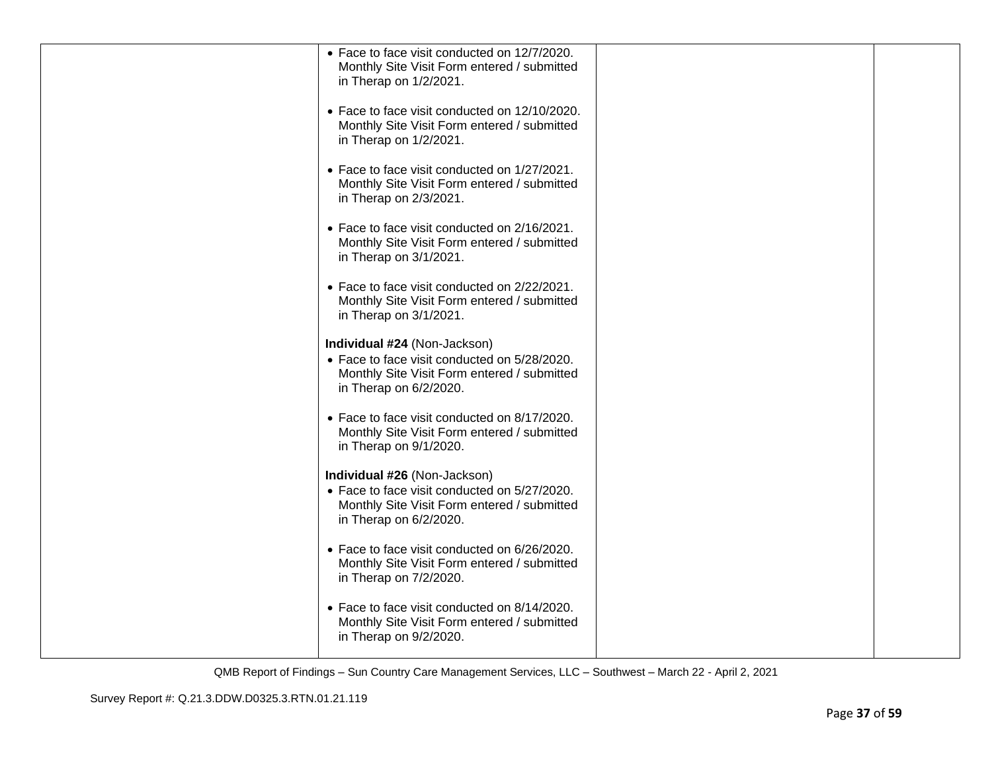| • Face to face visit conducted on 12/7/2020.<br>Monthly Site Visit Form entered / submitted<br>in Therap on 1/2/2021.                                 |  |
|-------------------------------------------------------------------------------------------------------------------------------------------------------|--|
| • Face to face visit conducted on 12/10/2020.<br>Monthly Site Visit Form entered / submitted<br>in Therap on 1/2/2021.                                |  |
| • Face to face visit conducted on 1/27/2021.<br>Monthly Site Visit Form entered / submitted<br>in Therap on 2/3/2021.                                 |  |
| • Face to face visit conducted on 2/16/2021.<br>Monthly Site Visit Form entered / submitted<br>in Therap on 3/1/2021.                                 |  |
| • Face to face visit conducted on 2/22/2021.<br>Monthly Site Visit Form entered / submitted<br>in Therap on 3/1/2021.                                 |  |
| Individual #24 (Non-Jackson)<br>• Face to face visit conducted on 5/28/2020.<br>Monthly Site Visit Form entered / submitted<br>in Therap on 6/2/2020. |  |
| • Face to face visit conducted on 8/17/2020.<br>Monthly Site Visit Form entered / submitted<br>in Therap on 9/1/2020.                                 |  |
| Individual #26 (Non-Jackson)<br>• Face to face visit conducted on 5/27/2020.<br>Monthly Site Visit Form entered / submitted<br>in Therap on 6/2/2020. |  |
| • Face to face visit conducted on 6/26/2020.<br>Monthly Site Visit Form entered / submitted<br>in Therap on 7/2/2020.                                 |  |
| • Face to face visit conducted on 8/14/2020.<br>Monthly Site Visit Form entered / submitted<br>in Therap on 9/2/2020.                                 |  |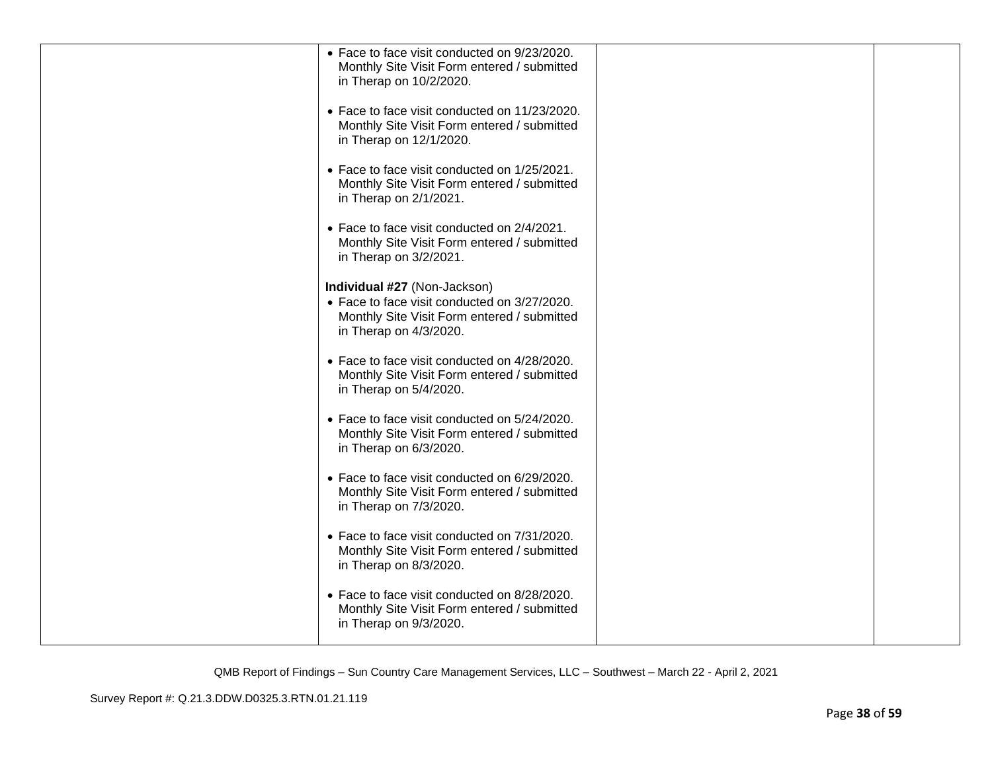| • Face to face visit conducted on 9/23/2020.<br>Monthly Site Visit Form entered / submitted<br>in Therap on 10/2/2020.                                |  |
|-------------------------------------------------------------------------------------------------------------------------------------------------------|--|
| • Face to face visit conducted on 11/23/2020.<br>Monthly Site Visit Form entered / submitted<br>in Therap on 12/1/2020.                               |  |
| • Face to face visit conducted on 1/25/2021.<br>Monthly Site Visit Form entered / submitted<br>in Therap on 2/1/2021.                                 |  |
| • Face to face visit conducted on 2/4/2021.<br>Monthly Site Visit Form entered / submitted<br>in Therap on 3/2/2021.                                  |  |
| Individual #27 (Non-Jackson)<br>• Face to face visit conducted on 3/27/2020.<br>Monthly Site Visit Form entered / submitted<br>in Therap on 4/3/2020. |  |
| • Face to face visit conducted on 4/28/2020.<br>Monthly Site Visit Form entered / submitted<br>in Therap on 5/4/2020.                                 |  |
| • Face to face visit conducted on 5/24/2020.<br>Monthly Site Visit Form entered / submitted<br>in Therap on 6/3/2020.                                 |  |
| • Face to face visit conducted on 6/29/2020.<br>Monthly Site Visit Form entered / submitted<br>in Therap on 7/3/2020.                                 |  |
| • Face to face visit conducted on 7/31/2020.<br>Monthly Site Visit Form entered / submitted<br>in Therap on 8/3/2020.                                 |  |
| • Face to face visit conducted on 8/28/2020.<br>Monthly Site Visit Form entered / submitted<br>in Therap on 9/3/2020.                                 |  |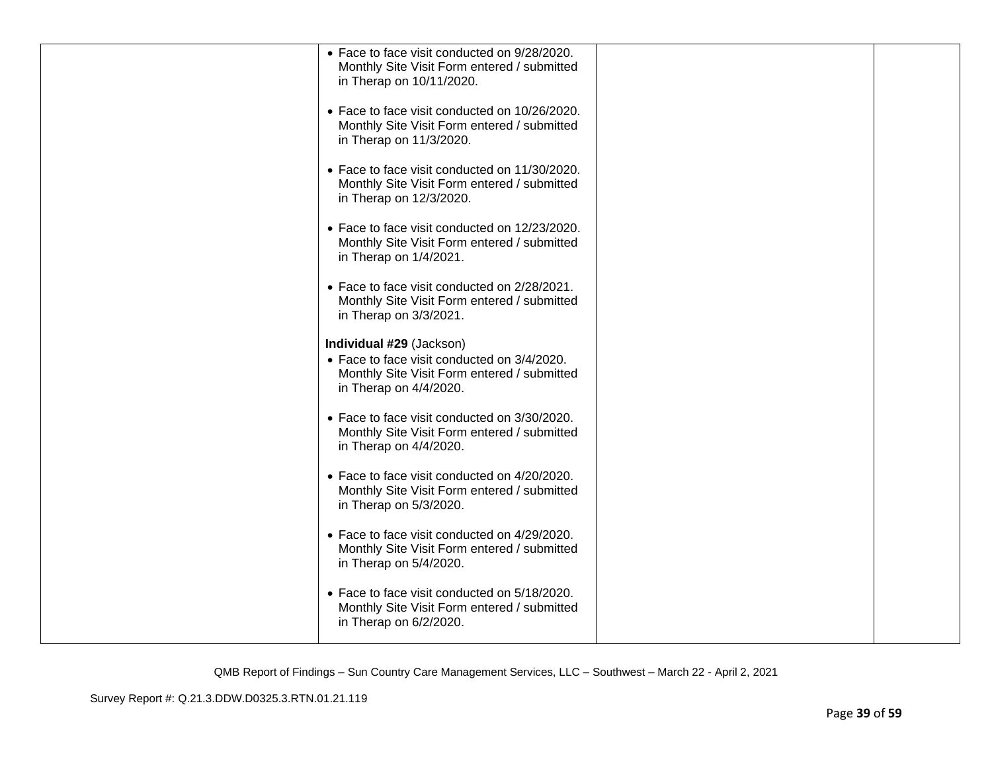| • Face to face visit conducted on 9/28/2020.                                                |  |
|---------------------------------------------------------------------------------------------|--|
| Monthly Site Visit Form entered / submitted                                                 |  |
| in Therap on 10/11/2020.                                                                    |  |
| • Face to face visit conducted on 10/26/2020.                                               |  |
| Monthly Site Visit Form entered / submitted                                                 |  |
| in Therap on 11/3/2020.                                                                     |  |
| • Face to face visit conducted on 11/30/2020.                                               |  |
| Monthly Site Visit Form entered / submitted                                                 |  |
| in Therap on 12/3/2020.                                                                     |  |
| • Face to face visit conducted on 12/23/2020.                                               |  |
| Monthly Site Visit Form entered / submitted                                                 |  |
| in Therap on 1/4/2021.                                                                      |  |
| • Face to face visit conducted on 2/28/2021.                                                |  |
| Monthly Site Visit Form entered / submitted                                                 |  |
| in Therap on 3/3/2021.                                                                      |  |
| Individual #29 (Jackson)                                                                    |  |
| • Face to face visit conducted on 3/4/2020.                                                 |  |
| Monthly Site Visit Form entered / submitted<br>in Therap on 4/4/2020.                       |  |
|                                                                                             |  |
| • Face to face visit conducted on 3/30/2020.                                                |  |
| Monthly Site Visit Form entered / submitted<br>in Therap on 4/4/2020.                       |  |
|                                                                                             |  |
| • Face to face visit conducted on 4/20/2020.<br>Monthly Site Visit Form entered / submitted |  |
| in Therap on 5/3/2020.                                                                      |  |
|                                                                                             |  |
| • Face to face visit conducted on 4/29/2020.<br>Monthly Site Visit Form entered / submitted |  |
| in Therap on 5/4/2020.                                                                      |  |
|                                                                                             |  |
| • Face to face visit conducted on 5/18/2020.<br>Monthly Site Visit Form entered / submitted |  |
| in Therap on 6/2/2020.                                                                      |  |
|                                                                                             |  |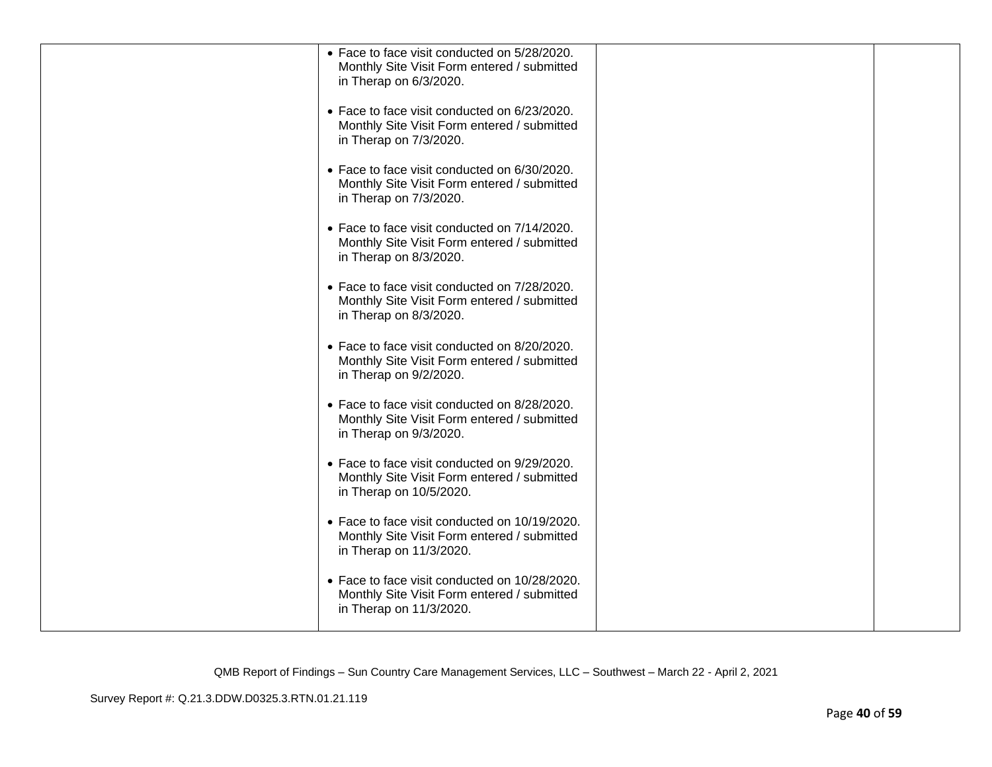| • Face to face visit conducted on 5/28/2020.<br>Monthly Site Visit Form entered / submitted<br>in Therap on 6/3/2020.   |  |
|-------------------------------------------------------------------------------------------------------------------------|--|
| • Face to face visit conducted on 6/23/2020.<br>Monthly Site Visit Form entered / submitted<br>in Therap on 7/3/2020.   |  |
| • Face to face visit conducted on 6/30/2020.<br>Monthly Site Visit Form entered / submitted<br>in Therap on 7/3/2020.   |  |
| • Face to face visit conducted on 7/14/2020.<br>Monthly Site Visit Form entered / submitted<br>in Therap on 8/3/2020.   |  |
| • Face to face visit conducted on 7/28/2020.<br>Monthly Site Visit Form entered / submitted<br>in Therap on 8/3/2020.   |  |
| • Face to face visit conducted on 8/20/2020.<br>Monthly Site Visit Form entered / submitted<br>in Therap on 9/2/2020.   |  |
| • Face to face visit conducted on 8/28/2020.<br>Monthly Site Visit Form entered / submitted<br>in Therap on 9/3/2020.   |  |
| • Face to face visit conducted on 9/29/2020.<br>Monthly Site Visit Form entered / submitted<br>in Therap on 10/5/2020.  |  |
| • Face to face visit conducted on 10/19/2020.<br>Monthly Site Visit Form entered / submitted<br>in Therap on 11/3/2020. |  |
| • Face to face visit conducted on 10/28/2020.<br>Monthly Site Visit Form entered / submitted<br>in Therap on 11/3/2020. |  |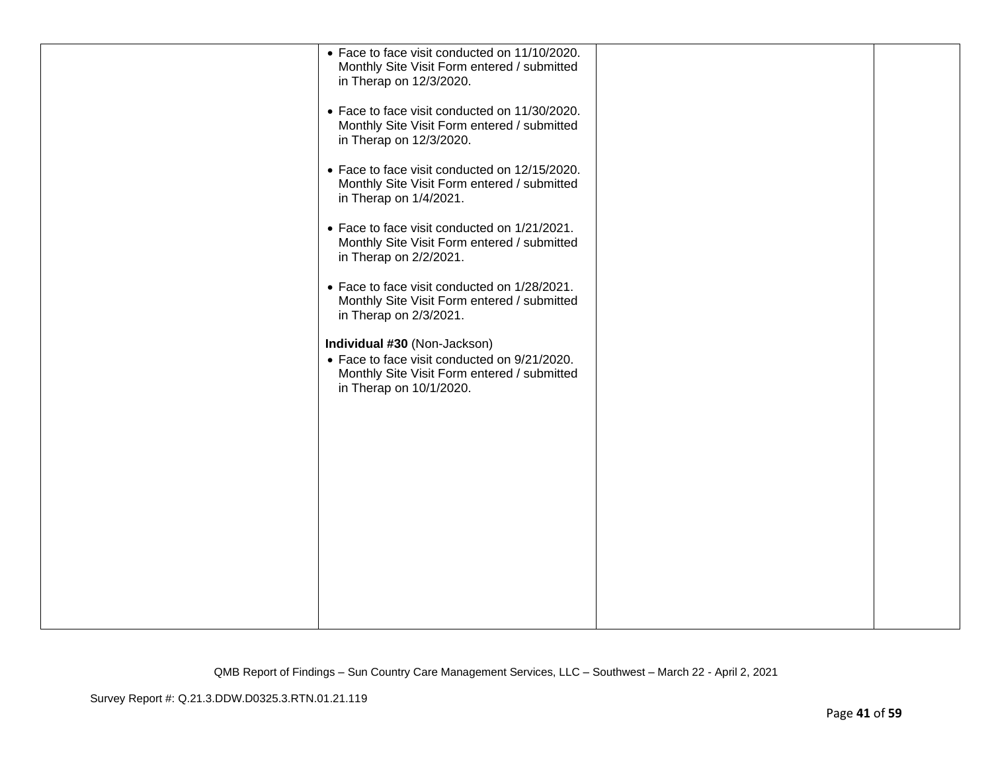| • Face to face visit conducted on 11/10/2020.<br>Monthly Site Visit Form entered / submitted |  |
|----------------------------------------------------------------------------------------------|--|
| in Therap on 12/3/2020.                                                                      |  |
| • Face to face visit conducted on 11/30/2020.                                                |  |
| Monthly Site Visit Form entered / submitted<br>in Therap on 12/3/2020.                       |  |
| • Face to face visit conducted on 12/15/2020.<br>Monthly Site Visit Form entered / submitted |  |
| in Therap on 1/4/2021.                                                                       |  |
| • Face to face visit conducted on 1/21/2021.<br>Monthly Site Visit Form entered / submitted  |  |
| in Therap on 2/2/2021.                                                                       |  |
| • Face to face visit conducted on 1/28/2021.<br>Monthly Site Visit Form entered / submitted  |  |
| in Therap on 2/3/2021.                                                                       |  |
| Individual #30 (Non-Jackson)<br>• Face to face visit conducted on 9/21/2020.                 |  |
| Monthly Site Visit Form entered / submitted<br>in Therap on 10/1/2020.                       |  |
|                                                                                              |  |
|                                                                                              |  |
|                                                                                              |  |
|                                                                                              |  |
|                                                                                              |  |
|                                                                                              |  |
|                                                                                              |  |
|                                                                                              |  |
|                                                                                              |  |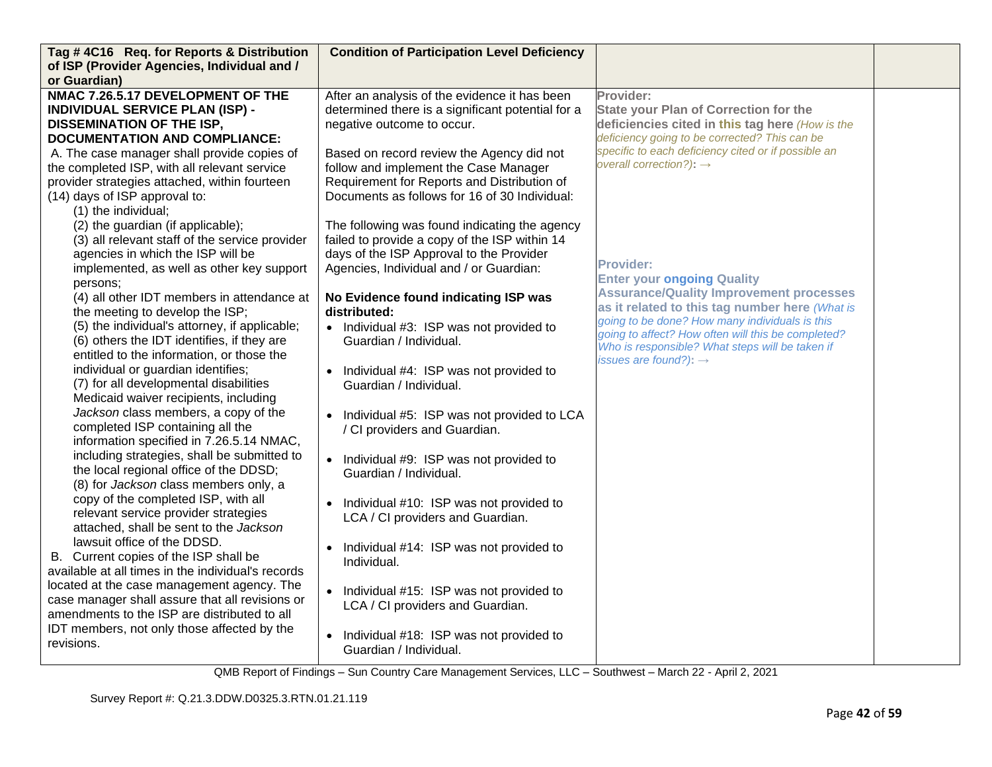| Tag #4C16 Req. for Reports & Distribution                                     | <b>Condition of Participation Level Deficiency</b>     |                                                                                                      |  |
|-------------------------------------------------------------------------------|--------------------------------------------------------|------------------------------------------------------------------------------------------------------|--|
| of ISP (Provider Agencies, Individual and /                                   |                                                        |                                                                                                      |  |
| or Guardian)                                                                  |                                                        |                                                                                                      |  |
| NMAC 7.26.5.17 DEVELOPMENT OF THE                                             | After an analysis of the evidence it has been          | Provider:                                                                                            |  |
| <b>INDIVIDUAL SERVICE PLAN (ISP) -</b>                                        | determined there is a significant potential for a      | <b>State your Plan of Correction for the</b>                                                         |  |
| <b>DISSEMINATION OF THE ISP,</b>                                              | negative outcome to occur.                             | deficiencies cited in this tag here (How is the                                                      |  |
| <b>DOCUMENTATION AND COMPLIANCE:</b>                                          |                                                        | deficiency going to be corrected? This can be<br>specific to each deficiency cited or if possible an |  |
| A. The case manager shall provide copies of                                   | Based on record review the Agency did not              | overall correction?): $\rightarrow$                                                                  |  |
| the completed ISP, with all relevant service                                  | follow and implement the Case Manager                  |                                                                                                      |  |
| provider strategies attached, within fourteen                                 | Requirement for Reports and Distribution of            |                                                                                                      |  |
| (14) days of ISP approval to:                                                 | Documents as follows for 16 of 30 Individual:          |                                                                                                      |  |
| (1) the individual;                                                           |                                                        |                                                                                                      |  |
| (2) the guardian (if applicable);                                             | The following was found indicating the agency          |                                                                                                      |  |
| (3) all relevant staff of the service provider                                | failed to provide a copy of the ISP within 14          |                                                                                                      |  |
| agencies in which the ISP will be                                             | days of the ISP Approval to the Provider               | <b>Provider:</b>                                                                                     |  |
| implemented, as well as other key support                                     | Agencies, Individual and / or Guardian:                | <b>Enter your ongoing Quality</b>                                                                    |  |
| persons:                                                                      |                                                        | <b>Assurance/Quality Improvement processes</b>                                                       |  |
| (4) all other IDT members in attendance at                                    | No Evidence found indicating ISP was                   | as it related to this tag number here (What is                                                       |  |
| the meeting to develop the ISP;                                               | distributed:                                           | going to be done? How many individuals is this                                                       |  |
| (5) the individual's attorney, if applicable;                                 | • Individual #3: ISP was not provided to               | going to affect? How often will this be completed?                                                   |  |
| (6) others the IDT identifies, if they are                                    | Guardian / Individual.                                 | Who is responsible? What steps will be taken if                                                      |  |
| entitled to the information, or those the                                     |                                                        | issues are found?): $\rightarrow$                                                                    |  |
| individual or guardian identifies;                                            | Individual #4: ISP was not provided to                 |                                                                                                      |  |
| (7) for all developmental disabilities                                        | Guardian / Individual.                                 |                                                                                                      |  |
| Medicaid waiver recipients, including<br>Jackson class members, a copy of the |                                                        |                                                                                                      |  |
| completed ISP containing all the                                              | Individual #5: ISP was not provided to LCA             |                                                                                                      |  |
| information specified in 7.26.5.14 NMAC,                                      | / CI providers and Guardian.                           |                                                                                                      |  |
| including strategies, shall be submitted to                                   |                                                        |                                                                                                      |  |
| the local regional office of the DDSD;                                        | • Individual #9: ISP was not provided to               |                                                                                                      |  |
| (8) for Jackson class members only, a                                         | Guardian / Individual.                                 |                                                                                                      |  |
| copy of the completed ISP, with all                                           |                                                        |                                                                                                      |  |
| relevant service provider strategies                                          | Individual #10: ISP was not provided to<br>$\bullet$   |                                                                                                      |  |
| attached, shall be sent to the Jackson                                        | LCA / CI providers and Guardian.                       |                                                                                                      |  |
| lawsuit office of the DDSD.                                                   |                                                        |                                                                                                      |  |
| B. Current copies of the ISP shall be                                         | Individual #14: ISP was not provided to<br>Individual. |                                                                                                      |  |
| available at all times in the individual's records                            |                                                        |                                                                                                      |  |
| located at the case management agency. The                                    | • Individual #15: ISP was not provided to              |                                                                                                      |  |
| case manager shall assure that all revisions or                               | LCA / CI providers and Guardian.                       |                                                                                                      |  |
| amendments to the ISP are distributed to all                                  |                                                        |                                                                                                      |  |
| IDT members, not only those affected by the                                   | Individual #18: ISP was not provided to<br>$\bullet$   |                                                                                                      |  |
| revisions.                                                                    | Guardian / Individual.                                 |                                                                                                      |  |
|                                                                               |                                                        |                                                                                                      |  |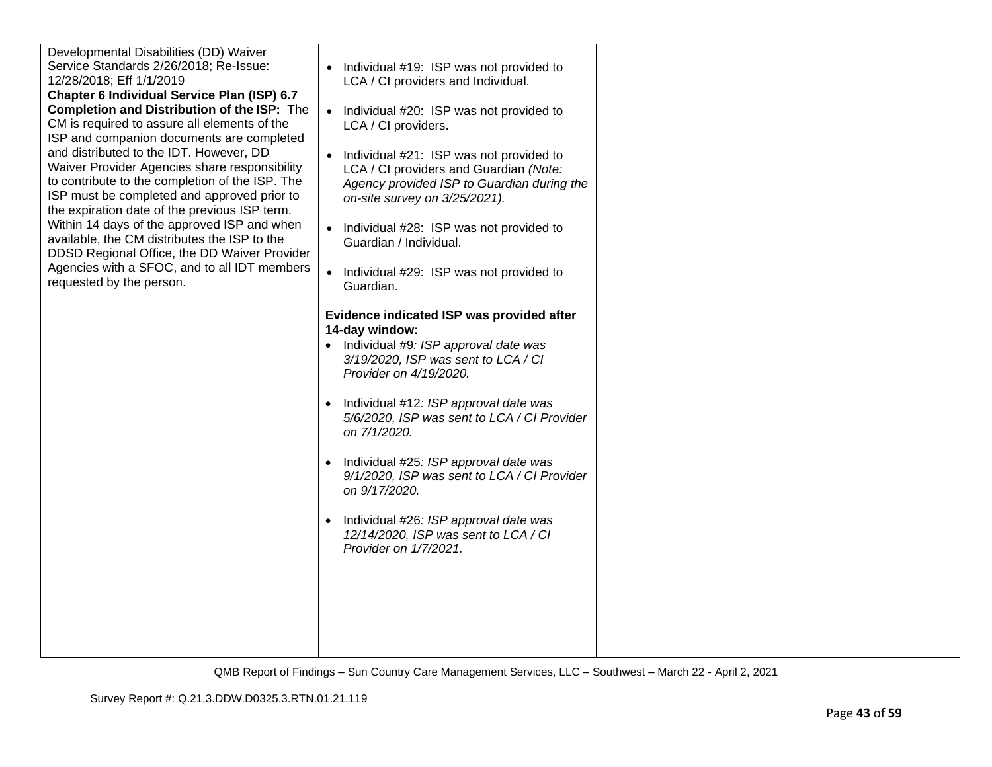| Developmental Disabilities (DD) Waiver             |                                                      |  |
|----------------------------------------------------|------------------------------------------------------|--|
| Service Standards 2/26/2018; Re-Issue:             | Individual #19: ISP was not provided to              |  |
| 12/28/2018; Eff 1/1/2019                           |                                                      |  |
|                                                    | LCA / CI providers and Individual.                   |  |
| Chapter 6 Individual Service Plan (ISP) 6.7        |                                                      |  |
| <b>Completion and Distribution of the ISP:</b> The | Individual #20: ISP was not provided to<br>$\bullet$ |  |
| CM is required to assure all elements of the       | LCA / CI providers.                                  |  |
| ISP and companion documents are completed          |                                                      |  |
| and distributed to the IDT. However, DD            | Individual #21: ISP was not provided to              |  |
| Waiver Provider Agencies share responsibility      | LCA / CI providers and Guardian (Note:               |  |
| to contribute to the completion of the ISP. The    | Agency provided ISP to Guardian during the           |  |
| ISP must be completed and approved prior to        |                                                      |  |
| the expiration date of the previous ISP term.      | on-site survey on 3/25/2021).                        |  |
|                                                    |                                                      |  |
| Within 14 days of the approved ISP and when        | Individual #28: ISP was not provided to<br>$\bullet$ |  |
| available, the CM distributes the ISP to the       | Guardian / Individual.                               |  |
| DDSD Regional Office, the DD Waiver Provider       |                                                      |  |
| Agencies with a SFOC, and to all IDT members       | Individual #29: ISP was not provided to              |  |
| requested by the person.                           | Guardian.                                            |  |
|                                                    |                                                      |  |
|                                                    | Evidence indicated ISP was provided after            |  |
|                                                    | 14-day window:                                       |  |
|                                                    |                                                      |  |
|                                                    | $\bullet$ Individual #9: ISP approval date was       |  |
|                                                    | 3/19/2020, ISP was sent to LCA / CI                  |  |
|                                                    | Provider on 4/19/2020.                               |  |
|                                                    |                                                      |  |
|                                                    | Individual #12: ISP approval date was                |  |
|                                                    | 5/6/2020, ISP was sent to LCA / CI Provider          |  |
|                                                    | on 7/1/2020.                                         |  |
|                                                    |                                                      |  |
|                                                    | Individual #25: ISP approval date was                |  |
|                                                    | 9/1/2020, ISP was sent to LCA / CI Provider          |  |
|                                                    | on 9/17/2020.                                        |  |
|                                                    |                                                      |  |
|                                                    | Individual #26: ISP approval date was                |  |
|                                                    | 12/14/2020, ISP was sent to LCA / CI                 |  |
|                                                    | Provider on 1/7/2021.                                |  |
|                                                    |                                                      |  |
|                                                    |                                                      |  |
|                                                    |                                                      |  |
|                                                    |                                                      |  |
|                                                    |                                                      |  |
|                                                    |                                                      |  |
|                                                    |                                                      |  |
|                                                    |                                                      |  |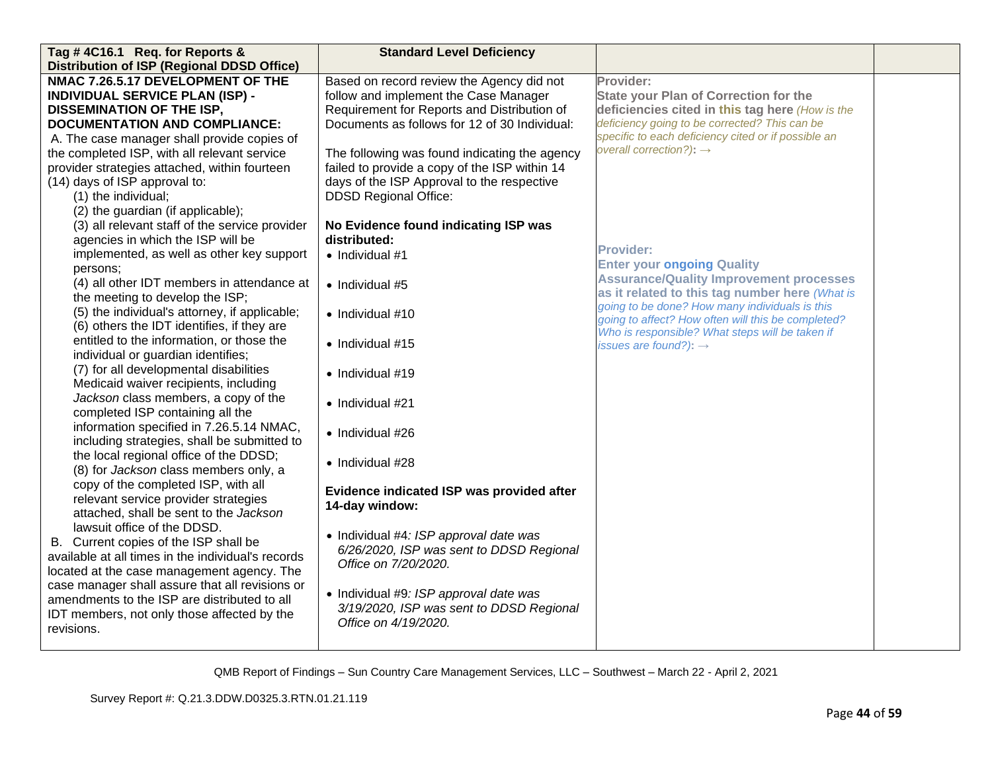| Tag #4C16.1 Req. for Reports &<br><b>Distribution of ISP (Regional DDSD Office)</b>             | <b>Standard Level Deficiency</b>                            |                                                                                     |  |
|-------------------------------------------------------------------------------------------------|-------------------------------------------------------------|-------------------------------------------------------------------------------------|--|
| NMAC 7.26.5.17 DEVELOPMENT OF THE                                                               | Based on record review the Agency did not                   | Provider:                                                                           |  |
| <b>INDIVIDUAL SERVICE PLAN (ISP) -</b>                                                          | follow and implement the Case Manager                       | <b>State your Plan of Correction for the</b>                                        |  |
| <b>DISSEMINATION OF THE ISP,</b>                                                                | Requirement for Reports and Distribution of                 | deficiencies cited in this tag here (How is the                                     |  |
| <b>DOCUMENTATION AND COMPLIANCE:</b>                                                            | Documents as follows for 12 of 30 Individual:               | deficiency going to be corrected? This can be                                       |  |
| A. The case manager shall provide copies of                                                     |                                                             | specific to each deficiency cited or if possible an                                 |  |
| the completed ISP, with all relevant service                                                    | The following was found indicating the agency               | overall correction?): $\rightarrow$                                                 |  |
| provider strategies attached, within fourteen                                                   | failed to provide a copy of the ISP within 14               |                                                                                     |  |
| (14) days of ISP approval to:                                                                   | days of the ISP Approval to the respective                  |                                                                                     |  |
| (1) the individual;                                                                             | <b>DDSD Regional Office:</b>                                |                                                                                     |  |
| (2) the guardian (if applicable);                                                               |                                                             |                                                                                     |  |
| (3) all relevant staff of the service provider                                                  | No Evidence found indicating ISP was                        |                                                                                     |  |
| agencies in which the ISP will be                                                               | distributed:                                                |                                                                                     |  |
| implemented, as well as other key support                                                       | $\bullet$ Individual #1                                     | <b>Provider:</b>                                                                    |  |
| persons;                                                                                        |                                                             | <b>Enter your ongoing Quality</b><br><b>Assurance/Quality Improvement processes</b> |  |
| (4) all other IDT members in attendance at                                                      | • Individual #5                                             | as it related to this tag number here (What is                                      |  |
| the meeting to develop the ISP;                                                                 |                                                             | going to be done? How many individuals is this                                      |  |
| (5) the individual's attorney, if applicable;                                                   | $\bullet$ Individual #10                                    | going to affect? How often will this be completed?                                  |  |
| (6) others the IDT identifies, if they are                                                      |                                                             | Who is responsible? What steps will be taken if                                     |  |
| entitled to the information, or those the                                                       | $\bullet$ Individual #15                                    | issues are found?): $\rightarrow$                                                   |  |
| individual or guardian identifies;<br>(7) for all developmental disabilities                    |                                                             |                                                                                     |  |
| Medicaid waiver recipients, including                                                           | · Individual #19                                            |                                                                                     |  |
| Jackson class members, a copy of the                                                            |                                                             |                                                                                     |  |
| completed ISP containing all the                                                                | • Individual #21                                            |                                                                                     |  |
| information specified in 7.26.5.14 NMAC,                                                        |                                                             |                                                                                     |  |
| including strategies, shall be submitted to                                                     | • Individual #26                                            |                                                                                     |  |
| the local regional office of the DDSD;                                                          |                                                             |                                                                                     |  |
| (8) for Jackson class members only, a                                                           | • Individual #28                                            |                                                                                     |  |
| copy of the completed ISP, with all                                                             |                                                             |                                                                                     |  |
| relevant service provider strategies                                                            | Evidence indicated ISP was provided after<br>14-day window: |                                                                                     |  |
| attached, shall be sent to the Jackson                                                          |                                                             |                                                                                     |  |
| lawsuit office of the DDSD.                                                                     | • Individual #4: ISP approval date was                      |                                                                                     |  |
| B. Current copies of the ISP shall be                                                           | 6/26/2020, ISP was sent to DDSD Regional                    |                                                                                     |  |
| available at all times in the individual's records                                              | Office on 7/20/2020.                                        |                                                                                     |  |
| located at the case management agency. The                                                      |                                                             |                                                                                     |  |
| case manager shall assure that all revisions or<br>amendments to the ISP are distributed to all | • Individual #9: ISP approval date was                      |                                                                                     |  |
| IDT members, not only those affected by the                                                     | 3/19/2020, ISP was sent to DDSD Regional                    |                                                                                     |  |
| revisions.                                                                                      | Office on 4/19/2020.                                        |                                                                                     |  |
|                                                                                                 |                                                             |                                                                                     |  |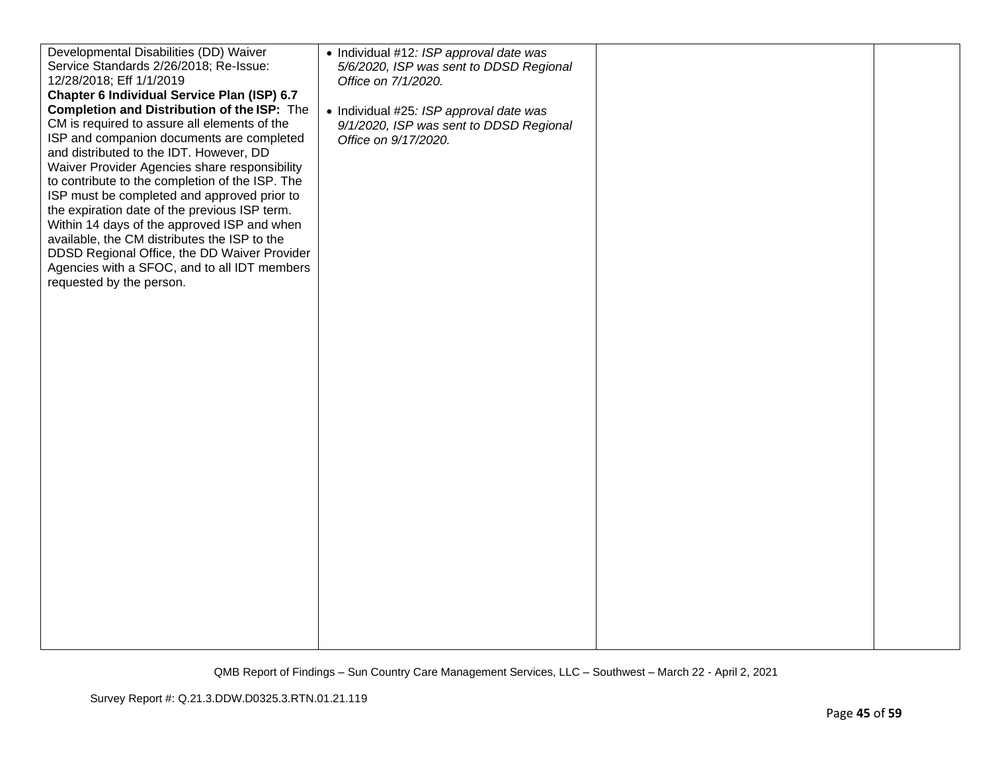| Developmental Disabilities (DD) Waiver          | • Individual #12: ISP approval date was |  |
|-------------------------------------------------|-----------------------------------------|--|
| Service Standards 2/26/2018; Re-Issue:          | 5/6/2020, ISP was sent to DDSD Regional |  |
| 12/28/2018; Eff 1/1/2019                        | Office on 7/1/2020.                     |  |
| Chapter 6 Individual Service Plan (ISP) 6.7     |                                         |  |
| Completion and Distribution of the ISP: The     | • Individual #25: ISP approval date was |  |
| CM is required to assure all elements of the    | 9/1/2020, ISP was sent to DDSD Regional |  |
| ISP and companion documents are completed       | Office on 9/17/2020.                    |  |
| and distributed to the IDT. However, DD         |                                         |  |
| Waiver Provider Agencies share responsibility   |                                         |  |
| to contribute to the completion of the ISP. The |                                         |  |
| ISP must be completed and approved prior to     |                                         |  |
| the expiration date of the previous ISP term.   |                                         |  |
| Within 14 days of the approved ISP and when     |                                         |  |
| available, the CM distributes the ISP to the    |                                         |  |
| DDSD Regional Office, the DD Waiver Provider    |                                         |  |
| Agencies with a SFOC, and to all IDT members    |                                         |  |
| requested by the person.                        |                                         |  |
|                                                 |                                         |  |
|                                                 |                                         |  |
|                                                 |                                         |  |
|                                                 |                                         |  |
|                                                 |                                         |  |
|                                                 |                                         |  |
|                                                 |                                         |  |
|                                                 |                                         |  |
|                                                 |                                         |  |
|                                                 |                                         |  |
|                                                 |                                         |  |
|                                                 |                                         |  |
|                                                 |                                         |  |
|                                                 |                                         |  |
|                                                 |                                         |  |
|                                                 |                                         |  |
|                                                 |                                         |  |
|                                                 |                                         |  |
|                                                 |                                         |  |
|                                                 |                                         |  |
|                                                 |                                         |  |
|                                                 |                                         |  |
|                                                 |                                         |  |
|                                                 |                                         |  |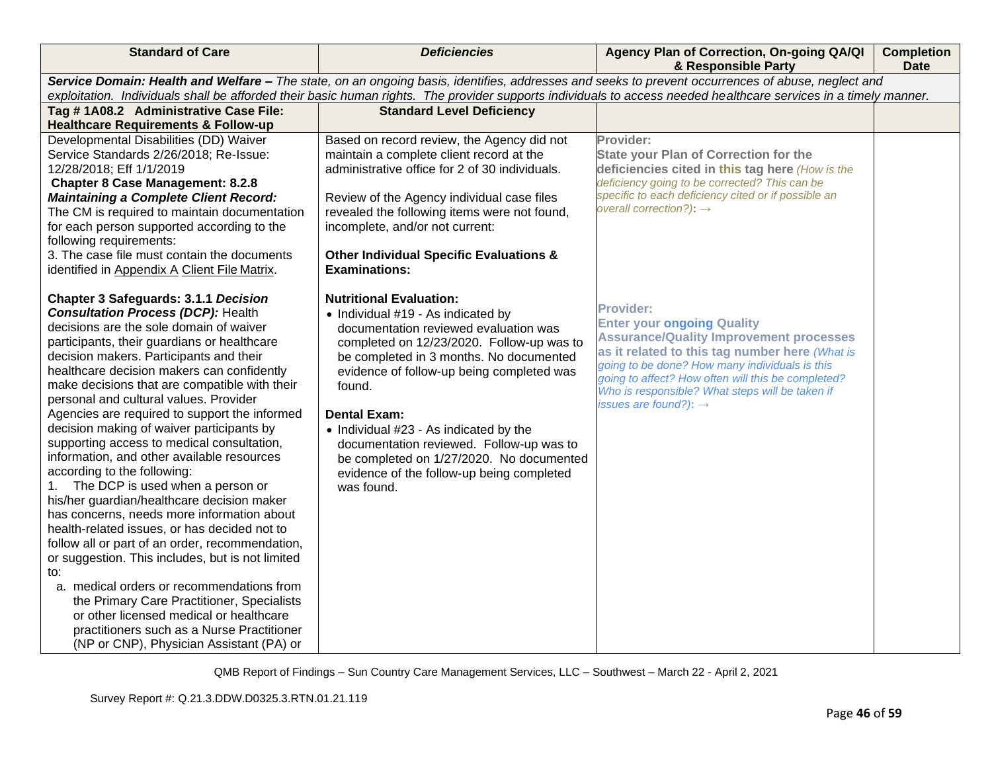| <b>Standard of Care</b>                                                                                                                                          | <b>Deficiencies</b>                                                         | Agency Plan of Correction, On-going QA/QI<br>& Responsible Party                           | <b>Completion</b><br><b>Date</b> |  |
|------------------------------------------------------------------------------------------------------------------------------------------------------------------|-----------------------------------------------------------------------------|--------------------------------------------------------------------------------------------|----------------------------------|--|
| Service Domain: Health and Welfare - The state, on an ongoing basis, identifies, addresses and seeks to prevent occurrences of abuse, neglect and                |                                                                             |                                                                                            |                                  |  |
| exploitation. Individuals shall be afforded their basic human rights. The provider supports individuals to access needed healthcare services in a timely manner. |                                                                             |                                                                                            |                                  |  |
| Tag #1A08.2 Administrative Case File:                                                                                                                            | <b>Standard Level Deficiency</b>                                            |                                                                                            |                                  |  |
| <b>Healthcare Requirements &amp; Follow-up</b>                                                                                                                   |                                                                             |                                                                                            |                                  |  |
| Developmental Disabilities (DD) Waiver                                                                                                                           | Based on record review, the Agency did not                                  | Provider:                                                                                  |                                  |  |
| Service Standards 2/26/2018; Re-Issue:                                                                                                                           | maintain a complete client record at the                                    | <b>State your Plan of Correction for the</b>                                               |                                  |  |
| 12/28/2018; Eff 1/1/2019                                                                                                                                         | administrative office for 2 of 30 individuals.                              | deficiencies cited in this tag here (How is the                                            |                                  |  |
| <b>Chapter 8 Case Management: 8.2.8</b>                                                                                                                          |                                                                             | deficiency going to be corrected? This can be                                              |                                  |  |
| <b>Maintaining a Complete Client Record:</b>                                                                                                                     | Review of the Agency individual case files                                  | specific to each deficiency cited or if possible an<br>overall correction?): $\rightarrow$ |                                  |  |
| The CM is required to maintain documentation                                                                                                                     | revealed the following items were not found,                                |                                                                                            |                                  |  |
| for each person supported according to the                                                                                                                       | incomplete, and/or not current:                                             |                                                                                            |                                  |  |
| following requirements:<br>3. The case file must contain the documents                                                                                           |                                                                             |                                                                                            |                                  |  |
|                                                                                                                                                                  | <b>Other Individual Specific Evaluations &amp;</b><br><b>Examinations:</b>  |                                                                                            |                                  |  |
| identified in Appendix A Client File Matrix.                                                                                                                     |                                                                             |                                                                                            |                                  |  |
| <b>Chapter 3 Safeguards: 3.1.1 Decision</b>                                                                                                                      | <b>Nutritional Evaluation:</b>                                              |                                                                                            |                                  |  |
| <b>Consultation Process (DCP): Health</b>                                                                                                                        |                                                                             | <b>Provider:</b>                                                                           |                                  |  |
| decisions are the sole domain of waiver                                                                                                                          | • Individual #19 - As indicated by<br>documentation reviewed evaluation was | <b>Enter your ongoing Quality</b>                                                          |                                  |  |
| participants, their guardians or healthcare                                                                                                                      | completed on 12/23/2020. Follow-up was to                                   | <b>Assurance/Quality Improvement processes</b>                                             |                                  |  |
| decision makers. Participants and their                                                                                                                          | be completed in 3 months. No documented                                     | as it related to this tag number here (What is                                             |                                  |  |
| healthcare decision makers can confidently                                                                                                                       | evidence of follow-up being completed was                                   | going to be done? How many individuals is this                                             |                                  |  |
| make decisions that are compatible with their                                                                                                                    | found.                                                                      | going to affect? How often will this be completed?                                         |                                  |  |
| personal and cultural values. Provider                                                                                                                           |                                                                             | Who is responsible? What steps will be taken if                                            |                                  |  |
| Agencies are required to support the informed                                                                                                                    | <b>Dental Exam:</b>                                                         | issues are found?): $\rightarrow$                                                          |                                  |  |
| decision making of waiver participants by                                                                                                                        | • Individual #23 - As indicated by the                                      |                                                                                            |                                  |  |
| supporting access to medical consultation,                                                                                                                       | documentation reviewed. Follow-up was to                                    |                                                                                            |                                  |  |
| information, and other available resources                                                                                                                       | be completed on 1/27/2020. No documented                                    |                                                                                            |                                  |  |
| according to the following:                                                                                                                                      | evidence of the follow-up being completed                                   |                                                                                            |                                  |  |
| The DCP is used when a person or                                                                                                                                 | was found.                                                                  |                                                                                            |                                  |  |
| his/her guardian/healthcare decision maker                                                                                                                       |                                                                             |                                                                                            |                                  |  |
| has concerns, needs more information about                                                                                                                       |                                                                             |                                                                                            |                                  |  |
| health-related issues, or has decided not to                                                                                                                     |                                                                             |                                                                                            |                                  |  |
| follow all or part of an order, recommendation,                                                                                                                  |                                                                             |                                                                                            |                                  |  |
| or suggestion. This includes, but is not limited                                                                                                                 |                                                                             |                                                                                            |                                  |  |
| to:                                                                                                                                                              |                                                                             |                                                                                            |                                  |  |
| a. medical orders or recommendations from                                                                                                                        |                                                                             |                                                                                            |                                  |  |
| the Primary Care Practitioner, Specialists                                                                                                                       |                                                                             |                                                                                            |                                  |  |
| or other licensed medical or healthcare                                                                                                                          |                                                                             |                                                                                            |                                  |  |
| practitioners such as a Nurse Practitioner                                                                                                                       |                                                                             |                                                                                            |                                  |  |
| (NP or CNP), Physician Assistant (PA) or                                                                                                                         |                                                                             |                                                                                            |                                  |  |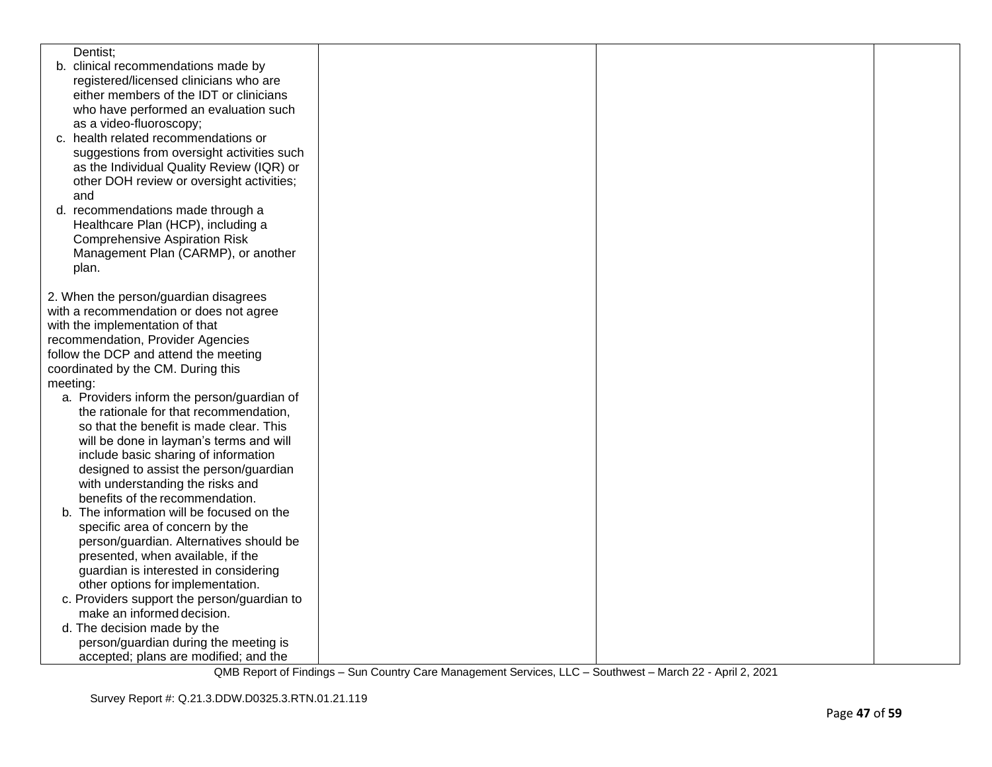| Dentist;                                    |  |  |
|---------------------------------------------|--|--|
| b. clinical recommendations made by         |  |  |
| registered/licensed clinicians who are      |  |  |
| either members of the IDT or clinicians     |  |  |
| who have performed an evaluation such       |  |  |
| as a video-fluoroscopy;                     |  |  |
| c. health related recommendations or        |  |  |
| suggestions from oversight activities such  |  |  |
| as the Individual Quality Review (IQR) or   |  |  |
| other DOH review or oversight activities;   |  |  |
| and                                         |  |  |
|                                             |  |  |
| d. recommendations made through a           |  |  |
| Healthcare Plan (HCP), including a          |  |  |
| <b>Comprehensive Aspiration Risk</b>        |  |  |
| Management Plan (CARMP), or another         |  |  |
| plan.                                       |  |  |
|                                             |  |  |
| 2. When the person/guardian disagrees       |  |  |
| with a recommendation or does not agree     |  |  |
| with the implementation of that             |  |  |
| recommendation, Provider Agencies           |  |  |
| follow the DCP and attend the meeting       |  |  |
| coordinated by the CM. During this          |  |  |
| meeting:                                    |  |  |
| a. Providers inform the person/guardian of  |  |  |
| the rationale for that recommendation,      |  |  |
| so that the benefit is made clear. This     |  |  |
| will be done in layman's terms and will     |  |  |
| include basic sharing of information        |  |  |
| designed to assist the person/guardian      |  |  |
| with understanding the risks and            |  |  |
| benefits of the recommendation.             |  |  |
| b. The information will be focused on the   |  |  |
| specific area of concern by the             |  |  |
| person/guardian. Alternatives should be     |  |  |
| presented, when available, if the           |  |  |
| guardian is interested in considering       |  |  |
| other options for implementation.           |  |  |
| c. Providers support the person/guardian to |  |  |
| make an informed decision.                  |  |  |
| d. The decision made by the                 |  |  |
| person/guardian during the meeting is       |  |  |
| accepted; plans are modified; and the       |  |  |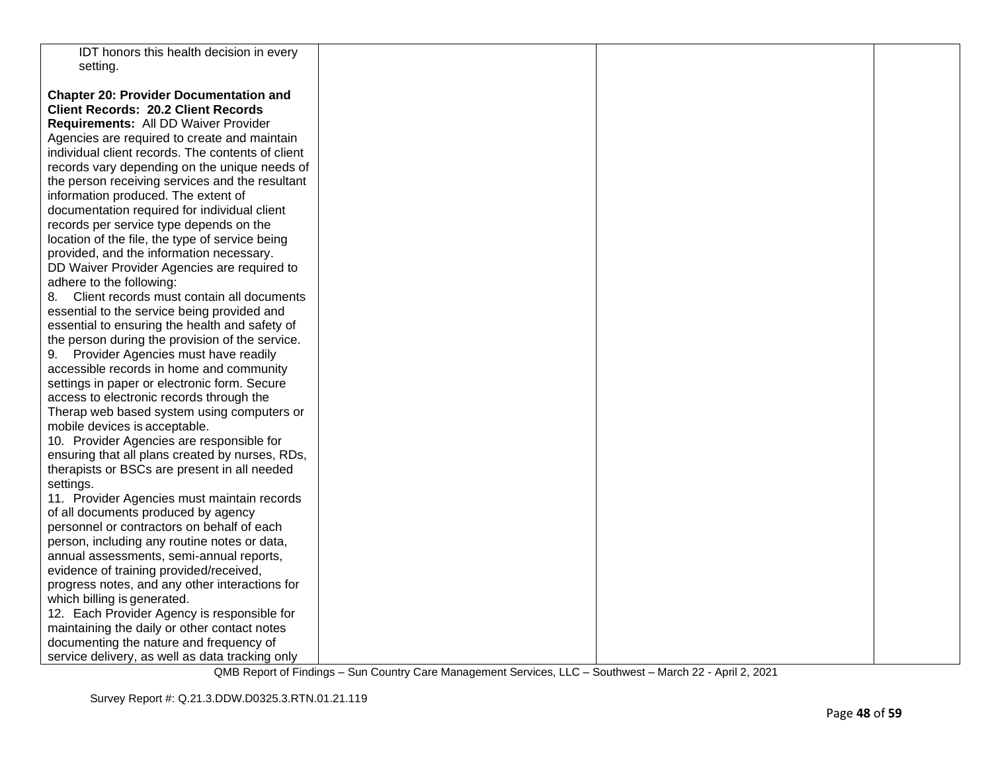| IDT honors this health decision in every                                                        |  |  |
|-------------------------------------------------------------------------------------------------|--|--|
| setting.                                                                                        |  |  |
|                                                                                                 |  |  |
| <b>Chapter 20: Provider Documentation and</b>                                                   |  |  |
| <b>Client Records: 20.2 Client Records</b>                                                      |  |  |
| Requirements: All DD Waiver Provider                                                            |  |  |
| Agencies are required to create and maintain                                                    |  |  |
| individual client records. The contents of client                                               |  |  |
| records vary depending on the unique needs of                                                   |  |  |
| the person receiving services and the resultant                                                 |  |  |
| information produced. The extent of                                                             |  |  |
| documentation required for individual client                                                    |  |  |
| records per service type depends on the                                                         |  |  |
| location of the file, the type of service being                                                 |  |  |
| provided, and the information necessary.                                                        |  |  |
| DD Waiver Provider Agencies are required to                                                     |  |  |
| adhere to the following:                                                                        |  |  |
| 8. Client records must contain all documents                                                    |  |  |
| essential to the service being provided and                                                     |  |  |
| essential to ensuring the health and safety of                                                  |  |  |
| the person during the provision of the service.                                                 |  |  |
| 9. Provider Agencies must have readily                                                          |  |  |
| accessible records in home and community                                                        |  |  |
| settings in paper or electronic form. Secure                                                    |  |  |
| access to electronic records through the                                                        |  |  |
| Therap web based system using computers or                                                      |  |  |
| mobile devices is acceptable.                                                                   |  |  |
| 10. Provider Agencies are responsible for                                                       |  |  |
|                                                                                                 |  |  |
| ensuring that all plans created by nurses, RDs,<br>therapists or BSCs are present in all needed |  |  |
|                                                                                                 |  |  |
| settings.                                                                                       |  |  |
| 11. Provider Agencies must maintain records<br>of all documents produced by agency              |  |  |
| personnel or contractors on behalf of each                                                      |  |  |
|                                                                                                 |  |  |
| person, including any routine notes or data,                                                    |  |  |
| annual assessments, semi-annual reports,                                                        |  |  |
| evidence of training provided/received,                                                         |  |  |
| progress notes, and any other interactions for                                                  |  |  |
| which billing is generated.                                                                     |  |  |
| 12. Each Provider Agency is responsible for                                                     |  |  |
| maintaining the daily or other contact notes                                                    |  |  |
| documenting the nature and frequency of                                                         |  |  |
| service delivery, as well as data tracking only                                                 |  |  |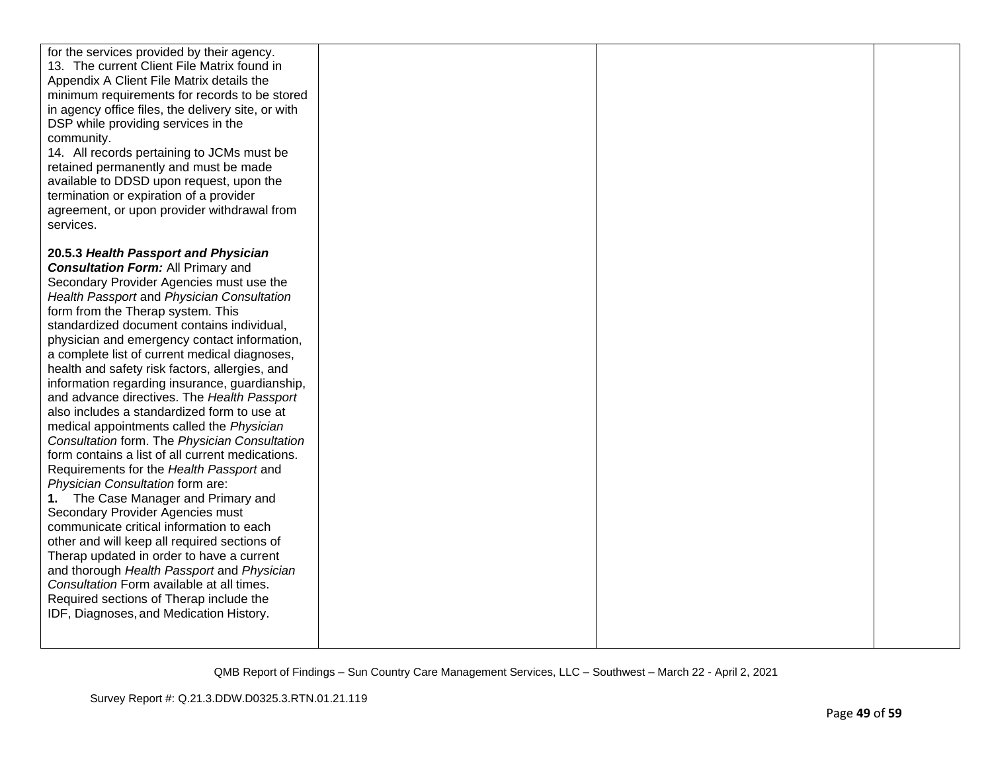| for the services provided by their agency.<br>13. The current Client File Matrix found in<br>Appendix A Client File Matrix details the<br>minimum requirements for records to be stored<br>in agency office files, the delivery site, or with<br>DSP while providing services in the<br>community.<br>14. All records pertaining to JCMs must be<br>retained permanently and must be made<br>available to DDSD upon request, upon the<br>termination or expiration of a provider<br>agreement, or upon provider withdrawal from<br>services. |  |  |
|----------------------------------------------------------------------------------------------------------------------------------------------------------------------------------------------------------------------------------------------------------------------------------------------------------------------------------------------------------------------------------------------------------------------------------------------------------------------------------------------------------------------------------------------|--|--|
| 20.5.3 Health Passport and Physician                                                                                                                                                                                                                                                                                                                                                                                                                                                                                                         |  |  |
| <b>Consultation Form: All Primary and</b><br>Secondary Provider Agencies must use the                                                                                                                                                                                                                                                                                                                                                                                                                                                        |  |  |
| Health Passport and Physician Consultation                                                                                                                                                                                                                                                                                                                                                                                                                                                                                                   |  |  |
| form from the Therap system. This                                                                                                                                                                                                                                                                                                                                                                                                                                                                                                            |  |  |
| standardized document contains individual,<br>physician and emergency contact information,                                                                                                                                                                                                                                                                                                                                                                                                                                                   |  |  |
| a complete list of current medical diagnoses,                                                                                                                                                                                                                                                                                                                                                                                                                                                                                                |  |  |
| health and safety risk factors, allergies, and                                                                                                                                                                                                                                                                                                                                                                                                                                                                                               |  |  |
| information regarding insurance, guardianship,                                                                                                                                                                                                                                                                                                                                                                                                                                                                                               |  |  |
| and advance directives. The Health Passport<br>also includes a standardized form to use at                                                                                                                                                                                                                                                                                                                                                                                                                                                   |  |  |
| medical appointments called the Physician                                                                                                                                                                                                                                                                                                                                                                                                                                                                                                    |  |  |
| Consultation form. The Physician Consultation                                                                                                                                                                                                                                                                                                                                                                                                                                                                                                |  |  |
| form contains a list of all current medications.                                                                                                                                                                                                                                                                                                                                                                                                                                                                                             |  |  |
| Requirements for the Health Passport and                                                                                                                                                                                                                                                                                                                                                                                                                                                                                                     |  |  |
| Physician Consultation form are:                                                                                                                                                                                                                                                                                                                                                                                                                                                                                                             |  |  |
| 1. The Case Manager and Primary and<br>Secondary Provider Agencies must                                                                                                                                                                                                                                                                                                                                                                                                                                                                      |  |  |
| communicate critical information to each                                                                                                                                                                                                                                                                                                                                                                                                                                                                                                     |  |  |
| other and will keep all required sections of                                                                                                                                                                                                                                                                                                                                                                                                                                                                                                 |  |  |
| Therap updated in order to have a current                                                                                                                                                                                                                                                                                                                                                                                                                                                                                                    |  |  |
| and thorough Health Passport and Physician                                                                                                                                                                                                                                                                                                                                                                                                                                                                                                   |  |  |
| Consultation Form available at all times.<br>Required sections of Therap include the                                                                                                                                                                                                                                                                                                                                                                                                                                                         |  |  |
| IDF, Diagnoses, and Medication History.                                                                                                                                                                                                                                                                                                                                                                                                                                                                                                      |  |  |
|                                                                                                                                                                                                                                                                                                                                                                                                                                                                                                                                              |  |  |
|                                                                                                                                                                                                                                                                                                                                                                                                                                                                                                                                              |  |  |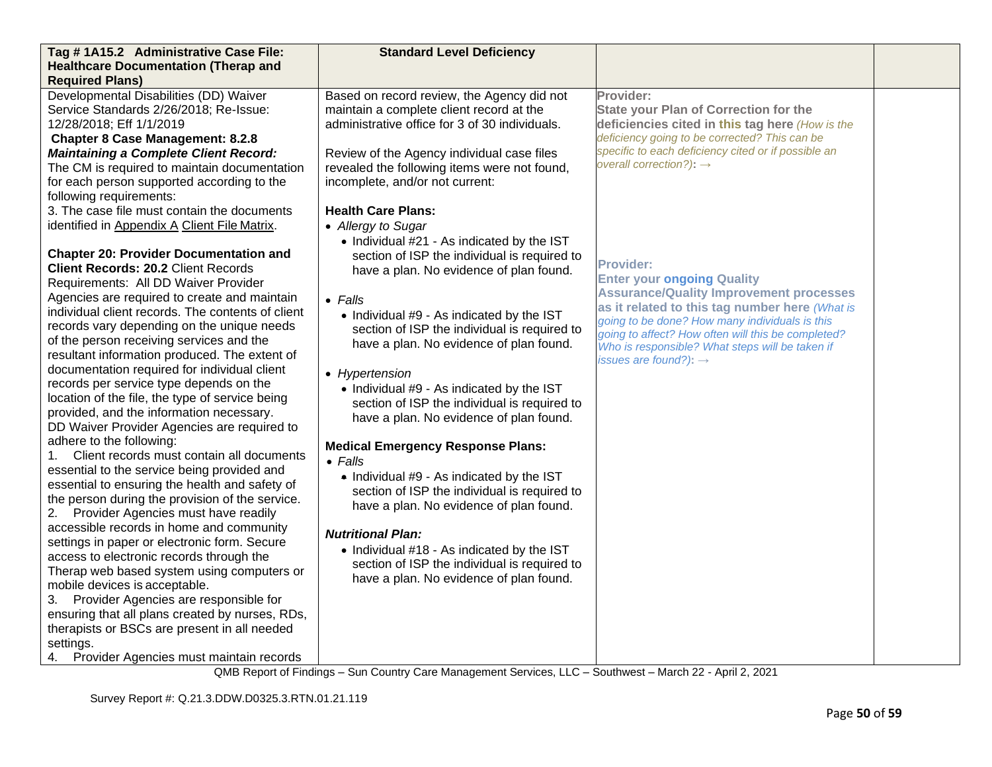| Tag #1A15.2 Administrative Case File:<br><b>Healthcare Documentation (Therap and</b>            | <b>Standard Level Deficiency</b>               |                                                                                                       |  |
|-------------------------------------------------------------------------------------------------|------------------------------------------------|-------------------------------------------------------------------------------------------------------|--|
| <b>Required Plans)</b>                                                                          |                                                |                                                                                                       |  |
| Developmental Disabilities (DD) Waiver                                                          | Based on record review, the Agency did not     | Provider:                                                                                             |  |
| Service Standards 2/26/2018; Re-Issue:                                                          | maintain a complete client record at the       | <b>State your Plan of Correction for the</b>                                                          |  |
| 12/28/2018; Eff 1/1/2019                                                                        | administrative office for 3 of 30 individuals. | deficiencies cited in this tag here (How is the                                                       |  |
| <b>Chapter 8 Case Management: 8.2.8</b>                                                         |                                                | deficiency going to be corrected? This can be                                                         |  |
| <b>Maintaining a Complete Client Record:</b>                                                    | Review of the Agency individual case files     | specific to each deficiency cited or if possible an                                                   |  |
| The CM is required to maintain documentation                                                    | revealed the following items were not found,   | overall correction?): $\rightarrow$                                                                   |  |
| for each person supported according to the                                                      | incomplete, and/or not current:                |                                                                                                       |  |
| following requirements:                                                                         |                                                |                                                                                                       |  |
| 3. The case file must contain the documents                                                     | <b>Health Care Plans:</b>                      |                                                                                                       |  |
| identified in Appendix A Client File Matrix.                                                    | • Allergy to Sugar                             |                                                                                                       |  |
|                                                                                                 | • Individual #21 - As indicated by the IST     |                                                                                                       |  |
| <b>Chapter 20: Provider Documentation and</b><br><b>Client Records: 20.2 Client Records</b>     | section of ISP the individual is required to   | Provider:                                                                                             |  |
| Requirements: All DD Waiver Provider                                                            | have a plan. No evidence of plan found.        | <b>Enter your ongoing Quality</b>                                                                     |  |
| Agencies are required to create and maintain                                                    | $\bullet$ Falls                                | <b>Assurance/Quality Improvement processes</b>                                                        |  |
| individual client records. The contents of client                                               | • Individual #9 - As indicated by the IST      | as it related to this tag number here (What is                                                        |  |
| records vary depending on the unique needs                                                      | section of ISP the individual is required to   | going to be done? How many individuals is this                                                        |  |
| of the person receiving services and the                                                        | have a plan. No evidence of plan found.        | going to affect? How often will this be completed?<br>Who is responsible? What steps will be taken if |  |
| resultant information produced. The extent of                                                   |                                                | issues are found?): $\rightarrow$                                                                     |  |
| documentation required for individual client                                                    | • Hypertension                                 |                                                                                                       |  |
| records per service type depends on the                                                         | • Individual #9 - As indicated by the IST      |                                                                                                       |  |
| location of the file, the type of service being                                                 | section of ISP the individual is required to   |                                                                                                       |  |
| provided, and the information necessary.                                                        | have a plan. No evidence of plan found.        |                                                                                                       |  |
| DD Waiver Provider Agencies are required to<br>adhere to the following:                         |                                                |                                                                                                       |  |
| Client records must contain all documents<br>1.                                                 | <b>Medical Emergency Response Plans:</b>       |                                                                                                       |  |
| essential to the service being provided and                                                     | $\bullet$ Falls                                |                                                                                                       |  |
| essential to ensuring the health and safety of                                                  | • Individual #9 - As indicated by the IST      |                                                                                                       |  |
| the person during the provision of the service.                                                 | section of ISP the individual is required to   |                                                                                                       |  |
| Provider Agencies must have readily<br>2.                                                       | have a plan. No evidence of plan found.        |                                                                                                       |  |
| accessible records in home and community                                                        | <b>Nutritional Plan:</b>                       |                                                                                                       |  |
| settings in paper or electronic form. Secure                                                    | • Individual #18 - As indicated by the IST     |                                                                                                       |  |
| access to electronic records through the                                                        | section of ISP the individual is required to   |                                                                                                       |  |
| Therap web based system using computers or                                                      | have a plan. No evidence of plan found.        |                                                                                                       |  |
| mobile devices is acceptable.                                                                   |                                                |                                                                                                       |  |
| 3. Provider Agencies are responsible for                                                        |                                                |                                                                                                       |  |
| ensuring that all plans created by nurses, RDs,<br>therapists or BSCs are present in all needed |                                                |                                                                                                       |  |
| settings.                                                                                       |                                                |                                                                                                       |  |
| Provider Agencies must maintain records<br>4.                                                   |                                                |                                                                                                       |  |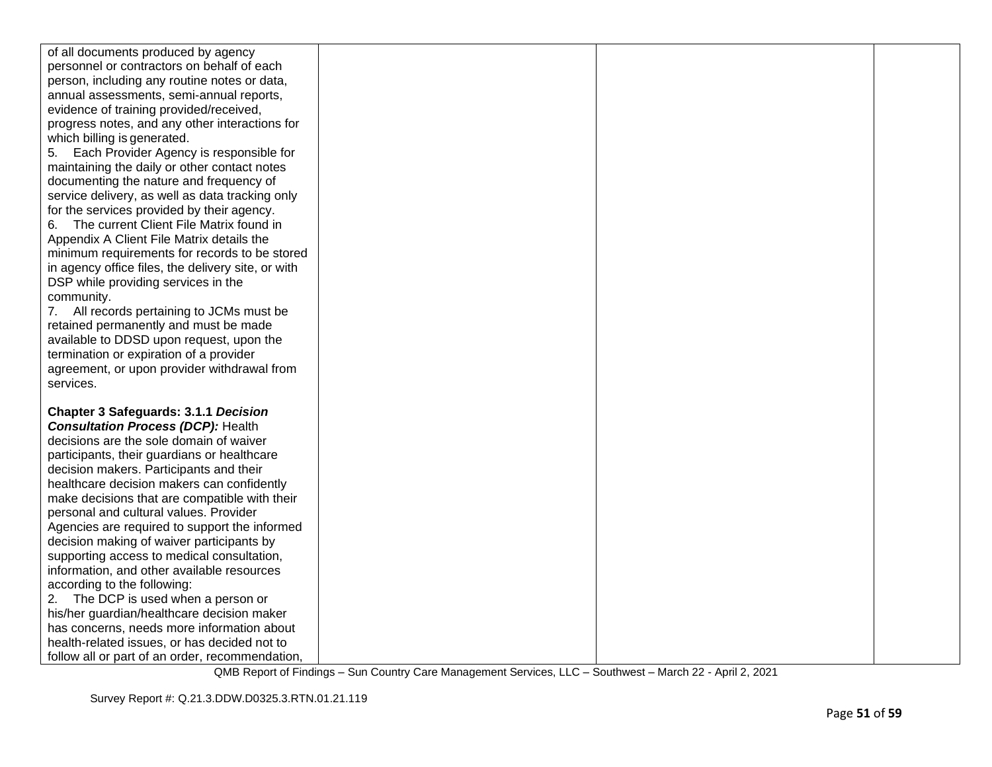| of all documents produced by agency                                                        |  |  |
|--------------------------------------------------------------------------------------------|--|--|
| personnel or contractors on behalf of each                                                 |  |  |
| person, including any routine notes or data,                                               |  |  |
| annual assessments, semi-annual reports,                                                   |  |  |
| evidence of training provided/received,                                                    |  |  |
| progress notes, and any other interactions for                                             |  |  |
| which billing is generated.                                                                |  |  |
| 5. Each Provider Agency is responsible for                                                 |  |  |
| maintaining the daily or other contact notes                                               |  |  |
| documenting the nature and frequency of                                                    |  |  |
| service delivery, as well as data tracking only                                            |  |  |
| for the services provided by their agency.                                                 |  |  |
| The current Client File Matrix found in<br>6.                                              |  |  |
| Appendix A Client File Matrix details the                                                  |  |  |
| minimum requirements for records to be stored                                              |  |  |
| in agency office files, the delivery site, or with                                         |  |  |
| DSP while providing services in the                                                        |  |  |
| community.                                                                                 |  |  |
| 7. All records pertaining to JCMs must be                                                  |  |  |
| retained permanently and must be made                                                      |  |  |
| available to DDSD upon request, upon the                                                   |  |  |
| termination or expiration of a provider                                                    |  |  |
| agreement, or upon provider withdrawal from                                                |  |  |
| services.                                                                                  |  |  |
|                                                                                            |  |  |
| <b>Chapter 3 Safeguards: 3.1.1 Decision</b>                                                |  |  |
| <b>Consultation Process (DCP): Health</b>                                                  |  |  |
| decisions are the sole domain of waiver                                                    |  |  |
| participants, their guardians or healthcare                                                |  |  |
| decision makers. Participants and their                                                    |  |  |
| healthcare decision makers can confidently                                                 |  |  |
| make decisions that are compatible with their                                              |  |  |
| personal and cultural values. Provider                                                     |  |  |
| Agencies are required to support the informed<br>decision making of waiver participants by |  |  |
| supporting access to medical consultation,                                                 |  |  |
| information, and other available resources                                                 |  |  |
| according to the following:                                                                |  |  |
| 2. The DCP is used when a person or                                                        |  |  |
| his/her guardian/healthcare decision maker                                                 |  |  |
| has concerns, needs more information about                                                 |  |  |
| health-related issues, or has decided not to                                               |  |  |
| follow all or part of an order, recommendation,                                            |  |  |
|                                                                                            |  |  |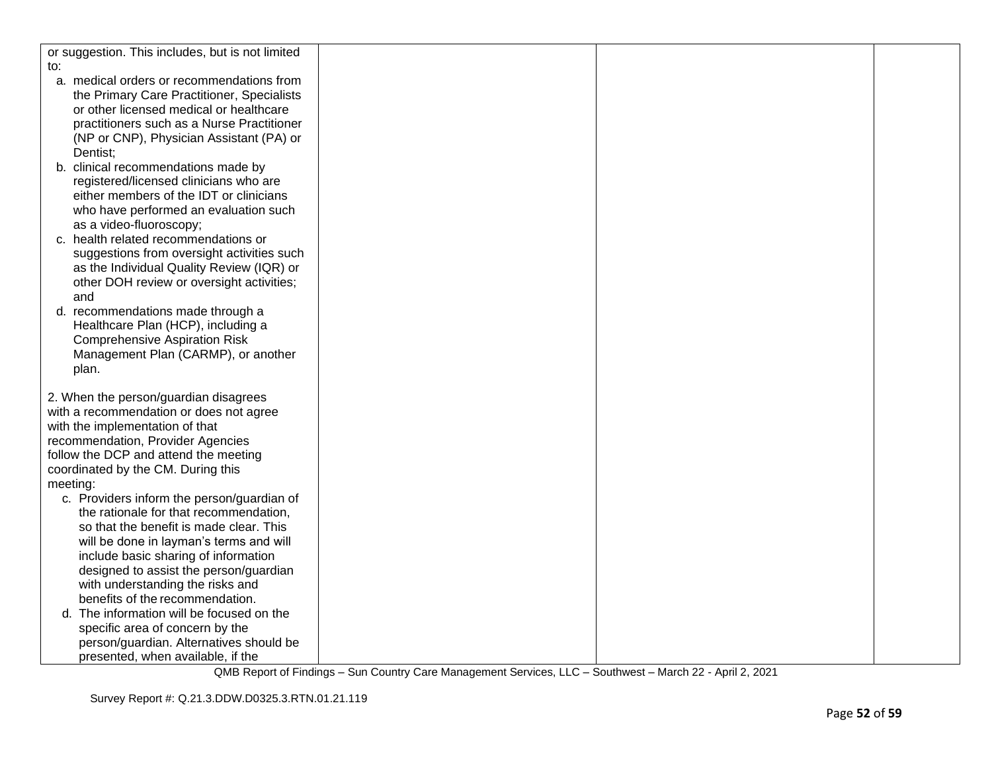| or suggestion. This includes, but is not limited |  |  |
|--------------------------------------------------|--|--|
| to:                                              |  |  |
| a. medical orders or recommendations from        |  |  |
| the Primary Care Practitioner, Specialists       |  |  |
| or other licensed medical or healthcare          |  |  |
| practitioners such as a Nurse Practitioner       |  |  |
|                                                  |  |  |
| (NP or CNP), Physician Assistant (PA) or         |  |  |
| Dentist;                                         |  |  |
| b. clinical recommendations made by              |  |  |
| registered/licensed clinicians who are           |  |  |
| either members of the IDT or clinicians          |  |  |
| who have performed an evaluation such            |  |  |
| as a video-fluoroscopy;                          |  |  |
| c. health related recommendations or             |  |  |
| suggestions from oversight activities such       |  |  |
| as the Individual Quality Review (IQR) or        |  |  |
| other DOH review or oversight activities;        |  |  |
| and                                              |  |  |
| d. recommendations made through a                |  |  |
| Healthcare Plan (HCP), including a               |  |  |
| <b>Comprehensive Aspiration Risk</b>             |  |  |
| Management Plan (CARMP), or another              |  |  |
| plan.                                            |  |  |
|                                                  |  |  |
| 2. When the person/guardian disagrees            |  |  |
| with a recommendation or does not agree          |  |  |
|                                                  |  |  |
| with the implementation of that                  |  |  |
| recommendation, Provider Agencies                |  |  |
| follow the DCP and attend the meeting            |  |  |
| coordinated by the CM. During this               |  |  |
| meeting:                                         |  |  |
| c. Providers inform the person/guardian of       |  |  |
| the rationale for that recommendation,           |  |  |
| so that the benefit is made clear. This          |  |  |
| will be done in layman's terms and will          |  |  |
| include basic sharing of information             |  |  |
| designed to assist the person/guardian           |  |  |
| with understanding the risks and                 |  |  |
| benefits of the recommendation.                  |  |  |
| d. The information will be focused on the        |  |  |
| specific area of concern by the                  |  |  |
| person/guardian. Alternatives should be          |  |  |
| presented, when available, if the                |  |  |
|                                                  |  |  |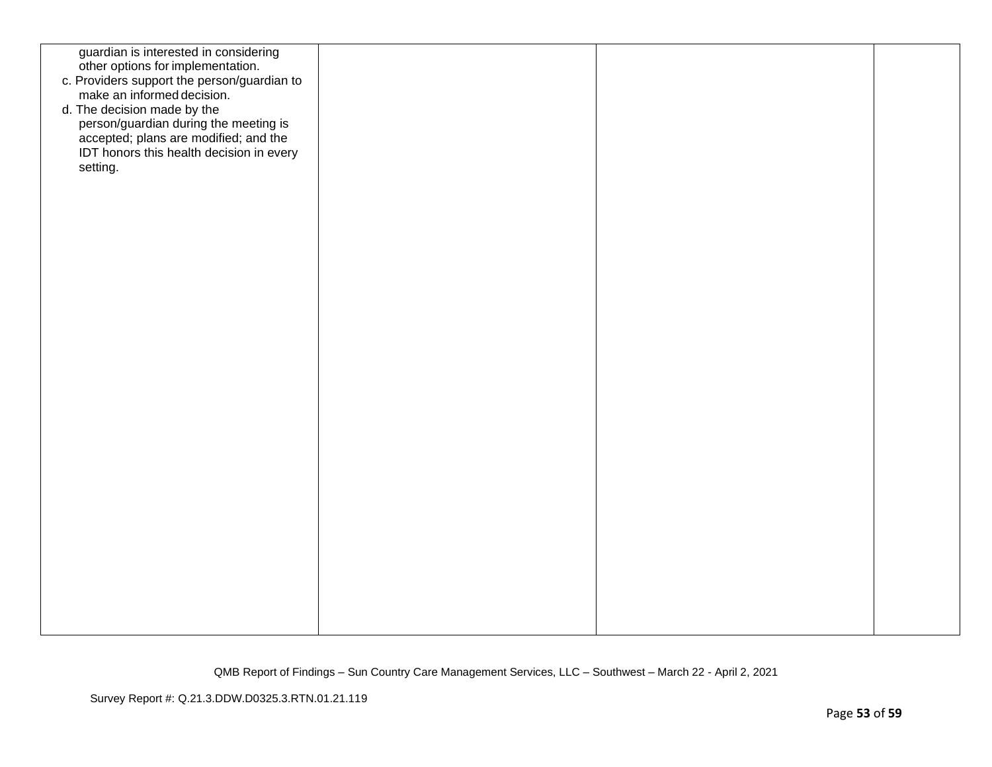| guardian is interested in considering<br>other options for implementation.<br>c. Providers support the person/guardian to<br>make an informed decision.<br>d. The decision made by the |  |  |
|----------------------------------------------------------------------------------------------------------------------------------------------------------------------------------------|--|--|
| person/guardian during the meeting is<br>accepted; plans are modified; and the<br>IDT honors this health decision in every<br>setting.                                                 |  |  |
|                                                                                                                                                                                        |  |  |
|                                                                                                                                                                                        |  |  |
|                                                                                                                                                                                        |  |  |
|                                                                                                                                                                                        |  |  |
|                                                                                                                                                                                        |  |  |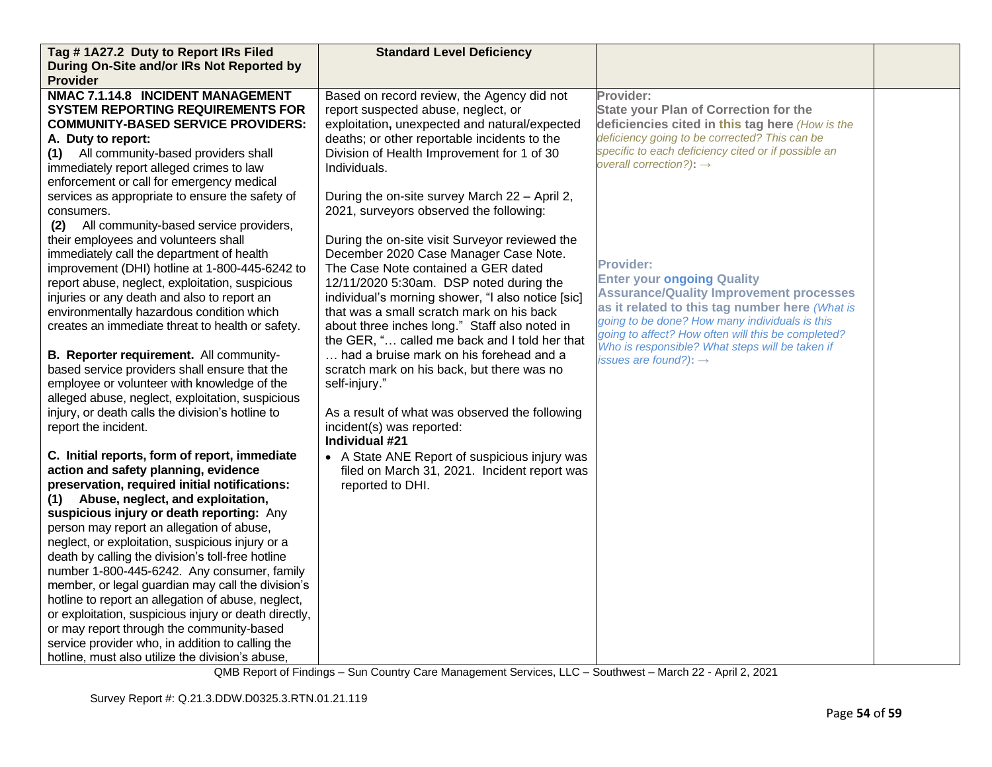| During On-Site and/or IRs Not Reported by<br><b>Provider</b><br>NMAC 7.1.14.8 INCIDENT MANAGEMENT<br>Provider:<br>Based on record review, the Agency did not<br><b>SYSTEM REPORTING REQUIREMENTS FOR</b><br>report suspected abuse, neglect, or<br><b>State your Plan of Correction for the</b><br>exploitation, unexpected and natural/expected<br><b>COMMUNITY-BASED SERVICE PROVIDERS:</b><br>deficiencies cited in this tag here (How is the<br>deficiency going to be corrected? This can be<br>deaths; or other reportable incidents to the<br>A. Duty to report:<br>specific to each deficiency cited or if possible an<br>(1) All community-based providers shall<br>Division of Health Improvement for 1 of 30 |  |  |
|-------------------------------------------------------------------------------------------------------------------------------------------------------------------------------------------------------------------------------------------------------------------------------------------------------------------------------------------------------------------------------------------------------------------------------------------------------------------------------------------------------------------------------------------------------------------------------------------------------------------------------------------------------------------------------------------------------------------------|--|--|
|                                                                                                                                                                                                                                                                                                                                                                                                                                                                                                                                                                                                                                                                                                                         |  |  |
|                                                                                                                                                                                                                                                                                                                                                                                                                                                                                                                                                                                                                                                                                                                         |  |  |
|                                                                                                                                                                                                                                                                                                                                                                                                                                                                                                                                                                                                                                                                                                                         |  |  |
|                                                                                                                                                                                                                                                                                                                                                                                                                                                                                                                                                                                                                                                                                                                         |  |  |
|                                                                                                                                                                                                                                                                                                                                                                                                                                                                                                                                                                                                                                                                                                                         |  |  |
|                                                                                                                                                                                                                                                                                                                                                                                                                                                                                                                                                                                                                                                                                                                         |  |  |
|                                                                                                                                                                                                                                                                                                                                                                                                                                                                                                                                                                                                                                                                                                                         |  |  |
| overall correction?): $\rightarrow$<br>immediately report alleged crimes to law<br>Individuals.                                                                                                                                                                                                                                                                                                                                                                                                                                                                                                                                                                                                                         |  |  |
| enforcement or call for emergency medical                                                                                                                                                                                                                                                                                                                                                                                                                                                                                                                                                                                                                                                                               |  |  |
| services as appropriate to ensure the safety of<br>During the on-site survey March 22 - April 2,                                                                                                                                                                                                                                                                                                                                                                                                                                                                                                                                                                                                                        |  |  |
| 2021, surveyors observed the following:<br>consumers.                                                                                                                                                                                                                                                                                                                                                                                                                                                                                                                                                                                                                                                                   |  |  |
| All community-based service providers,<br>(2)                                                                                                                                                                                                                                                                                                                                                                                                                                                                                                                                                                                                                                                                           |  |  |
| their employees and volunteers shall<br>During the on-site visit Surveyor reviewed the                                                                                                                                                                                                                                                                                                                                                                                                                                                                                                                                                                                                                                  |  |  |
| immediately call the department of health<br>December 2020 Case Manager Case Note.<br><b>Provider:</b>                                                                                                                                                                                                                                                                                                                                                                                                                                                                                                                                                                                                                  |  |  |
| improvement (DHI) hotline at 1-800-445-6242 to<br>The Case Note contained a GER dated<br><b>Enter your ongoing Quality</b>                                                                                                                                                                                                                                                                                                                                                                                                                                                                                                                                                                                              |  |  |
| 12/11/2020 5:30am. DSP noted during the<br>report abuse, neglect, exploitation, suspicious<br><b>Assurance/Quality Improvement processes</b>                                                                                                                                                                                                                                                                                                                                                                                                                                                                                                                                                                            |  |  |
| individual's morning shower, "I also notice [sic]<br>injuries or any death and also to report an<br>as it related to this tag number here (What is                                                                                                                                                                                                                                                                                                                                                                                                                                                                                                                                                                      |  |  |
| environmentally hazardous condition which<br>that was a small scratch mark on his back<br>going to be done? How many individuals is this                                                                                                                                                                                                                                                                                                                                                                                                                                                                                                                                                                                |  |  |
| about three inches long." Staff also noted in<br>creates an immediate threat to health or safety.<br>going to affect? How often will this be completed?<br>the GER, " called me back and I told her that                                                                                                                                                                                                                                                                                                                                                                                                                                                                                                                |  |  |
| Who is responsible? What steps will be taken if<br>had a bruise mark on his forehead and a<br>B. Reporter requirement. All community-                                                                                                                                                                                                                                                                                                                                                                                                                                                                                                                                                                                   |  |  |
| issues are found?): $\rightarrow$<br>based service providers shall ensure that the<br>scratch mark on his back, but there was no                                                                                                                                                                                                                                                                                                                                                                                                                                                                                                                                                                                        |  |  |
| employee or volunteer with knowledge of the<br>self-injury."                                                                                                                                                                                                                                                                                                                                                                                                                                                                                                                                                                                                                                                            |  |  |
| alleged abuse, neglect, exploitation, suspicious                                                                                                                                                                                                                                                                                                                                                                                                                                                                                                                                                                                                                                                                        |  |  |
| injury, or death calls the division's hotline to<br>As a result of what was observed the following                                                                                                                                                                                                                                                                                                                                                                                                                                                                                                                                                                                                                      |  |  |
| report the incident.<br>incident(s) was reported:                                                                                                                                                                                                                                                                                                                                                                                                                                                                                                                                                                                                                                                                       |  |  |
| Individual #21                                                                                                                                                                                                                                                                                                                                                                                                                                                                                                                                                                                                                                                                                                          |  |  |
| C. Initial reports, form of report, immediate<br>• A State ANE Report of suspicious injury was                                                                                                                                                                                                                                                                                                                                                                                                                                                                                                                                                                                                                          |  |  |
| action and safety planning, evidence<br>filed on March 31, 2021. Incident report was                                                                                                                                                                                                                                                                                                                                                                                                                                                                                                                                                                                                                                    |  |  |
| preservation, required initial notifications:<br>reported to DHI.                                                                                                                                                                                                                                                                                                                                                                                                                                                                                                                                                                                                                                                       |  |  |
| (1) Abuse, neglect, and exploitation,                                                                                                                                                                                                                                                                                                                                                                                                                                                                                                                                                                                                                                                                                   |  |  |
| suspicious injury or death reporting: Any                                                                                                                                                                                                                                                                                                                                                                                                                                                                                                                                                                                                                                                                               |  |  |
| person may report an allegation of abuse,                                                                                                                                                                                                                                                                                                                                                                                                                                                                                                                                                                                                                                                                               |  |  |
| neglect, or exploitation, suspicious injury or a                                                                                                                                                                                                                                                                                                                                                                                                                                                                                                                                                                                                                                                                        |  |  |
| death by calling the division's toll-free hotline                                                                                                                                                                                                                                                                                                                                                                                                                                                                                                                                                                                                                                                                       |  |  |
| number 1-800-445-6242. Any consumer, family                                                                                                                                                                                                                                                                                                                                                                                                                                                                                                                                                                                                                                                                             |  |  |
| member, or legal guardian may call the division's                                                                                                                                                                                                                                                                                                                                                                                                                                                                                                                                                                                                                                                                       |  |  |
| hotline to report an allegation of abuse, neglect,                                                                                                                                                                                                                                                                                                                                                                                                                                                                                                                                                                                                                                                                      |  |  |
| or exploitation, suspicious injury or death directly,<br>or may report through the community-based                                                                                                                                                                                                                                                                                                                                                                                                                                                                                                                                                                                                                      |  |  |
| service provider who, in addition to calling the                                                                                                                                                                                                                                                                                                                                                                                                                                                                                                                                                                                                                                                                        |  |  |
| hotline, must also utilize the division's abuse,                                                                                                                                                                                                                                                                                                                                                                                                                                                                                                                                                                                                                                                                        |  |  |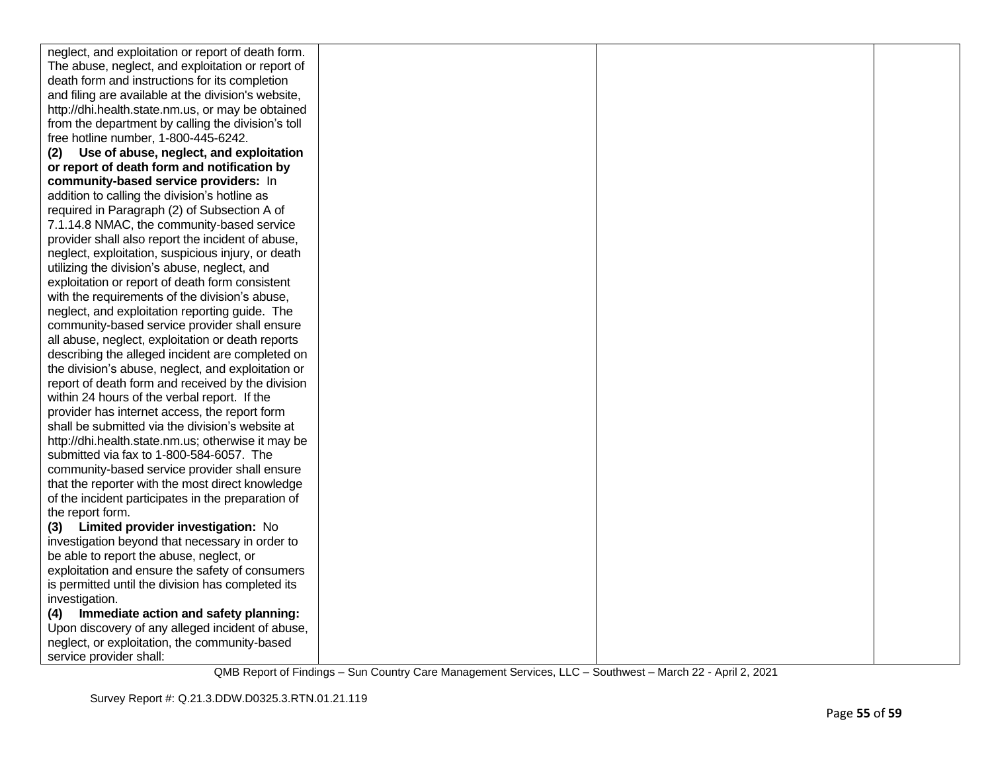| neglect, and exploitation or report of death form.  |  |  |
|-----------------------------------------------------|--|--|
| The abuse, neglect, and exploitation or report of   |  |  |
| death form and instructions for its completion      |  |  |
| and filing are available at the division's website, |  |  |
| http://dhi.health.state.nm.us, or may be obtained   |  |  |
| from the department by calling the division's toll  |  |  |
| free hotline number, 1-800-445-6242.                |  |  |
| Use of abuse, neglect, and exploitation<br>(2)      |  |  |
| or report of death form and notification by         |  |  |
| community-based service providers: In               |  |  |
| addition to calling the division's hotline as       |  |  |
| required in Paragraph (2) of Subsection A of        |  |  |
| 7.1.14.8 NMAC, the community-based service          |  |  |
| provider shall also report the incident of abuse,   |  |  |
| neglect, exploitation, suspicious injury, or death  |  |  |
| utilizing the division's abuse, neglect, and        |  |  |
| exploitation or report of death form consistent     |  |  |
| with the requirements of the division's abuse,      |  |  |
| neglect, and exploitation reporting guide. The      |  |  |
| community-based service provider shall ensure       |  |  |
| all abuse, neglect, exploitation or death reports   |  |  |
| describing the alleged incident are completed on    |  |  |
| the division's abuse, neglect, and exploitation or  |  |  |
| report of death form and received by the division   |  |  |
| within 24 hours of the verbal report. If the        |  |  |
| provider has internet access, the report form       |  |  |
| shall be submitted via the division's website at    |  |  |
| http://dhi.health.state.nm.us; otherwise it may be  |  |  |
| submitted via fax to 1-800-584-6057. The            |  |  |
| community-based service provider shall ensure       |  |  |
| that the reporter with the most direct knowledge    |  |  |
| of the incident participates in the preparation of  |  |  |
| the report form.                                    |  |  |
| Limited provider investigation: No<br>(3)           |  |  |
| investigation beyond that necessary in order to     |  |  |
| be able to report the abuse, neglect, or            |  |  |
| exploitation and ensure the safety of consumers     |  |  |
| is permitted until the division has completed its   |  |  |
| investigation.                                      |  |  |
| Immediate action and safety planning:<br>(4)        |  |  |
| Upon discovery of any alleged incident of abuse,    |  |  |
| neglect, or exploitation, the community-based       |  |  |
| service provider shall:                             |  |  |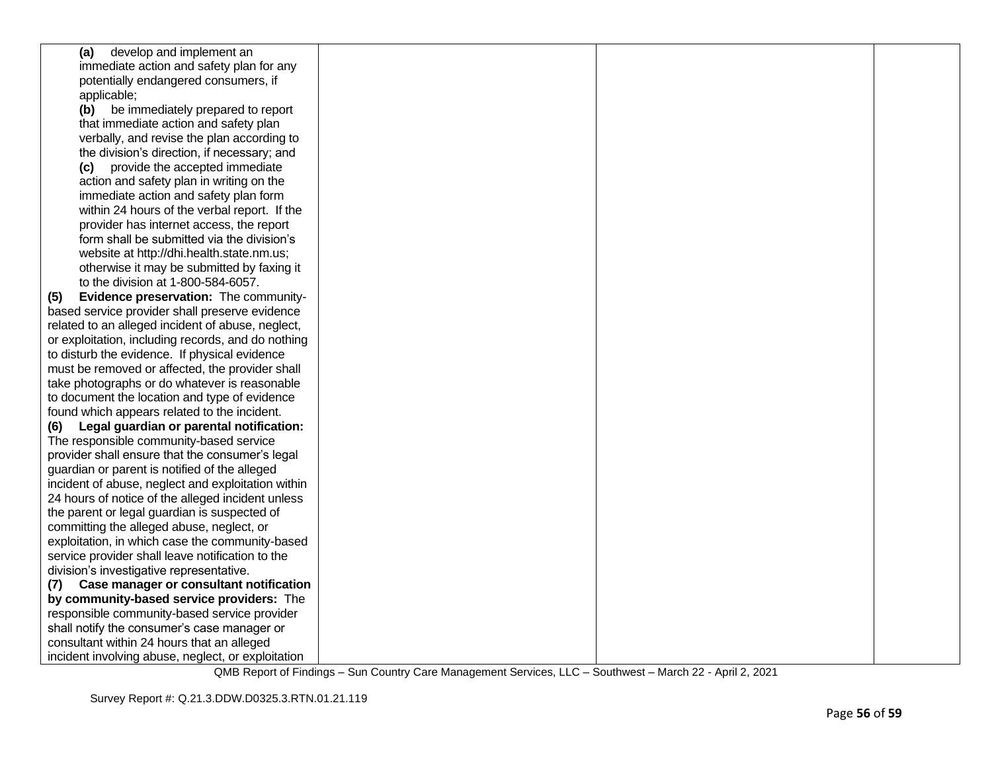| (a) develop and implement an                       |  |  |
|----------------------------------------------------|--|--|
| immediate action and safety plan for any           |  |  |
| potentially endangered consumers, if               |  |  |
| applicable;                                        |  |  |
| (b) be immediately prepared to report              |  |  |
| that immediate action and safety plan              |  |  |
| verbally, and revise the plan according to         |  |  |
| the division's direction, if necessary; and        |  |  |
| (c) provide the accepted immediate                 |  |  |
| action and safety plan in writing on the           |  |  |
| immediate action and safety plan form              |  |  |
| within 24 hours of the verbal report. If the       |  |  |
| provider has internet access, the report           |  |  |
| form shall be submitted via the division's         |  |  |
| website at http://dhi.health.state.nm.us;          |  |  |
| otherwise it may be submitted by faxing it         |  |  |
| to the division at 1-800-584-6057.                 |  |  |
| Evidence preservation: The community-<br>(5)       |  |  |
| based service provider shall preserve evidence     |  |  |
| related to an alleged incident of abuse, neglect,  |  |  |
| or exploitation, including records, and do nothing |  |  |
| to disturb the evidence. If physical evidence      |  |  |
| must be removed or affected, the provider shall    |  |  |
| take photographs or do whatever is reasonable      |  |  |
| to document the location and type of evidence      |  |  |
| found which appears related to the incident.       |  |  |
| Legal guardian or parental notification:<br>(6)    |  |  |
| The responsible community-based service            |  |  |
| provider shall ensure that the consumer's legal    |  |  |
| guardian or parent is notified of the alleged      |  |  |
| incident of abuse, neglect and exploitation within |  |  |
| 24 hours of notice of the alleged incident unless  |  |  |
| the parent or legal guardian is suspected of       |  |  |
| committing the alleged abuse, neglect, or          |  |  |
| exploitation, in which case the community-based    |  |  |
| service provider shall leave notification to the   |  |  |
| division's investigative representative.           |  |  |
| Case manager or consultant notification<br>(7)     |  |  |
| by community-based service providers: The          |  |  |
| responsible community-based service provider       |  |  |
| shall notify the consumer's case manager or        |  |  |
| consultant within 24 hours that an alleged         |  |  |
| incident involving abuse, neglect, or exploitation |  |  |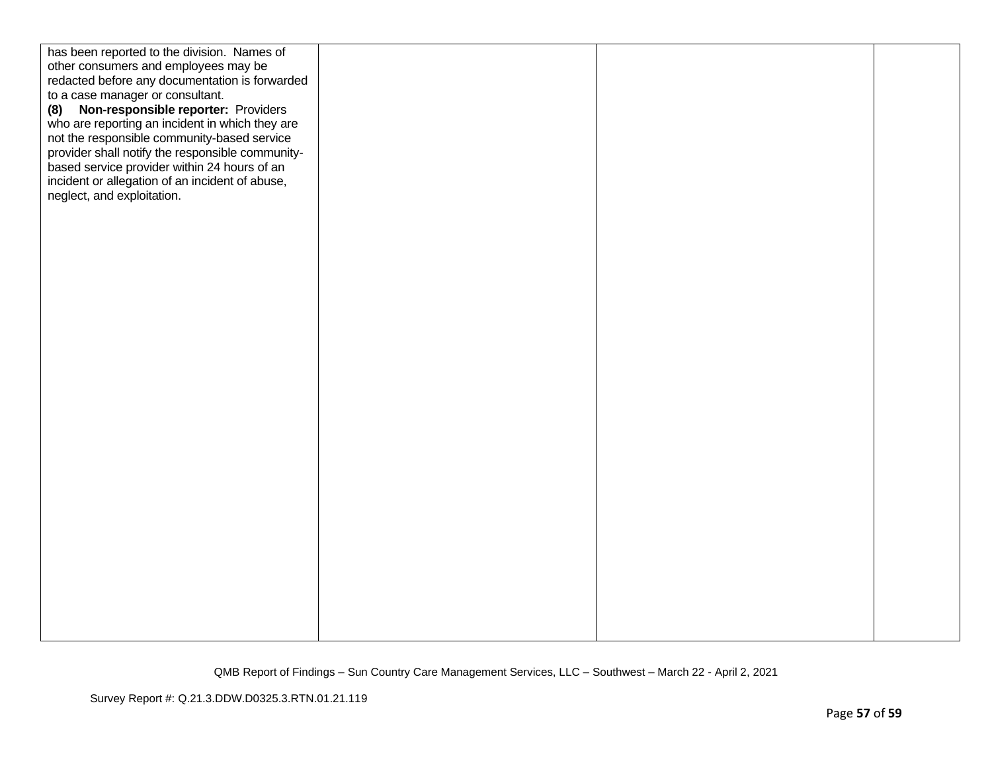| has been reported to the division. Names of      |  |  |
|--------------------------------------------------|--|--|
| other consumers and employees may be             |  |  |
| redacted before any documentation is forwarded   |  |  |
| to a case manager or consultant.                 |  |  |
| Non-responsible reporter: Providers<br>(8)       |  |  |
| who are reporting an incident in which they are  |  |  |
| not the responsible community-based service      |  |  |
| provider shall notify the responsible community- |  |  |
| based service provider within 24 hours of an     |  |  |
| incident or allegation of an incident of abuse,  |  |  |
| neglect, and exploitation.                       |  |  |
|                                                  |  |  |
|                                                  |  |  |
|                                                  |  |  |
|                                                  |  |  |
|                                                  |  |  |
|                                                  |  |  |
|                                                  |  |  |
|                                                  |  |  |
|                                                  |  |  |
|                                                  |  |  |
|                                                  |  |  |
|                                                  |  |  |
|                                                  |  |  |
|                                                  |  |  |
|                                                  |  |  |
|                                                  |  |  |
|                                                  |  |  |
|                                                  |  |  |
|                                                  |  |  |
|                                                  |  |  |
|                                                  |  |  |
|                                                  |  |  |
|                                                  |  |  |
|                                                  |  |  |
|                                                  |  |  |
|                                                  |  |  |
|                                                  |  |  |
|                                                  |  |  |
|                                                  |  |  |
|                                                  |  |  |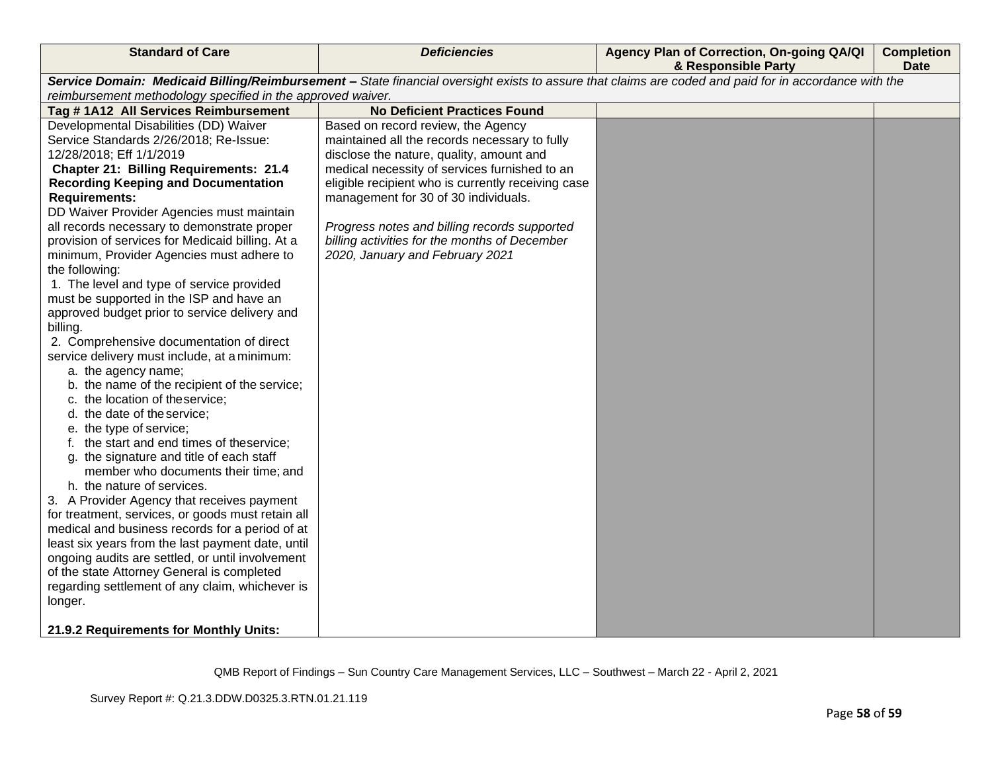| <b>Standard of Care</b>                                     | <b>Deficiencies</b>                                                                                                                                   | Agency Plan of Correction, On-going QA/QI<br>& Responsible Party | <b>Completion</b><br><b>Date</b> |
|-------------------------------------------------------------|-------------------------------------------------------------------------------------------------------------------------------------------------------|------------------------------------------------------------------|----------------------------------|
|                                                             | Service Domain: Medicaid Billing/Reimbursement - State financial oversight exists to assure that claims are coded and paid for in accordance with the |                                                                  |                                  |
| reimbursement methodology specified in the approved waiver. |                                                                                                                                                       |                                                                  |                                  |
| Tag #1A12 All Services Reimbursement                        | <b>No Deficient Practices Found</b>                                                                                                                   |                                                                  |                                  |
| Developmental Disabilities (DD) Waiver                      | Based on record review, the Agency                                                                                                                    |                                                                  |                                  |
| Service Standards 2/26/2018; Re-Issue:                      | maintained all the records necessary to fully                                                                                                         |                                                                  |                                  |
| 12/28/2018; Eff 1/1/2019                                    | disclose the nature, quality, amount and                                                                                                              |                                                                  |                                  |
| <b>Chapter 21: Billing Requirements: 21.4</b>               | medical necessity of services furnished to an                                                                                                         |                                                                  |                                  |
| <b>Recording Keeping and Documentation</b>                  | eligible recipient who is currently receiving case                                                                                                    |                                                                  |                                  |
| <b>Requirements:</b>                                        | management for 30 of 30 individuals.                                                                                                                  |                                                                  |                                  |
| DD Waiver Provider Agencies must maintain                   |                                                                                                                                                       |                                                                  |                                  |
| all records necessary to demonstrate proper                 | Progress notes and billing records supported                                                                                                          |                                                                  |                                  |
| provision of services for Medicaid billing. At a            | billing activities for the months of December                                                                                                         |                                                                  |                                  |
| minimum, Provider Agencies must adhere to                   | 2020, January and February 2021                                                                                                                       |                                                                  |                                  |
| the following:                                              |                                                                                                                                                       |                                                                  |                                  |
| 1. The level and type of service provided                   |                                                                                                                                                       |                                                                  |                                  |
| must be supported in the ISP and have an                    |                                                                                                                                                       |                                                                  |                                  |
| approved budget prior to service delivery and<br>billing.   |                                                                                                                                                       |                                                                  |                                  |
| 2. Comprehensive documentation of direct                    |                                                                                                                                                       |                                                                  |                                  |
| service delivery must include, at a minimum:                |                                                                                                                                                       |                                                                  |                                  |
| a. the agency name;                                         |                                                                                                                                                       |                                                                  |                                  |
| b. the name of the recipient of the service;                |                                                                                                                                                       |                                                                  |                                  |
| c. the location of theservice;                              |                                                                                                                                                       |                                                                  |                                  |
| d. the date of the service;                                 |                                                                                                                                                       |                                                                  |                                  |
| e. the type of service;                                     |                                                                                                                                                       |                                                                  |                                  |
| f. the start and end times of theservice;                   |                                                                                                                                                       |                                                                  |                                  |
| g. the signature and title of each staff                    |                                                                                                                                                       |                                                                  |                                  |
| member who documents their time; and                        |                                                                                                                                                       |                                                                  |                                  |
| h. the nature of services.                                  |                                                                                                                                                       |                                                                  |                                  |
| 3. A Provider Agency that receives payment                  |                                                                                                                                                       |                                                                  |                                  |
| for treatment, services, or goods must retain all           |                                                                                                                                                       |                                                                  |                                  |
| medical and business records for a period of at             |                                                                                                                                                       |                                                                  |                                  |
| least six years from the last payment date, until           |                                                                                                                                                       |                                                                  |                                  |
| ongoing audits are settled, or until involvement            |                                                                                                                                                       |                                                                  |                                  |
| of the state Attorney General is completed                  |                                                                                                                                                       |                                                                  |                                  |
| regarding settlement of any claim, whichever is             |                                                                                                                                                       |                                                                  |                                  |
| longer.                                                     |                                                                                                                                                       |                                                                  |                                  |
| 21.9.2 Requirements for Monthly Units:                      |                                                                                                                                                       |                                                                  |                                  |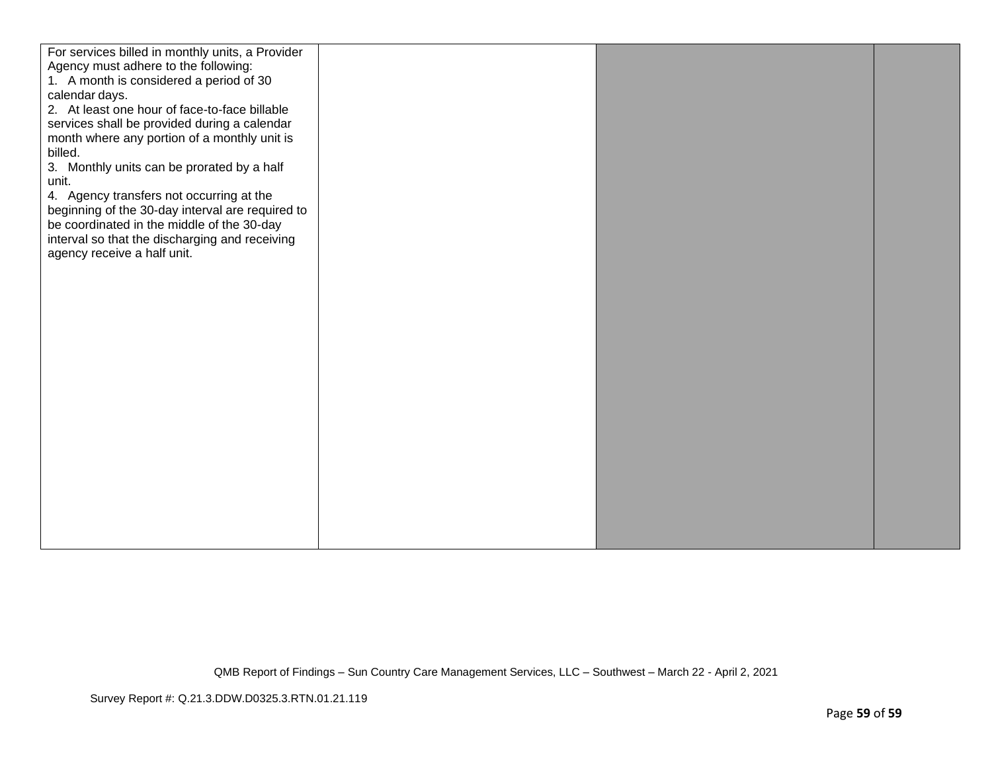| For services billed in monthly units, a Provider |  |  |
|--------------------------------------------------|--|--|
| Agency must adhere to the following:             |  |  |
| 1. A month is considered a period of 30          |  |  |
| calendar days.                                   |  |  |
| 2. At least one hour of face-to-face billable    |  |  |
| services shall be provided during a calendar     |  |  |
| month where any portion of a monthly unit is     |  |  |
| billed.                                          |  |  |
| 3. Monthly units can be prorated by a half       |  |  |
| unit.                                            |  |  |
| 4. Agency transfers not occurring at the         |  |  |
| beginning of the 30-day interval are required to |  |  |
| be coordinated in the middle of the 30-day       |  |  |
| interval so that the discharging and receiving   |  |  |
| agency receive a half unit.                      |  |  |
|                                                  |  |  |
|                                                  |  |  |
|                                                  |  |  |
|                                                  |  |  |
|                                                  |  |  |
|                                                  |  |  |
|                                                  |  |  |
|                                                  |  |  |
|                                                  |  |  |
|                                                  |  |  |
|                                                  |  |  |
|                                                  |  |  |
|                                                  |  |  |
|                                                  |  |  |
|                                                  |  |  |
|                                                  |  |  |
|                                                  |  |  |
|                                                  |  |  |
|                                                  |  |  |
|                                                  |  |  |